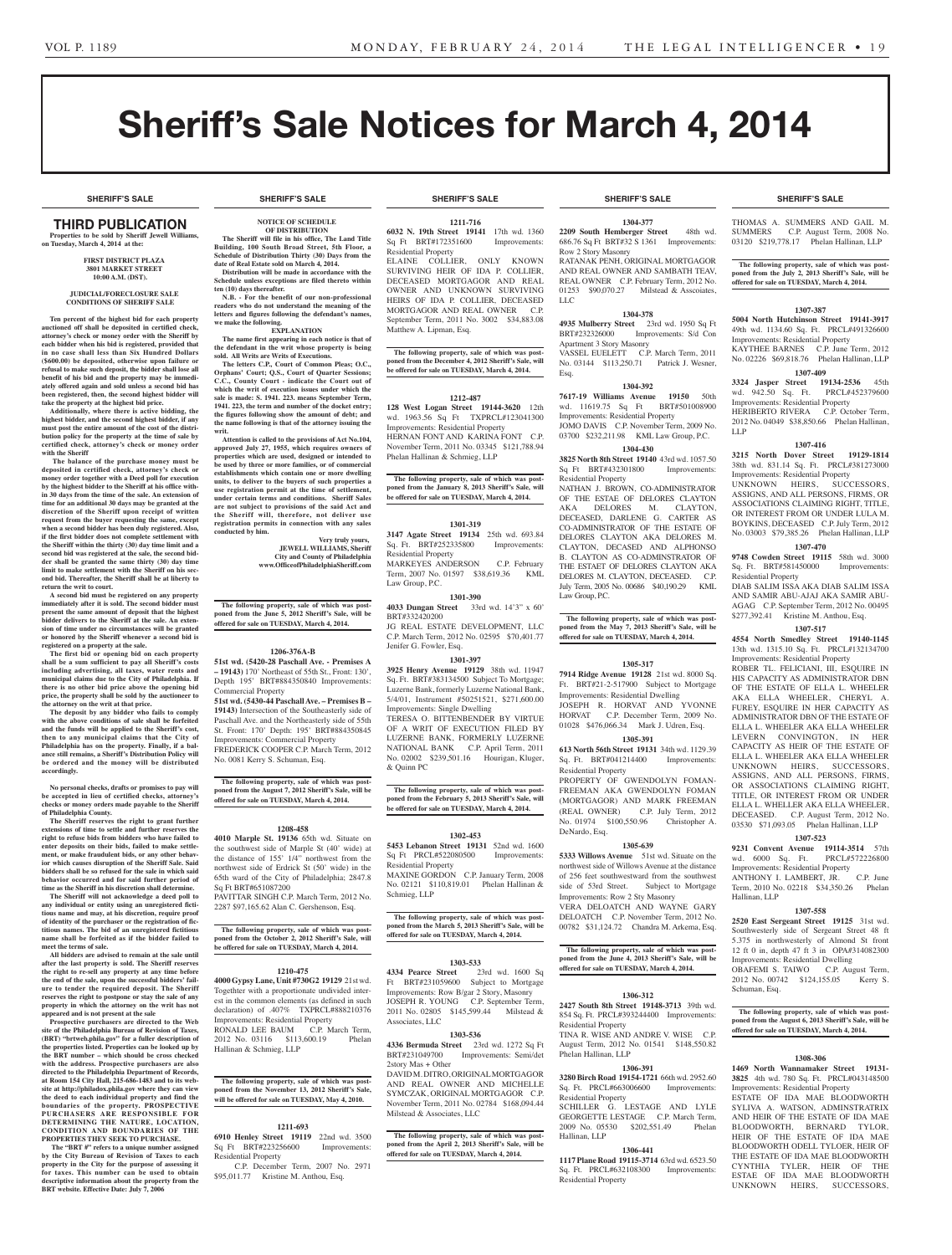# Sheriff's Sale Notices for March 4, 2014

**SHERIFF'S SALE SHERIFF'S SALE SHERIFF'S SALE SHERIFF'S SALE SHERIFF'S SALE**

### **SHERIFF'S SALE SHERIFF'S SALE SHERIFF'S SALE SHERIFF'S SALE SHERIFF'S SALE**

## THIRD PUBLICATION

**Properties to be sold by Sheriff Jewell Williams, on Tuesday, March 4, 2014 at the:** 

#### **First District Plaza 3801 Market Street 10:00 A.M. (DST).**

### **JUDICIAL/FORECLOSURE SALE CONDITIONS OF SHERIFF SALE**

**Ten percent of the highest bid for each property auctioned off shall be deposited in certified check, attorney's check or money order with the Sheriff by each bidder when his bid is registered, provided that in no case shall less than Six Hundred Dollars (\$600.00) be deposited, otherwise upon failure or refusal to make such deposit, the bidder shall lose all benefit of his bid and the property may be immedi-ately offered again and sold unless a second bid has been registered, then, the second highest bidder will take the property at the highest bid price.**

**Additionally, where there is active bidding, the highest bidder, and the second highest bidder, if any must post the entire amount of the cost of the distri-bution policy for the property at the time of sale by certified check, attorney's check or money order with the Sheriff**

 **The balance of the purchase money must be deposited in certified check, attorney's check or money order together with a Deed poll for execution by the highest bidder to the Sheriff at his office within 30 days from the time of the sale. An extension of time for an additional 30 days may be granted at the discretion of the Sheriff upon receipt of written request from the buyer requesting the same, except when a second bidder has been duly registered. Also, if the first bidder does not complete settlement with the Sheriff within the thirty (30) day time limit and a second bid was registered at the sale, the second bid-der shall be granted the same thirty (30) day time limit to make settlement with the Sheriff on his second bid. Thereafter, the Sheriff shall be at liberty to return the writ to court.**

**A second bid must be registered on any property immediately after it is sold. The second bidder must present the same amount of deposit that the highest bidder delivers to the Sheriff at the sale. An extension of time under no circumstances will be granted or honored by the Sheriff whenever a second bid is registered on a property at the sale.** 

**The first bid or opening bid on each property shall be a sum sufficient to pay all Sheriff's costs including advertising, all taxes, water rents and municipal claims due to the City of Philadelphia. If there is no other bid price above the opening bid price, the property shall be sold by the auctioneer to the attorney on the writ at that price.**

**The deposit by any bidder who fails to comply with the above conditions of sale shall be forfeited and the funds will be applied to the Sheriff's cost, then to any municipal claims that the City of Philadelphia has on the property. Finally, if a bal-ance still remains, a Sheriff's Distribution Policy will be ordered and the money will be distributed accordingly.**

**No personal checks, drafts or promises to pay will be accepted in lieu of certified checks, attorney's checks or money orders made payable to the Sheriff of Philadelphia County.**

**The Sheriff reserves the right to grant further extensions of time to settle and further reserves the right to refuse bids from bidders who have failed to enter deposits on their bids, failed to make settle-ment, or make fraudulent bids, or any other behavior which causes disruption of the Sheriff Sale. Said bidders shall be so refused for the sale in which said behavior occurred and for said further period of** 

**time as the Sheriff in his discretion shall determine. The Sheriff will not acknowledge a deed poll to any individual or entity using an unregistered fictitious name and may, at his discretion, require proof of identity of the purchaser or the registration of fictitious names. The bid of an unregistered fictitious name shall be forfeited as if the bidder failed to meet the terms of sale.**

**All bidders are advised to remain at the sale until after the last property is sold. The Sheriff reserves the right to re-sell any property at any time before the end of the sale, upon the successful bidders' failure to tender the required deposit. The Sheriff reserves the right to postpone or stay the sale of any property in which the attorney on the writ has not appeared and is not present at the sale Prospective purchasers are directed to the Web** 

**site of the Philadelphia Bureau of Revision of Taxes, (BRT) "brtweb.phila.gov" for a fuller description of the properties listed. Properties can be looked up by the BRT number – which should be cross checked with the address. Prospective purchasers are also directed to the Philadelphia Department of Records, at Room 154 City Hall, 215-686-1483 and to its website at http://philadox.phila.gov where they can view the deed to each individual property and find the boundaries of the property. PROSPECTIVE PURCHASERS ARE RESPONSIBLE FOR DETERMINING THE NATURE, LOCATION, CONDITION AND BOUNDARIES OF THE PROPERTIES THEY SEEK TO PURCHASE.**

 **The "BRT #" refers to a unique number assigned by the City Bureau of Revision of Taxes to each property in the City for the purpose of assessing it for taxes. This number can be used to obtain descriptive information about the property from the BRT website. Effective Date: July 7, 2006**

## **NOTICE OF SCHEDULE**

**OF DISTRIBUTION The Sheriff will file in his office, The Land Title** 

**Building, 100 South Broad Street, 5th Floor, a Schedule of Distribution Thirty (30) Days from the date of Real Estate sold on March 4, 2014. Distribution will be made in accordance with the** 

**Schedule unless exceptions are filed thereto within ten (10) days thereafter. N.B. - For the benefit of our non-professional readers who do not understand the meaning of the letters and figures following the defendant's names,** 

**we make the following. EXPLANATION**

**The name first appearing in each notice is that of the defendant in the writ whose property is being sold. All Writs are Writs of Executions.**

**The letters C.P., Court of Common Pleas; O.C., Orphans' Court; Q.S., Court of Quarter Sessions; C.C., County Court - indicate the Court out of which the writ of execution issues under which the sale is made: S. 1941. 223. means September Term, 1941. 223, the term and number of the docket entry; the figures following show the amount of debt; and the name following is that of the attorney issuing the writ.**

**Attention is called to the provisions of Act No.104, approved July 27, 1955, which requires owners of properties which are used, designed or intended to be used by three or more families, or of commercial establishments which contain one or more dwelling** ents which contain one or more dwelling **units, to deliver to the buyers of such properties a use registration permit at the time of settlement, under certain terms and conditions. Sheriff Sales are not subject to provisions of the said Act and the Sheriff will, therefore, not deliver use registration permits in connection with any sales conducted by him.**

> **Very truly yours, JEWELL WILLIAMS, Sheriff City and County of Philadelphia www.OfficeofPhiladelphiaSheriff.com**

**The following property, sale of which was post-poned from the June 5, 2012 Sheriff's Sale, will be offered for sale on TUESDAY, March 4, 2014.**

### **1206-376A-B**

**51st wd. (5420-28 Paschall Ave. - Premises A – 19143)** 170' Northeast of 55th St., Front: 130', Depth 195' BRT#884350840 Improvements: Commercial Property

**51st wd. (5430-44 Paschall Ave. – Premises B – 19143)** Intersection of the Southeasterly side of Paschall Ave. and the Northeasterly side of 55th St. Front: 170' Depth: 195' BRT#884350845 Improvements: Commercial Property FREDERICK COOPER C.P. March Term, 2012

No. 0081 Kerry S. Schuman, Esq.

**The following property, sale of which was postponed from the August 7, 2012 Sheriff's Sale, will be offered for sale on TUESDAY, March 4, 2014.**

### **1208-458**

**4010 Marple St. 19136** 65th wd. Situate on the southwest side of Marple St (40' wide) at the distance of 155' 1/4" northwest from the northwest side of Erdrick St (50' wide) in the 65th ward of the City of Philadelphia; 2847.8 Sq Ft BRT#651087200 PAVITTAR SINGH C.P. March Term, 2012 No. 2287 \$97,165.62 Alan C. Gershenson, Esq.

**The following property, sale of which was post-poned from the October 2, 2012 Sheriff's Sale, will** 

**be offered for sale on TUESDAY, March 4, 2014. 1210-475**

**4000 Gypsy Lane, Unit #730G2 19129** 21st wd. Togethter with a proportionate undivided interest in the common elements (as defined in such declaration) of .407% TXPRCL#888210376 Improvements: Residential Property RONALD LEE BAUM C.P. March Term,

### **The following property, sale of which was postponed from the November 13, 2012 Sheriff's Sale, will be offered for sale on TUESDAY, May 4, 2010.**

2012 No. 03116 \$113,600.19 Phelan

### **1211-693**

Hallinan & Schmieg, LLP

**6910 Henley Street 19119** 22nd wd. 3500 Sq Ft BRT#223256600 Improvements: Residential Property

 C.P. December Term, 2007 No. 2971 \$95,011.77 Kristine M. Anthou, Esq.

### **1211-716**

**6032 N. 19th Street 19141** 17th wd. 1360 Sq Ft BRT#172351600 Improvements: Residential Property

ELAINE COLLIER, ONLY KNOWN SURVIVING HEIR OF IDA P. COLLIER, DECEASED MORTGAGOR AND REAL OWNER AND UNKNOWN SURVIVING HEIRS OF IDA P. COLLIER, DECEASED MORTGAGOR AND REAL OWNER C.P. September Term, 2011 No. 3002 \$34,883.08 Matthew A. Lipman, Esq.

**The following property, sale of which was postponed from the December 4, 2012 Sheriff's Sale, will be offered for sale on TUESDAY, March 4, 2014.**

### **1212-487**

**128 West Logan Street 19144-3620** 12th wd. 1963.56 Sq Ft TXPRCL#123041300 Improvements: Residential Property HERNAN FONT AND KARINA FONT C.P. November Term, 2011 No. 03345 \$121,788.94 Phelan Hallinan & Schmieg, LLP

## **The following property, sale of which was post-poned from the January 8, 2013 Sheriff's Sale, will be offered for sale on TUESDAY, March 4, 2014.**

**1301-319**

**3147 Agate Street 19134** 25th wd. 693.84 Sq. Ft. BRT#252335800 Improvements: Residential Property MARKEYES ANDERSON C.P. February

Term, 2007 No. 01597 \$38,619.36 KML Law Group, P.C.

**1301-390 4033 Dungan Street** 33rd wd. 14'3" x 60' BRT#332420200 JG REAL ESTATE DEVELOPMENT, LLC C.P. March Term, 2012 No. 02595 \$70,401.77

### **1301-397**

Jenifer G. Fowler, Esq.

**3925 Henry Avenue 19129** 38th wd. 11947 Sq. Ft. BRT#383134500 Subject To Mortgage; Luzerne Bank, formerly Luzerne National Bank, 5/4/01, Instrument #50251521, \$271,600.00 Improvements: Single Dwelling TERESA O. BITTENBENDER BY VIRTUE OF A WRIT OF EXECUTION FILED BY LUZERNE BANK, FORMERLY LUZERNE NATIONAL BANK C.P. April Term, 2011 No. 02002 \$239,501.16 Hourigan, Kluger, & Quinn PC

**The following property, sale of which was post-poned from the February 5, 2013 Sheriff's Sale, will be offered for sale on TUESDAY, March 4, 2014.**

### **1302-453**

**5453 Lebanon Street 19131** 52nd wd. 1600 Sq Ft PRCL#522080500 Improvements: Residential Property MAXINE GORDON C.P. January Term, 2008 No. 02121 \$110,819.01 Phelan Hallinan & Schmieg, LLP

**The following property, sale of which was postponed from the March 5, 2013 Sheriff's Sale, will be offered for sale on TUESDAY, March 4, 2014.**

### **1303-533**

**4334 Pearce Street** 23rd wd. 1600 Sq Ft BRT#231059600 Subject to Mortgage Improvements: Row B/gar 2 Story, Masonry JOSEPH R. YOUNG C.P. September Term, 2011 No. 02805 \$145,599.44 Milstead & Associates, LLC

### **1303-536**

**4336 Bermuda Street** 23rd wd. 1272 Sq Ft BRT#231049700 Improvements: Semi/det 2story Mas + Other

DAVID M. DITRO, ORIGINAL MORTGAGOR AND REAL OWNER AND MICHELLE SYMCZAK, ORIGINAL MORTGAGOR C.P. November Term, 2011 No. 02784 \$168,094.44 Milstead & Associates, LLC

## **The following property, sale of which was post-poned from the April 2, 2013 Sheriff's Sale, will be offered for sale on TUESDAY, March 4, 2014.**

**1304-377 2209 South Hemberger Street** 48th wd. 686.76 Sq Ft BRT#32 S 1361 Improvements: Row 2 Story Masonry RATANAK PENH, ORIGINAL MORTGAGOR AND REAL OWNER AND SAMBATH TEAV, REAL OWNER C.P. February Term, 2012 No. 01253 \$90,070.27 Milstead & Asscoiates, LLC

### **1304-378**

**4935 Mulberry Street** 23rd wd. 1950 Sq Ft Improvements: S/d Con Apartment 3 Story Masonry VASSEL EUELETT C.P. March Term, 2011 No. 03144 \$113,250.71 Patrick J. Wesner, Esq.

### **1304-392**

**7617-19 Williams Avenue 19150** 50th wd. 11619.75 Sq Ft BRT#501008900 Improvements: Residential Property JOMO DAVIS C.P. November Term, 2009 No. 03700 \$232,211.98 KML Law Group, P.C.

### **1304-430**

**3825 North 8th Street 19140** 43rd wd. 1057.50 Sq Ft BRT#432301800 Residential Property

NATHAN J. BROWN, CO-ADMINISTRATOR OF THE ESTAE OF DELORES CLAYTON AKA DELORES M. CLAYTON, DECEASED, DARLENE G. CARTER AS CO-ADMINISTRATOR OF THE ESTATE OF DELORES CLAYTON AKA DELORES M. CLAYTON, DECASED AND ALPHONSO B. CLAYTON AS CO-ADMINSTRATOR OF THE ESTAET OF DELORES CLAYTON AKA DELORES M. CLAYTON, DECEASED. C.P. July Term, 2005 No. 00686 \$40,190.29 KML Law Group, P.C.

**The following property, sale of which was post-poned from the May 7, 2013 Sheriff's Sale, will be offered for sale on TUESDAY, March 4, 2014.**

### **1305-317**

**7914 Ridge Avenue 19128** 21st wd. 8000 Sq. Ft. BRT#21-2-517900 Subject to Mortgage Improvements: Residential Dwelling JOSEPH R. HORVAT AND YVONNE HORVAT C.P. December Term, 2009 No. 01028 \$476,066.34 Mark J. Udren, Esq.

## **1305-391**

**613 North 56th Street 19131** 34th wd. 1129.39 Sq. Ft. BRT#041214400 Residential Property

PROPERTY OF GWENDOLYN FOMAN-FREEMAN AKA GWENDOLYN FOMAN (MORTGAGOR) AND MARK FREEMAN (REAL OWNER) C.P. July Term, 2012 No. 01974 \$100,550.96 Christopher A. DeNardo, Esq.

### **1305-639**

**5333 Willows Avenue** 51st wd. Situate on the northwest side of Willows Avenue at the distance of 256 feet southwestward from the southwest<br>side of 53rd Street. Subject to Mortgage Subject to Mortgage Improvements: Row 2 Sty Masonry VERA DELOATCH AND WAYNE GARY DELOATCH C.P. November Term, 2012 No. 00782 \$31,124.72 Chandra M. Arkema, Esq.

### **The following property, sale of which was post-poned from the June 4, 2013 Sheriff's Sale, will be offered for sale on TUESDAY, March 4, 2014.**

### **1306-312**

**2427 South 8th Street 19148-3713** 39th wd. 854 Sq. Ft. PRCL#393244400 Improvements: Residential Property TINA R. WISE AND ANDRE V. WISE C.P. August Term, 2012 No. 01541 \$148,550.82 Phelan Hallinan, LLP

#### **1306-391 3280 Birch Road 19154-1721** 66th wd. 2952.60

Sq. Ft. PRCL#663006600 Improvements: Residential Property SCHILLER G. LESTAGE AND LYLE GEORGETTE LESTAGE C.P. March Term,

2009 No. 05530 \$202,551.49 Phelan Hallinan, LLP

## **1306-441**

**1117 Plane Road 19115-3714** 63rd wd. 6523.50 Sq. Ft. PRCL#632108300 Improvements: Residential Property

THOMAS A. SUMMERS AND GAIL M. SUMMERS C.P. August Term, 2008 No. 03120 \$219,778.17 Phelan Hallinan, LLP

### **The following property, sale of which was postponed from the July 2, 2013 Sheriff's Sale, will be offered for sale on TUESDAY, March 4, 2014.**

### **1307-387**

**5004 North Hutchinson Street 19141-3917**  49th wd. 1134.60 Sq. Ft. PRCL#491326600 Improvements: Residential Property KAYTHEE BARNES C.P. June Term, 2012 No. 02226 \$69,818.76 Phelan Hallinan, LLP

**3324 Jasper Street 19134-2536** 45th wd. 942.50 Sq. Ft. PRCL#452379600 Improvements: Residential Property HERIBERTO RIVERA C.P. October Term, 2012 No. 04049 \$38,850.66 Phelan Hallinan,

**1307-416 3215 North Dover Street 19129-1814**  38th wd. 831.14 Sq. Ft. PRCL#381273000 Improvements: Residential Property UNKNOWN HEIRS, SUCCESSORS, ASSIGNS, AND ALL PERSONS, FIRMS, OR ASSOCIATIONS CLAIMING RIGHT, TITLE, OR INTEREST FROM OR UNDER LULA M. BOYKINS, DECEASED C.P. July Term, 2012 No. 03003 \$79,385.26 Phelan Hallinan, LLP **1307-470 9748 Cowden Street 19115** 58th wd. 3000 Sq. Ft. BRT#581450000 Improvements:

DIAB SALIM ISSA AKA DIAB SALIM ISSA AND SAMIR ABU-AJAJ AKA SAMIR ABU-AGAG C.P. September Term, 2012 No. 00495 \$277,392.41 Kristine M. Anthou, Esq. **1307-517 4554 North Smedley Street 19140-1145**  13th wd. 1315.10 Sq. Ft. PRCL#132134700 Improvements: Residential Property ROBER TL. FELICIANI, III, ESQUIRE IN HIS CAPACITY AS ADMINISTRATOR DBN OF THE ESTATE OF ELLA L. WHEELER AKA ELLA WHEELER, CHERYL A. FUREY, ESQUIRE IN HER CAPACITY AS ADMINISTRATOR DBN OF THE ESTATE OF ELLA L. WHEELER AKA ELLA WHEELER LEVERN CONVINGTON, IN HER CAPACITY AS HEIR OF THE ESTATE OF ELLA L. WHEELER AKA ELLA WHEELER UNKNOWN HEIRS, SUCCESSORS, ASSIGNS, AND ALL PERSONS, FIRMS, OR ASSOCIATIONS CLAIMING RIGHT, TITLE, OR INTEREST FROM OR UNDER ELLA L. WHELLER AKA ELLA WHEELER, DECEASED. C.P. August Term, 2012 No. 03530 \$71,093.05 Phelan Hallinan, LLP **1307-523 9231 Convent Avenue 19114-3514** 57th

### **1307-409**

LLP

Residential Property

wd. 6000 Sq. Ft.

Hallinan, LLP

Schuman, Esq.

Improvements: Residential Property<br>ANTHONY L. LAMBERT, JR. C.P. June ANTHONY I. LAMBERT, JR.

Term, 2010 No. 02218 \$34,350.26 Phelan

**1307-558 2520 East Sergeant Street 19125** 31st wd. Southwesterly side of Sergeant Street 48 ft 5.375 in northwesterly of Almond St front 12 ft 0 in, depth 47 ft 3 in OPA#314082300 Improvements: Residential Dwelling OBAFEMI S. TAIWO C.P. August Term,<br>2012 No. 00742 \$124,155.05 Kerry S. 2012 No. 00742 \$124,155.05

**The following property, sale of which was postponed from the August 6, 2013 Sheriff's Sale, will be offered for sale on TUESDAY, March 4, 2014.**

**1308-306 1469 North Wannamaker Street 19131- 3825** 4th wd. 780 Sq. Ft. PRCL#043148500 Improvements: Residential Property ESTATE OF IDA MAE BLOODWORTH SYLIVA A. WATSON, ADMINSTRATRIX AND HEIR OF THE ESTATE OF IDA MAE BLOODWORTH, BERNARD TYLOR, HEIR OF THE ESTATE OF IDA MAE BLOODWORTH ODELL TYLOER, HEIR OF THE ESTATE OF IDA MAE BLOODWORTH CYNTHIA TYLER, HEIR OF THE ESTAE OF IDA MAE BLOODWORTH UNKNOWN HEIRS, SUCCESSORS,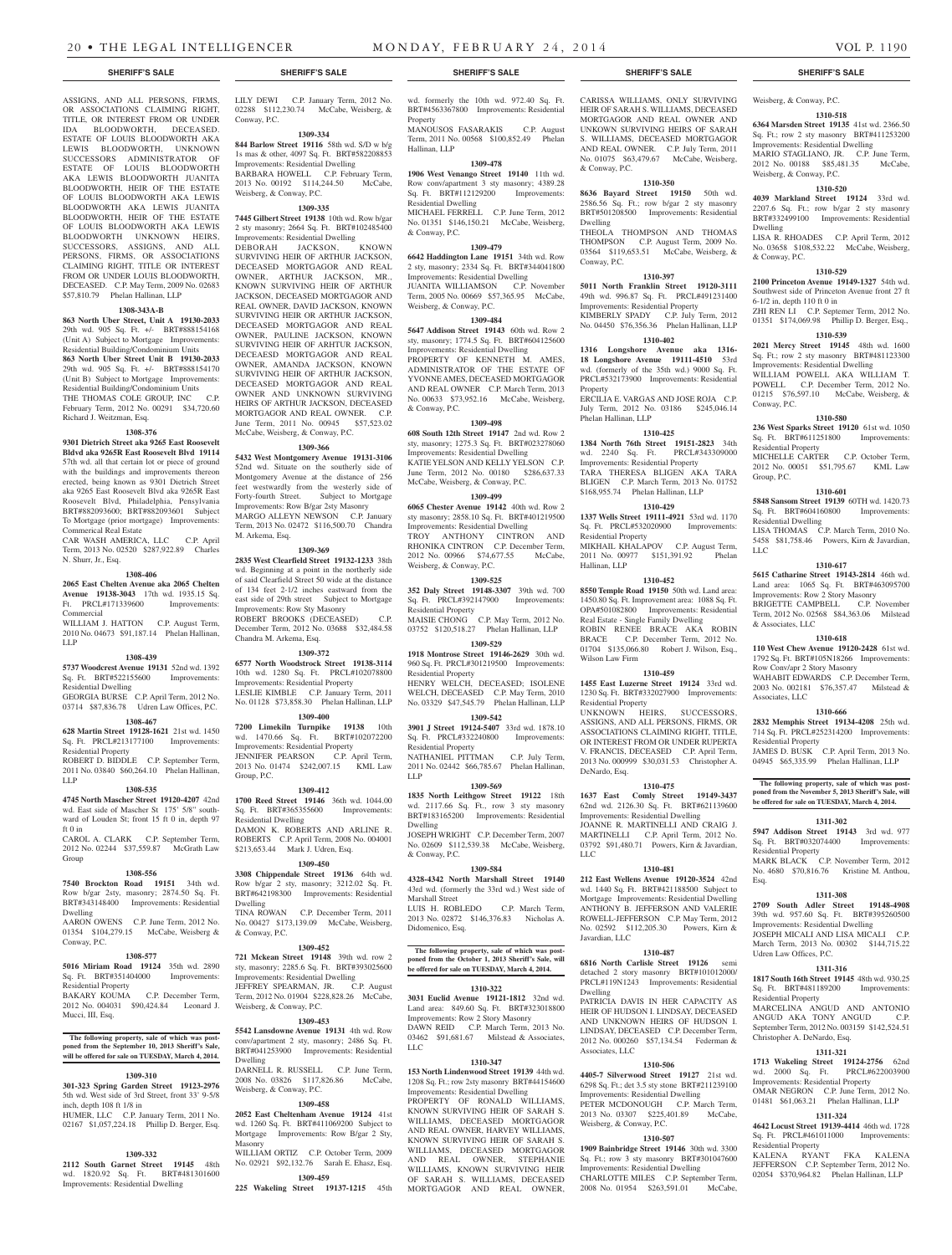ASSIGNS, AND ALL PERSONS, FIRMS, OR ASSOCIATIONS CLAIMING RIGHT. TITLE, OR INTEREST FROM OR UNDER IDA BLOODWORTH, DECEASED. ESTATE OF LOUIS BLOODWORTH AKA LEWIS BLOODWORTH, UNKNOWN SUCCESSORS ADMINISTRATOR OF ESTATE OF LOUIS BLOODWORTH AKA LEWIS BLOODWORTH JUANITA BLOODWORTH, HEIR OF THE ESTATE OF LOUIS BLOODWORTH AKA LEWIS BLOODWORTH AKA LEWIS JUANITA BLOODWORTH, HEIR OF THE ESTATE OF LOUIS BLOODWORTH AKA LEWIS BLOODWORTH UNKNOWN HEIRS, SUCCESSORS, ASSIGNS, AND ALL PERSONS, FIRMS, OR ASSOCIATIONS CLAIMING RIGHT, TITLE OR INTEREST FROM OR UNDER LOUIS BLOODWORTH, DECEASED. C.P. May Term, 2009 No. 02683 \$57,810.79 Phelan Hallinan, LLP **1308-343A-B 863 North Uber Street, Unit A 19130-2033**  29th wd. 905 Sq. Ft. +/- BRT#888154168 (Unit A) Subject to Mortgage Improvements: Residential Building/Condominium Units **863 North Uber Street Unit B 19130-2033**  29th wd. 905 Sq. Ft. +/- BRT#888154170 (Unit B) Subject to Mortgage Improvements: Residential Building/Condominium Units<br>THE THOMAS COLE GROUP. INC C.P. THE THOMAS COLE GROUP, INC February Term, 2012 No. 00291 \$34,720.60

Richard J. Weitzman, Esq.

Commerical Real Estate

N. Shurr, Jr., Esq.

Commercial

Residential Dwelling

Residential Property

LLP

LLP

ft 0 in

Group

Dwelling

Conway, P.C.

Residential Property

Mucci, III, Esq.

**1308-376 9301 Dietrich Street aka 9265 East Roosevelt Bldvd aka 9265R East Roosevelt Blvd 19114**  57th wd. all that certain lot or piece of ground with the buildings and improvements thereon erected, being known as 9301 Dietrich Street aka 9265 East Roosevelt Blvd aka 9265R East Roosevelt Blvd, Philadelphia, Pensylvania BRT#882093600; BRT#882093601 Subject To Mortgage (prior mortgage) Improvements:

CAR WASH AMERICA, LLC C.P. April Term, 2013 No. 02520 \$287,922.89 Charles

**1308-406 2065 East Chelten Avenue aka 2065 Chelten Avenue 19138-3043** 17th wd. 1935.15 Sq. Ft. PRCL#171339600 Improvements:

WILLIAM J. HATTON C.P. August Term, 2010 No. 04673 \$91,187.14 Phelan Hallinan,

**1308-439 5737 Woodcrest Avenue 19131** 52nd wd. 1392 Sq. Ft. BRT#522155600 Improvements:

GEORGIA BURSE C.P. April Term, 2012 No. 03714 \$87,836.78 Udren Law Offices, P.C. **1308-467 628 Martin Street 19128-1621** 21st wd. 1450 Sq. Ft. PRCL#213177100 Improvements:

ROBERT D. BIDDLE C.P. September Term, 2011 No. 03840 \$60,264.10 Phelan Hallinan,

**1308-535 4745 North Mascher Street 19120-4207** 42nd wd. East side of Mascher St 175' 5/8" southward of Louden St; front 15 ft 0 in, depth 97

CAROL A. CLARK C.P. September Term, 2012 No. 02244 \$37,559.87 McGrath Law

**1308-556 7540 Brockton Road 19151** 34th wd. Row b/gar 2sty, masonry; 2874.50 Sq. Ft. BRT#343148400 Improvements: Residential

AARON OWENS C.P. June Term, 2012 No. 01354 \$104,279.15 McCabe, Weisberg &

**1308-577 5016 Miriam Road 19124** 35th wd. 2890 Sq. Ft. BRT#351404000 Improvements:

BAKARY KOUMA C.P. December Term, 2012 No. 004031 \$90,424.84 Leonard J.

**The following property, sale of which was post-**

**will be offered for sale on TUESDAY, March 4, 2014. 1309-310 301-323 Spring Garden Street 19123-2976**  5th wd. West side of 3rd Street, front 33' 9-5/8

HUMER, LLC C.P. January Term, 2011 No. 02167 \$1,057,224.18 Phillip D. Berger, Esq.

**1309-332 2112 South Garnet Street 19145** 48th wd. 1820.92 Sq. Ft. BRT#481301600 Improvements: Residential Dwelling

the Septe

inch, depth 108 ft 1/8 in

LILY DEWI C.P. January Term, 2012 No. 02288 \$112,230.74 McCabe, Weisberg, & Conway, P.C.

#### **1309-334**

**844 Barlow Street 19116** 58th wd. S/D w b/g 1s mas & other, 4097 Sq. Ft. BRT#582208853 Improvements: Residential Dwelling

BARBARA HOWELL C.P. February Term, 2013 No. 00192 \$114,244.50 McCabe, Weisberg, & Conway, P.C.

#### **1309-335**

**7445 Gilbert Street 19138** 10th wd. Row b/gar 2 sty masonry; 2664 Sq. Ft. BRT#102485400 Improvements: Residential Dwelling DEBORAH JACKSON, KNOWN SURVIVING HEIR OF ARTHUR JACKSON, DECEASED MORTGAGOR AND REAL

OWNER, ARTHUR JACKSON, MR., KNOWN SURVIVING HEIR OF ARTHUR JACKSON, DECEASED MORTGAGOR AND REAL OWNER, DAVID JACKSON, KNOWN SURVIVING HEIR OR ARTHUR JACKSON, DECEASED MORTGAGOR AND REAL OWNER, PAULINE JACKSON, KNOWN SURVIVING HEIR OF ARHTUR JACKSON, DECEAESD MORTGAGOR AND REAL OWNER, AMANDA JACKSON, KNOWN SURVIVING HEIR OF ARTHUR JACKSON, DECEASED MORTGAGOR AND REAL OWNER AND UNKNOWN SURVIVING HEIRS OF ARTHUR JACKSON, DECEASED MORTGAGOR AND REAL OWNER. C.P. June Term, 2011 No. 00945 \$57,523.02 McCabe, Weisberg, & Conway, P.C.

#### **1309-366**

**5432 West Montgomery Avenue 19131-3106**  52nd wd. Situate on the southerly side of Montgomery Avenue at the distance of 256 feet westwardly from the westerly side of Forty-fourth Street. Subject to Mortgage Improvements: Row B/gar 2sty Masonry MARGO ALLEYN NEWSON C.P. January Term, 2013 No. 02472 \$116,500.70 Chandra M. Arkema, Esq.

#### **1309-369**

**2835 West Clearfield Street 19132-1233** 38th wd. Beginning at a point in the northerly side of said Clearfield Street 50 wide at the distance of 134 feet 2-1/2 inches eastward from the east side of 29th street Subject to Mortgage Improvements: Row Sty Masonry ROBERT BROOKS (DECEASED) C.P. December Term, 2012 No. 03688 \$32,484.58 Chandra M. Arkema, Esq.

### **1309-372**

**6577 North Woodstrock Street 19138-3114**  10th wd. 1280 Sq. Ft. PRCL#102078800 Improvements: Residential Property LESLIE KIMBLE C.P. January Term, 2011 No. 01128 \$73,858.30 Phelan Hallinan, LLP

### **1309-400**

**7200 Limekiln Turnpike 19138** 10th wd. 1470.66 Sq. Ft. BRT#102072200 Improvements: Residential Property JENNIFER PEARSON C.P. April Term, 2013 No. 01474 \$242,007.15 KML Law Group, P.C.

### **1309-412**

**1700 Reed Street 19146** 36th wd. 1044.00 Sq. Ft. BRT#365355600 Improvements: Residential Dwelling DAMON K. ROBERTS AND ARLINE R. ROBERTS C.P. April Term, 2008 No. 004001 \$213,653.44 Mark J. Udren, Esq.

### **1309-450**

**3308 Chippendale Street 19136** 64th wd. Row b/gar 2 sty, masonry; 3212.02 Sq. Ft. BRT#642198300 Improvements: Residential Dwelling TINA ROWAN C.P. December Term, 2011 No. 00427 \$173,139.09 McCabe, Weisberg, & Conway, P.C.

#### **1309-452**

**721 Mckean Street 19148** 39th wd. row 2 sty, masonry; 2285.6 Sq. Ft. BRT#393025600 Improvements: Residential Dwelling JEFFREY SPEARMAN, JR. C.P. August Term, 2012 No. 01904 \$228,828.26 McCabe, Weisberg, & Conway, P.C.

**1309-453 5542 Lansdowne Avenue 19131** 4th wd. Row

conv/apartment 2 sty, masonry; 2486 Sq. Ft. BRT#041253900 Improvements: Residential Dwelling DARNELL R. RUSSELL C.P. June Term, 2008 No. 03826 \$117,826.86 McCabe, Weisberg, & Conway, P.C.

#### **1309-458**

**2052 East Cheltenham Avenue 19124** 41st wd. 1260 Sq. Ft. BRT#411069200 Subject to Mortgage Improvements: Row B/gar 2 Sty, Masonry WILLIAM ORTIZ C.P. October Term, 2009 No. 02921 \$92,132.76 Sarah E. Ehasz, Esq.

**1309-459 225 Wakeling Street 19137-1215** 45th

wd. formerly the 10th wd. 972.40 Sq. Ft. BRT#4563367800 Improvements: Residential Property

MANOUSOS FASARAKIS C.P. August Term, 2011 No. 00568 \$100,852.49 Phelan Hallinan, LLP

### **1309-478**

**1906 West Venango Street 19140** 11th wd. Row conv/apartment 3 sty masonry; 4389.28 Sq. Ft. BRT#112129200 Improvements: Residential Dwelling MICHAEL FERRELL C.P. June Term, 2012 No. 01351 \$146,150.21 McCabe, Weisberg,

### & Conway, P.C. **1309-479**

**6642 Haddington Lane 19151** 34th wd. Row 2 sty, masonry; 2334 Sq. Ft. BRT#344041800 Improvements: Residential Dwelling JUANITA WILLIAMSON C.P. November Term, 2005 No. 00669 \$57,365.95 McCabe, Weisberg, & Conway, P.C.

### **1309-484**

**5647 Addison Street 19143** 60th wd. Row 2 sty, masonry; 1774.5 Sq. Ft. BRT#604125600 Improvements: Residential Dwelling PROPERTY OF KENNETH M. AMES, ADMINISTRATOR OF THE ESTATE OF YVONNE AMES, DECEASED MORTGAGOR AND REAL OWNER C.P. March Term, 2013 No. 00633 \$73,952.16 McCabe, Weisberg, & Conway, P.C.

#### **1309-498**

**608 South 12th Street 19147** 2nd wd. Row 2 sty, masonry; 1275.3 Sq. Ft. BRT#023278060 Improvements: Residential Dwelling KATIE YELSON AND KELLY YELSON C.P. June Term, 2012 No. 00180 \$286,637.33 McCabe, Weisberg, & Conway, P.C.

### **1309-499**

**6065 Chester Avenue 19142** 40th wd. Row 2 sty masonry; 2858.10 Sq. Ft. BRT#401219500 Improvements: Residential Dwelling TROY ANTHONY CINTRON AND RHONIKA CINTRON C.P. December Term, 2012 No. 00966 \$74,677.55 McCabe, Weisberg, & Conway, P.C.

### **1309-525**

**352 Daly Street 19148-3307** 39th wd. 700 Sq. Ft. PRCL#392147900 Improvements: Residential Property MAISIE CHONG C.P. May Term, 2012 No.

## 03752 \$120,518.27 Phelan Hallinan, LLP

**1309-529 1918 Montrose Street 19146-2629** 30th wd. 960 Sq. Ft. PRCL#301219500 Improvements: Residential Property HENRY WELCH, DECEASED; ISOLENE

WELCH, DECEASED C.P. May Term, 2010 No. 03329 \$47,545.79 Phelan Hallinan, LLP **1309-542**

**3901 J Street 19124-5407** 33rd wd. 1878.10 Sq. Ft. PRCL#332240800 Improvements: Residential Property NATHANIEL PITTMAN C.P. July Term, 2011 No. 02442 \$66,785.67 Phelan Hallinan, LLP

#### **1309-569**

**1835 North Leithgow Street 19122** 18th wd. 2117.66 Sq. Ft., row 3 sty masonry BRT#183165200 Improvements: Residential Dwelling JOSEPH WRIGHT C.P. December Term, 2007

No. 02609 \$112,539.38 McCabe, Weisberg, & Conway, P.C.

### **1309-584**

**4328-4342 North Marshall Street 19140**  43rd wd. (formerly the 33rd wd.) West side of Marshall Street LUIS H. ROBLEDO C.P. March Term,

2013 No. 02872 \$146,376.83 Nicholas A. Didomenico, Esq.

**be offered for sale on TUESDAY, March 4, 2014. 1310-322 3031 Euclid Avenue 19121-1812** 32nd wd. Land area: 849.60 Sq. Ft. BRT#323018800 Improvements: Row 2 Story Masonry DAWN REID C.P. March Term, 2013 No. 03462 \$91,681.67 Milstead & Associates,

**1310-347 153 North Lindenwood Street 19139** 44th wd. 1208 Sq. Ft.; row 2sty masonry BRT#44154600 Improvements: Residential Dwelling PROPERTY OF RONALD WILLIAMS, KNOWN SURVIVING HEIR OF SARAH S. WILLIAMS, DECEASED MORTGAGOR AND REAL OWNER, HARVEY WILLIAMS, KNOWN SURVIVING HEIR OF SARAH S. WILLIAMS, DECEASED MORTGAGOR AND REAL OWNER, STEPHANIE WILLIAMS, KNOWN SURVIVING HEIR OF SARAH S. WILLIAMS, DECEASED MORTGAGOR AND REAL OWNER,

LLC

## **The following property, sale of which was post-poned from the October 1, 2013 Sheriff's Sale, will**

**6816 North Carlisle Street 19126** semi detached 2 story masonry BRT#101012000/ PRCL#119N1243 Improvements: Residential Dwelling

**1310-487**

PATRICIA DAVIS IN HER CAPACITY AS HEIR OF HUDSON I. LINDSAY, DECEASED AND UNKNOWN HEIRS OF HUDSON I. LINDSAY, DECEASED C.P. December Term, 2012 No. 000260 \$57,134.54 Federman & Associates, LLC

### **1310-506**

**4405-7 Silverwood Street 19127** 21st wd. 6298 Sq. Ft.; det 3.5 sty stone BRT#211239100 Improvements: Residential Dwelling

PETER MCDONOUGH C.P. March Term, 2013 No. 03307 \$225,401.89 McCabe, Weisberg, & Conway, P.C.

### **1310-507**

**1909 Bainbridge Street 19146** 30th wd. 3300 Sq. Ft.; row 3 sty masonry BRT#301047600 Improvements: Residential Dwelling CHARLOTTE MILES C.P. September Term, 2008 No. 01954 \$263,591.01 McCabe,

#### **SHERIFF'S SALE SHERIFF'S SALE SHERIFF'S SALE SHERIFF'S SALE SHERIFF'S SALE**

CARISSA WILLIAMS, ONLY SURVIVING HEIR OF SARAH S. WILLIAMS, DECEASED MORTGAGOR AND REAL OWNER AND UNKOWN SURVIVING HEIRS OF SARAH S. WILLIAMS, DECEASED MORTGAGOR AND REAL OWNER. C.P. July Term, 2011 No. 01075 \$63,479.67 McCabe, Weisberg,

**1310-350 8636 Bayard Street 19150** 50th wd. 2586.56 Sq. Ft.; row b/gar 2 sty masonry BRT#501208500 Improvements: Residential

THEOLA THOMPSON AND THOMAS THOMPSON C.P. August Term, 2009 No. 03564 \$119,653.51 McCabe, Weisberg, &

**1310-397 5011 North Franklin Street 19120-3111**  49th wd. 996.87 Sq. Ft. PRCL#491231400 Improvements: Residential Property KIMBERLY SPADY C.P. July Term, 2012 No. 04450 \$76,356.36 Phelan Hallinan, LLP **1310-402 1316 Longshore Avenue aka 1316- 18 Longshore Avenue 19111-4510** 53rd wd. (formerly of the 35th wd.) 9000 Sq. Ft. PRCL#532173900 Improvements: Residential

ERCILIA E. VARGAS AND JOSE ROJA C.P. July Term, 2012 No. 03186 \$245,046.14

**1310-425 1384 North 76th Street 19151-2823** 34th wd. 2240 Sq. Ft. PRCL#343309000 Improvements: Residential Property TARA THERESA BLIGEN AKA TARA BLIGEN C.P. March Term, 2013 No. 01752 \$168,955.74 Phelan Hallinan, LLP **1310-429 1337 Wells Street 19111-4921** 53rd wd. 1170 Sq. Ft. PRCL#532020900 Improvements:

MIKHAIL KHALAPOV C.P. August Term, 2011 No. 00977 \$151,391.92 Phelan

**1310-452 8550 Temple Road 19150** 50th wd. Land area: 1450.80 Sq. Ft. Improvement area: 1088 Sq. Ft. OPA#501082800 Improvements: Residential Real Estate - Single Family Dwelling ROBIN RENEE BRACE AKA ROBIN BRACE C.P. December Term, 2012 No. 01704 \$135,066.80 Robert J. Wilson, Esq.,

**1310-459 1455 East Luzerne Street 19124** 33rd wd. 1230 Sq. Ft. BRT#332027900 Improvements:

UNKNOWN HEIRS, SUCCESSORS, ASSIGNS, AND ALL PERSONS, FIRMS, OR ASSOCIATIONS CLAIMING RIGHT, TITLE, OR INTEREST FROM OR UNDER RUPERTA V. FRANCIS, DECEASED C.P. April Term, 2013 No. 000999 \$30,031.53 Christopher A.

**1310-475 1637 East Comly Street 19149-3437**  62nd wd. 2126.30 Sq. Ft. BRT#621139600 Improvements: Residential Dwelling JOANNE R. MARTINELLI AND CRAIG J. MARTINELLI C.P. April Term, 2012 No. 03792 \$91,480.71 Powers, Kirn & Javardian,

**1310-481 212 East Wellens Avenue 19120-3524** 42nd wd. 1440 Sq. Ft. BRT#421188500 Subject to Mortgage Improvements: Residential Dwelling ANTHONY B. JEFFERSON AND VALERIE ROWELL-JEFFERSON C.P. May Term, 2012 No. 02592 \$112,205.30 Powers, Kirn &

& Conway, P.C.

Dwelling

Conway, P.C.

Property

Phelan Hallinan, LLP

Residential Property

Hallinan, LLP

Wilson Law Firm

Residential Property

DeNardo, Esq.

Javardian, LLC

LLC

Weisberg, & Conway, P.C.

### **1310-518**

**6364 Marsden Street 19135** 41st wd. 2366.50 Sq. Ft.; row 2 sty masonry BRT#411253200 Improvements: Residential Dwelling MARIO STAGLIANO, JR. C.P. June Term, 2012 No. 00188 \$85,481.35 McCabe, Weisberg, & Conway, P.C.

### **1310-520**

**4039 Markland Street 19124** 33rd wd. 2207.6 Sq. Ft.; row b/gar 2 sty masonry BRT#332499100 Improvements: Residential Dwelling

LISA R. RHOADES C.P. April Term, 2012 No. 03658 \$108,532.22 McCabe, Weisberg, & Conway, P.C.

### **1310-529**

**2100 Princeton Avenue 19149-1327** 54th wd. Southwest side of Princeton Avenue front 27 ft  $6-1/2$  in, depth 110 ft 0 in ZHI REN LI C.P. Septemer Term, 2012 No.

## 01351 \$174,069.98 Phillip D. Berger, Esq.,

**1310-539**

**2021 Mercy Street 19145** 48th wd. 1600 Sq. Ft.; row 2 sty masonry BRT#481123300 Improvements: Residential Dwelling WILLIAM POWELL AKA WILLIAM T.

POWELL C.P. December Term, 2012 No. 01215 \$76,597.10 McCabe, Weisberg, & Conway, P.C.

### **1310-580**

Group, P.C.

& Associates, LLC

**236 West Sparks Street 19120** 61st wd. 1050 Sq. Ft. BRT#611251800 Improvements: Residential Property

MICHELLE CARTER C.P. October Term, 2012 No. 00051 \$51,795.67 KML Law

### **1310-601**

**5848 Sansom Street 19139** 60TH wd. 1420.73 Sq. Ft. BRT#604160800 Improvements: Residential Dwelling

LISA THOMAS C.P. March Term, 2010 No. 5458 \$81,758.46 Powers, Kirn & Javardian, LLC

### **1310-617**

**5615 Catharine Street 19143-2814** 46th wd. Land area: 1065 Sq. Ft. BRT#463095700 Improvements: Row 2 Story Masonry BRIGETTE CAMPBELL C.P. November Term, 2012 No. 02568 \$84,363.06 Milstead

## **1310-618**

**110 West Chew Avenue 19120-2428** 61st wd. 1792 Sq. Ft. BRT#105N18266 Improvements: Row Conv/apr 2 Story Masonry WAHABIT EDWARDS C.P. December Term, 2003 No. 002181 \$76,357.47 Milstead & Associates, LLC

#### **1310-666**

**2832 Memphis Street 19134-4208** 25th wd. 714 Sq. Ft. PRCL#252314200 Improvements: Residential Property JAMES D. BUSK C.P. April Term, 2013 No. 04945 \$65,335.99 Phelan Hallinan, LLP

**The following property, sale of which was postponed from the November 5, 2013 Sheriff's Sale, will be offered for sale on TUESDAY, March 4, 2014.**

#### **1311-302**

**5947 Addison Street 19143** 3rd wd. 977 Sq. Ft. BRT#032074400 Improvements: Residential Property

MARK BLACK C.P. November Term, 2012 No. 4680 \$70,816.76 Kristine M. Anthou, Esq.

### **1311-308**

**2709 South Adler Street 19148-4908**  39th wd. 957.60 Sq. Ft. BRT#395260500 Improvements: Residential Dwelling JOSEPH MICALI AND LISA MICALI C.P. March Term, 2013 No. 00302 \$144,715.22 Udren Law Offices, P.C.

### **1311-316**

**1817 South 16th Street 19145** 48th wd. 930.25 Sq. Ft. BRT#481189200 Improvements: Residential Property

MARCELINA ANGUD AND ANTONIO ANGUD AKA TONY ANGUD September Term, 2012 No. 003159 \$142,524.51 Christopher A. DeNardo, Esq.

#### **1311-321**

**1713 Wakeling Street 19124-2756** 62nd wd. 2000 Sq. Ft. PRCL#622003900 Improvements: Residential Property OMAR NEGRON C.P. June Term, 2012 No.

### 01481 \$61,063.21 Phelan Hallinan, LLP **1311-324**

**4642 Locust Street 19139-4414** 46th wd. 1728 Sq. Ft. PRCL#461011000 Improvements: Residential Property KALENA RYANT FKA KALENA

JEFFERSON C.P. September Term, 2012 No. 02054 \$370,964.82 Phelan Hallinan, LLP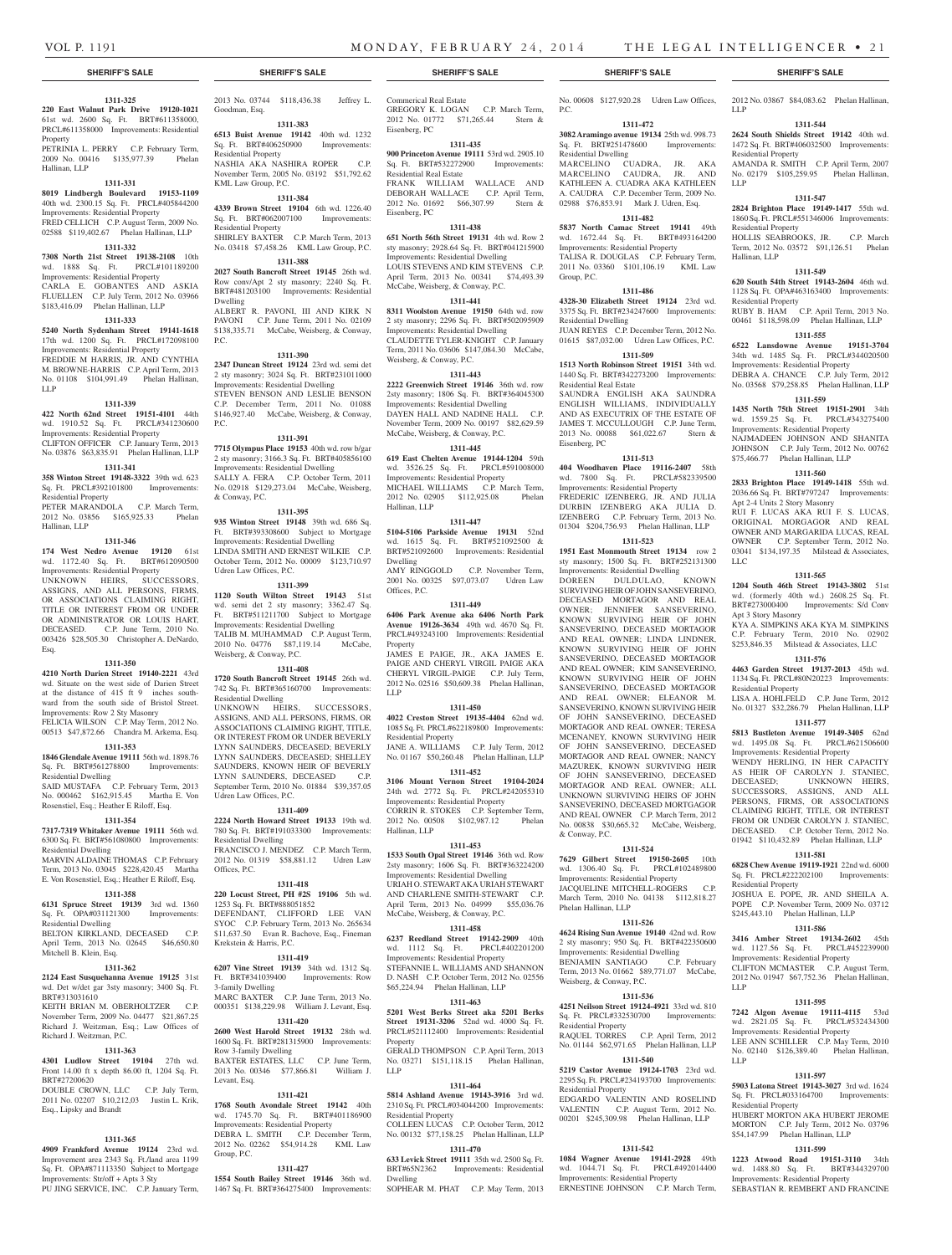P.C.

Residential Dwelling

Group, P.C.

Residential Dwelling

Residential Real Estate

Eisenberg, PC

& Conway, P.C.

Phelan Hallinan, LLP

Weisberg, & Conway, P.C.

Residential Property

Residential Property

**1311-524 7629 Gilbert Street 19150-2605** 10th wd. 1306.40 Sq. Ft. PRCL#102489800 Improvements: Residential Property JACQUELINE MITCHELL-ROGERS C.P. March Term, 2010 No. 04138 \$112,818.27

**1311-526 4624 Rising Sun Avenue 19140** 42nd wd. Row 2 sty masonry; 950 Sq. Ft. BRT#422350600 Improvements: Residential Dwelling BENJAMIN SANTIAGO C.P. February Term, 2013 No. 01662 \$89,771.07 McCabe,

**1311-536 4251 Neilson Street 19124-4921** 33rd wd. 810 Sq. Ft. PRCL#332530700 Improvements:

RAQUEL TORRES C.P. April Term, 2012<br>No. 01144 \$62,971.65 Phelan Hallinan, LLP

**1311-540 5219 Castor Avenue 19124-1703** 23rd wd. 2295 Sq. Ft. PRCL#234193700 Improvements:

EDGARDO VALENTIN AND ROSELIND VALENTIN C.P. August Term, 2012 No. 00201 \$245,309.98 Phelan Hallinan, LLP

**1311-542 1084 Wagner Avenue 19141-2928** 49th wd. 1044.71 Sq. Ft. PRCL#492014400 Improvements: Residential Property ERNESTINE JOHNSON C.P. March Term,

Phelan Hallinan, LLP

No. 00608 \$127,920.28 Udren Law Offices,

2012 No. 03867 \$84,083.62 Phelan Hallinan,

**1311-544 2624 South Shields Street 19142** 40th wd. 1472 Sq. Ft. BRT#406032500 Improvements:

AMANDA R. SMITH C.P. April Term, 2007 No. 02179 \$105,259.95 Phelan Hallinan,

**1311-547 2824 Brighton Place 19149-1417** 55th wd. 1860 Sq. Ft. PRCL#551346006 Improvements:

HOLLIS SEABROOKS, JR. C.P. March Term, 2012 No. 03572 \$91,126.51 Phelan

**1311-549 620 South 54th Street 19143-2604** 46th wd. 1128 Sq. Ft. OPA#463163400 Improvements:

RUBY B. HAM C.P. April Term, 2013 No. 00461 \$118,598.09 Phelan Hallinan, LLP **1311-555 6522 Lansdowne Avenue 19151-3704**  34th wd. 1485 Sq. Ft. PRCL#344020500 Improvements: Residential Property DEBRA A. CHANCE C.P. July Term, 2012 No. 03568 \$79,258.85 Phelan Hallinan, LLP **1311-559 1435 North 75th Street 19151-2901** 34th wd. 1559.25 Sq. Ft. PRCL#343275400 Improvements: Residential Property NAJMADEEN JOHNSON AND SHANITA JOHNSON C.P. July Term, 2012 No. 00762 \$75,466.77 Phelan Hallinan, LLP **1311-560 2833 Brighton Place 19149-1418** 55th wd. 2036.66 Sq. Ft. BRT#797247 Improvements:

LLP

LLP

Residential Property

Residential Property

Residential Property

Apt 2-4 Units 2 Story Masonry

LLC

Apt 3 Story Masonry

Residential Property

Residential Property

LLP

LLP

Residential Property

RUI F. LUCAS AKA RUI F. S. LUCAS, ORIGINAL MORGAGOR AND REAL OWNER AND MARGARIDA LUCAS, REAL OWNER C.P. September Term, 2012 No. 03041 \$134,197.35 Milstead & Associates,

**1311-565 1204 South 46th Street 19143-3802** 51st wd. (formerly 40th wd.) 2608.25 Sq. Ft. BRT#273000400 Improvements: S/d Conv

KYA A. SIMPKINS AKA KYA M. SIMPKINS C.P. February Term, 2010 No. 02902 \$253,846.35 Milstead & Associates, LLC **1311-576 4463 Garden Street 19137-2013** 45th wd. 1134 Sq. Ft. PRCL#80N20223 Improvements:

LISA A. HOHLFELD C.P. June Term, 2012 No. 01327 \$32,286.79 Phelan Hallinan, LLP **1311-577 5813 Bustleton Avenue 19149-3405** 62nd wd. 1495.08 Sq. Ft. PRCL#621506600 Improvements: Residential Property WENDY HERLING, IN HER CAPACITY AS HEIR OF CAROLYN J. STANIEC, DECEASED; UNKNOWN HEIRS, SUCCESSORS, ASSIGNS, AND ALL PERSONS, FIRMS, OR ASSOCIATIONS CLAIMING RIGHT, TITLE, OR INTEREST FROM OR UNDER CAROLYN J. STANIEC, DECEASED. C.P. October Term, 2012 No. 01942 \$110,432.89 Phelan Hallinan, LLP **1311-581 6828 Chew Avenue 19119-1921** 22nd wd. 6000 Sq. Ft. PRCL#222202100 Improvements:

JOSHUA E. POPE, JR. AND SHEILA A. POPE C.P. November Term, 2009 No. 03712 \$245,443.10 Phelan Hallinan, LLP **1311-586 3416 Amber Street 19134-2602** 45th wd. 1127.56 Sq. Ft. PRCL#452239900 Improvements: Residential Property CLIFTON MCMASTER C.P. August Term, 2012 No. 01947 \$67,752.36 Phelan Hallinan,

**1311-595 7242 Algon Avenue 19111-4115** 53rd wd. 2821.05 Sq. Ft. PRCL#532434300 Improvements: Residential Property LEE ANN SCHILLER C.P. May Term, 2010 No. 02140 \$126,389.40 Phelan Hallinan,

**1311-597 5903 Latona Street 19143-3027** 3rd wd. 1624 Sq. Ft. PRCL#033164700 Improvements:

HUBERT MORTON AKA HUBERT JEROME MORTON C.P. July Term, 2012 No. 03796 \$54,147.99 Phelan Hallinan, LLP **1311-599 1223 Atwood Road 19151-3110** 34th wd. 1488.80 Sq. Ft. BRT#344329700 Improvements: Residential Property SEBASTIAN R. REMBERT AND FRANCINE

Hallinan, LLP

**1311-472 3082 Aramingo avenue 19134** 25th wd. 998.73 Sq. Ft. BRT#251478600 Improvements:

MARCELINO CUADRA, JR. AKA MARCELINO CAUDRA, JR. AND KATHLEEN A. CUADRA AKA KATHLEEN A. CAUDRA C.P. December Term, 2009 No. 02988 \$76,853.91 Mark J. Udren, Esq. **1311-482 5837 North Camac Street 19141** 49th wd. 1672.44 Sq. Ft. BRT#493164200 Improvements: Residential Property TALISA R. DOUGLAS C.P. February Term, 2011 No. 03360 \$101,106.19 KML Law

**1311-486 4328-30 Elizabeth Street 19124** 23rd wd. 3375 Sq. Ft. BRT#234247600 Improvements:

JUAN REYES C.P. December Term, 2012 No. 01615 \$87,032.00 Udren Law Offices, P.C. **1311-509 1513 North Robinson Street 19151** 34th wd. 1440 Sq. Ft. BRT#342273200 Improvements:

SAUNDRA ENGLISH AKA SAUNDRA ENGLISH WILLIAMS, INDIVIDUALLY AND AS EXECUTRIX OF THE ESTATE OF JAMES T. MCCULLOUGH C.P. June Term, 2013 No. 00088 \$61,022.67 Stern &

**1311-513 404 Woodhaven Place 19116-2407** 58th wd. 7800 Sq. Ft. PRCL#582339500 Improvements: Residential Property FREDERIC IZENBERG, JR. AND JULIA DURBIN IZENBERG AKA JULIA D. IZENBERG C.P. February Term, 2013 No. 01304 \$204,756.93 Phelan Hallinan, LLP **1311-523 1951 East Monmouth Street 19134** row 2 sty masonry; 1500 Sq. Ft. BRT#252131300 Improvements: Residential Dwelling<br>DOREEN DIJLDJJLAO KNOWN DOREEN DULDULAO.

SURVIVING HEIR OF JOHN SANSEVERINO, DECEASED MORTAGOR AND REAL OWNER; JENNIFER SANSEVERINO, KNOWN SURVIVING HEIR OF JOHN SANSEVERINO, DECEASED MORTAGOR AND REAL OWNER; LINDA LINDNER, KNOWN SURVIVING HEIR OF JOHN SANSEVERINO, DECEASED MORTAGOR AND REAL OWNER; KIM SANSEVERINO, KNOWN SURVIVING HEIR OF JOHN SANSEVERINO, DECEASED MORTAGOR AND REAL OWNER; ELEANOR M. SANSEVERINO, KNOWN SURVIVING HEIR OF JOHN SANSEVERINO, DECEASED MORTAGOR AND REAL OWNER; TERESA MCENANEY, KNOWN SURVIVING HEIR OF JOHN SANSEVERINO, DECEASED MORTAGOR AND REAL OWNER; NANCY MAZUREK, KNOWN SURVIVING HEIR OF JOHN SANSEVERINO, DECEASED MORTAGOR AND REAL OWNER; ALL UNKNOWN SURVIVING HEIRS OF JOHN SANSEVERINO, DECEASED MORTGAGOR AND REAL OWNER C.P. March Term, 2012 No. 00838 \$30,665.32 McCabe, Weisberg,

### **SHERIFF'S SALE SHERIFF'S SALE SHERIFF'S SALE SHERIFF'S SALE SHERIFF'S SALE**

### **1311-325**

**220 East Walnut Park Drive 19120-1021**  61st wd. 2600 Sq. Ft. BRT#611358000, PRCL#611358000 Improvements: Residential Property PETRINIA L. PERRY C.P. February Term,

2009 No. 00416 \$135,977.39 Phelan Hallinan, LLP

#### **1311-331 8019 Lindbergh Boulevard 19153-1109**

40th wd. 2300.15 Sq. Ft. PRCL#405844200 Improvements: Residential Property FRED CELLICH C.P. August Term, 2009 No. 02588 \$119,402.67 Phelan Hallinan, LLP

### **1311-332**

**7308 North 21st Street 19138-2108** 10th wd. 1888 Sq. Ft. PRCL#101189200 Improvements: Residential Property

CARLA E. GOBANTES AND ASKIA FLUELLEN C.P. July Term, 2012 No. 03966 \$183,416.09 Phelan Hallinan, LLP

### **1311-333**

**5240 North Sydenham Street 19141-1618**  17th wd. 1200 Sq. Ft. PRCL#172098100 Improvements: Residential Property FREDDIE M HARRIS, JR. AND CYNTHIA M. BROWNE-HARRIS C.P. April Term, 2013 No. 01108 \$104,991.49 Phelan Hallinan, LLP

### **1311-339**

**422 North 62nd Street 19151-4101** 44th wd. 1910.52 Sq. Ft. PRCL#341230600 Improvements: Residential Property CLIFTON OFFICER C.P. January Term, 2013

No. 03876 \$63,835.91 Phelan Hallinan, LLP **1311-341**

### **358 Winton Street 19148-3322** 39th wd. 623

Sq. Ft. PRCL#392101800 Improvements: Residential Property PETER MARANDOLA C.P. March Term, 2012 No. 03856 \$165,925.33 Phelan

Hallinan, LLP

### **1311-346**

**174 West Nedro Avenue 19120** 61st wd. 1172.40 Sq. Ft. BRT#612090500 Improvements: Residential Property UNKNOWN HEIRS, SUCCESSORS, ASSIGNS, AND ALL PERSONS, FIRMS, OR ASSOCIATIONS CLAIMING RIGHT, TITLE OR INTEREST FROM OR UNDER OR ADMINISTRATOR OR LOUIS HART, DECEASED. C.P. June Term, 2010 No. 003426 \$28,505.30 Christopher A. DeNardo, Esq.

### **1311-350**

**4210 North Darien Street 19140-2221** 43rd wd. Situate on the west side of Darien Street at the distance of 415 ft 9 inches southward from the south side of Bristol Street. Improvements: Row 2 Sty Masonry

### FELICIA WILSON C.P. May Term, 2012 No. 00513 \$47,872.66 Chandra M. Arkema, Esq. **1311-353**

**1846 Glendale Avenue 19111** 56th wd. 1898.76 Sq. Ft. BRT#561278800 Improvements: Residential Dwelling

SAID MUSTAFA C.P. February Term, 2013 No. 000462 \$162,915.45 Martha E. Von Rosenstiel, Esq.; Heather E Riloff, Esq.

### **1311-354**

**7317-7319 Whitaker Avenue 19111** 56th wd. 6300 Sq. Ft. BRT#561080800 Improvements: Residential Dwelling

### MARVIN ALDAINE THOMAS C.P. February Term, 2013 No. 03045 \$228,420.45 Martha E. Von Rosenstiel, Esq.; Heather E Riloff, Esq.

### **1311-358**

**6131 Spruce Street 19139** 3rd wd. 1360 Sq. Ft. OPA#031121300 Improvements: Residential Dwelling

BELTON KIRKLAND, DECEASED C.P. April Term, 2013 No. 02645 \$46,650.80 Mitchell B. Klein, Esq.

### **1311-362**

**2124 East Susquehanna Avenue 19125** 31st wd. Det w/det gar 3sty masonry; 3400 Sq. Ft. BRT#313031610 KEITH BRIAN M. OBERHOLTZER C.P. November Term, 2009 No. 04477 \$21,867.25

### Richard J. Weitzman, Esq.; Law Offices of Richard J. Weitzman, P.C. **1311-363**

**4301 Ludlow Street 19104** 27th wd. Front 14.00 ft x depth 86.00 ft, 1204 Sq. Ft. BRT#27200620 DOUBLE CROWN, LLC C.P. July Term,

2011 No. 02207 \$10,212,03 Justin L. Krik, Esq., Lipsky and Brandt

### **1311-365**

**4909 Frankford Avenue 19124** 23rd wd. Improvement area 2343 Sq. Ft./land area 1199 Sq. Ft. OPA#871113350 Subject to Mortgage Improvements: Str/off + Apts 3 Sty PU JING SERVICE, INC. C.P. January Term,

2013 No. 03744 \$118,436.38 Jeffrey L. Goodman, Esq.

**1311-383 6513 Buist Avenue 19142** 40th wd. 1232 Sq. Ft. BRT#406250900 Improvements:

Residential Property NASHIA AKA NASHIRA ROPER C.P. November Term, 2005 No. 03192 \$51,792.62 KML Law Group, P.C.

### **1311-384**

**4339 Brown Street 19104** 6th wd. 1226.40 Sq. Ft. BRT#062007100 Improvements: Residential Property SHIRLEY BAXTER C.P. March Term, 2013 No. 03418 \$7,458.26 KML Law Group, P.C.

### **1311-388**

**2027 South Bancroft Street 19145** 26th wd. Row conv/Apt 2 sty masonry; 2240 Sq. Ft. BRT#481203100 Improvements: Residential Dwelling ALBERT R. PAVONI, III AND KIRK N

PAVONI C.P. June Term, 2011 No. 02109 \$138,335.71 McCabe, Weisberg, & Conway, P.C.

### **1311-390**

**2347 Duncan Street 19124** 23rd wd. semi det 2 sty masonry; 3024 Sq. Ft. BRT#231011000 Improvements: Residential Dwelling STEVEN BENSON AND LESLIE BENSON C.P. December Term, 2011 No. 01088 \$146,927.40 McCabe, Weisberg, & Conway, P.C.

### **1311-391**

**7715 Olympus Place 19153** 40th wd. row b/gar 2 sty masonry; 3166.3 Sq. Ft. BRT#405856100 Improvements: Residential Dwelling SALLY A. FERA C.P. October Term, 2011 No. 02918 \$129,273.04 McCabe, Weisberg, & Conway, P.C.

### **1311-395**

**935 Winton Street 19148** 39th wd. 686 Sq. Ft. BRT#393308600 Subject to Mortgage Improvements: Residential Dwelling LINDA SMITH AND ERNEST WILKIE C.P. October Term, 2012 No. 00009 \$123,710.97 Udren Law Offices, P.C.

### **1311-399**

**1120 South Wilton Street 19143** 51st wd. semi det 2 sty masonry; 3362.47 Sq. Ft. BRT#511211700 Subject to Mortgage Improvements: Residential Dwelling TALIB M. MUHAMMAD C.P. August Term, 2010 No. 04776 \$87,119.14 McCabe, Weisberg, & Conway, P.C.

### **1311-408**

**1720 South Bancroft Street 19145** 26th wd. 742 Sq. Ft. BRT#365160700 Improvements: Residential Dwelling

UNKNOWN HEIRS, SUCCESSORS, ASSIGNS, AND ALL PERSONS, FIRMS, OR ASSOCIATIONS CLAIMING RIGHT, TITLE, OR INTEREST FROM OR UNDER BEVERLY LYNN SAUNDERS, DECEASED; BEVERLY LYNN SAUNDERS, DECEASED; SHELLEY SAUNDERS, KNOWN HEIR OF BEVERLY LYNN SAUNDERS, DECEASED C.P. September Term, 2010 No. 01884 \$39,357.05 Udren Law Offices, P.C.

#### **1311-409**

**2224 North Howard Street 19133** 19th wd. 780 Sq. Ft. BRT#191033300 Improvements: Residential Dwelling FRANCISCO J. MENDEZ C.P. March Term, 2012 No. 01319 \$58,881.12 Udren Law Offices, P.C.

#### **1311-418**

**220 Locust Street, PH #2S 19106** 5th wd. 1253 Sq. Ft. BRT#888051852 DEFENDANT, CLIFFORD LEE VAN SYOC C.P. February Term, 2013 No. 265634 \$11,637.50 Evan R. Bachove, Esq., Fineman Krekstein & Harris, P.C.

### **1311-419**

**6207 Vine Street 19139** 34th wd. 1312 Sq. Ft. BRT#341039400 Improvements: Row 3-family Dwelling

MARC BAXTER C.P. June Term, 2013 No. 000351 \$138,229.98 William J. Levant, Esq. **1311-420**

**2600 West Harold Street 19132** 28th wd. 1600 Sq. Ft. BRT#281315900 Improvements: Row 3-family Dwelling

BAXTER ESTATES, LLC C.P. June Term, 2013 No. 00346 \$77,866.81 William J. Levant, Esq.

### **1311-421**

**1768 South Avondale Street 19142** 40th wd. 1745.70 Sq. Ft. BRT#401186900 Improvements: Residential Property DEBRA L. SMITH C.P. December Term, 2012 No. 02262 \$54,914.28 KML Law Group, P.C.

### **1311-427**

**1554 South Bailey Street 19146** 36th wd. 1467 Sq. Ft. BRT#364275400 Improvements:

Commerical Real Estate GREGORY K. LOGAN C.P. March Term, 2012 No. 01772 \$71,265.44 Stern & Eisenberg, PC

#### **1311-435**

Eisenberg, PC

**900 Princeton Avenue 19111** 53rd wd. 2905.10 Sq. Ft. BRT#532272900 Improvements: Residential Real Estate FRANK WILLIAM WALLACE AND DEBORAH WALLACE C.P. April Term, 2012 No. 01692 \$66,307.99 Stern &

### **1311-438**

**651 North 56th Street 19131** 4th wd. Row 2 sty masonry; 2928.64 Sq. Ft. BRT#041215900 Improvements: Residential Dwelling LOUIS STEVENS AND KIM STEVENS C.P. April Term, 2013 No. 00341 \$74,493.39 McCabe, Weisberg, & Conway, P.C.

### **1311-441**

**8311 Woolston Avenue 19150** 64th wd. row 2 sty masonry; 2296 Sq. Ft. BRT#502095909 Improvements: Residential Dwelling CLAUDETTE TYLER-KNIGHT C.P. January Term, 2011 No. 03606 \$147,084.30 McCabe, Weisberg, & Conway, P.C.

#### **1311-443**

**2222 Greenwich Street 19146** 36th wd. row 2sty masonry; 1806 Sq. Ft. BRT#364045300 Improvements: Residential Dwelling DAYEN HALL AND NADINE HALL C.P. November Term, 2009 No. 00197 \$82,629.59 McCabe, Weisberg, & Conway, P.C.

### **1311-445**

**619 East Chelten Avenue 19144-1204** 59th wd. 3526.25 Sq. Ft. PRCL#591008000 Improvements: Residential Property MICHAEL WILLIAMS C.P. March Term, 2012 No. 02905 \$112,925.08 Phelan Hallinan, LLP

### **1311-447**

**5104-5106 Parkside Avenue 19131** 52nd wd. 1615 Sq. Ft. BRT#521092500 & BRT#521092600 Improvements: Residential Dwelling

AMY RINGGOLD C.P. November Term, 2001 No. 00325 \$97,073.07 Udren Law Offices, P.C.

#### **1311-449**

**6406 Park Avenue aka 6406 North Park Avenue 19126-3634** 49th wd. 4670 Sq. Ft. PRCL#493243100 Improvements: Residential Property

JAMES E PAIGE, JR., AKA JAMES E. PAIGE AND CHERYL VIRGIL PAIGE AKA CHERYL VIRGIL-PAIGE C.P. July Term, 2012 No. 02516 \$50,609.38 Phelan Hallinan, LLP

### **1311-450**

**4022 Creston Street 19135-4404** 62nd wd. 1085 Sq. Ft. PRCL#622189800 Improvements: Residential Property JANE A. WILLIAMS C.P. July Term, 2012 No. 01167 \$50,260.48 Phelan Hallinan, LLP

**1311-452**

### **3106 Mount Vernon Street 19104-2024**  24th wd. 2772 Sq. Ft. PRCL#242055310 Improvements: Residential Property

CORRIN R. STOKES C.P. September Term, 2012 No. 00508 \$102,987.12 Phelan Hallinan, LLP

### **1311-453**

**1533 South Opal Street 19146** 36th wd. Row 2sty masonry; 1606 Sq. Ft. BRT#363224200 Improvements: Residential Dwelling URIAH O. STEWART AKA URIAH STEWART AND CHARLENE SMITH-STEWART C.P. April Term, 2013 No. 04999 \$55,036.76 McCabe, Weisberg, & Conway, P.C.

### **1311-458**

**6237 Reedland Street 19142-2909** 40th wd. 1112 Sq. Ft. PRCL#402201200 Improvements: Residential Property STEFANNIE L. WILLIAMS AND SHANNON D. NASH C.P. October Term, 2012 No. 02556 \$65,224.94 Phelan Hallinan, LLP

### **1311-463**

**5201 West Berks Street aka 5201 Berks Street 19131-3206** 52nd wd. 4000 Sq. Ft. PRCL#521112400 Improvements: Residential Property GERALD THOMPSON C.P. April Term, 2013

### No. 03271 \$151,118.15 Phelan Hallinan, LLP **1311-464**

**5814 Ashland Avenue 19143-3916** 3rd wd. 2310 Sq. Ft. PRCL#034044200 Improvements:

COLLEEN LUCAS C.P. October Term, 2012 No. 00132 \$77,158.25 Phelan Hallinan, LLP **1311-470 633 Levick Street 19111** 35th wd. 2500 Sq. Ft. BRT#65N2362 Improvements: Residential

SOPHEAR M. PHAT C.P. May Term, 2013

Residential Property

Dwelling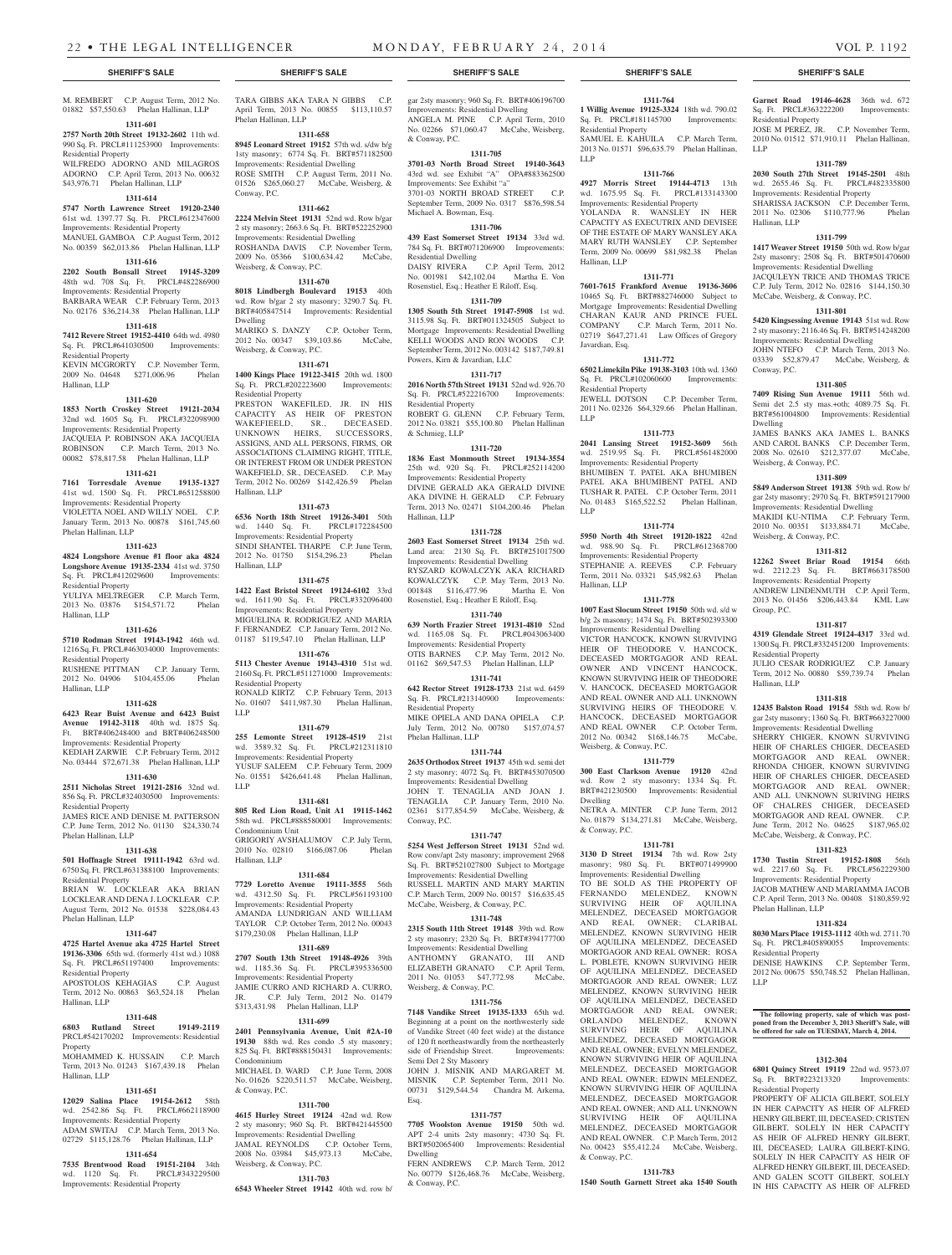### M. REMBERT C.P. August Term, 2012 No. 01882 \$57,550.63 Phelan Hallinan, LLP

**1311-601 2757 North 20th Street 19132-2602** 11th wd.

990 Sq. Ft. PRCL#111253900 Improvements: Residential Property WILFREDO ADORNO AND MILAGROS ADORNO C.P. April Term, 2013 No. 00632 \$43,976.71 Phelan Hallinan, LLP

### **1311-614**

**5747 North Lawrence Street 19120-2340**  61st wd. 1397.77 Sq. Ft. PRCL#612347600 Improvements: Residential Property MANUEL GAMBOA C.P. August Term, 2012

No. 00359 \$62,013.86 Phelan Hallinan, LLP **1311-616**

### **2202 South Bonsall Street 19145-3209**

48th wd. 708 Sq. Ft. PRCL#482286900 Improvements: Residential Property BARBARA WEAR C.P. February Term, 2013

### No. 02176 \$36,214.38 Phelan Hallinan, LLP **1311-618**

**7412 Revere Street 19152-4410** 64th wd. 4980 Sq. Ft. PRCL#641030500 Improvements: Residential Property

KEVIN MCGRORTY C.P. November Term, 2009 No. 04648 \$271,006.96 Phelan Hallinan, LLP

#### **1311-620**

**1853 North Croskey Street 19121-2034**  32nd wd. 1605 Sq. Ft. PRCL#322098900 Improvements: Residential Property JACQUEIA P. ROBINSON AKA JACQUEIA ROBINSON C.P. March Term, 2013 No.

### 00082 \$78,817.58 Phelan Hallinan, LLP **1311-621**

**7161 Torresdale Avenue 19135-1327**  41st wd. 1500 Sq. Ft. PRCL#651258800 Improvements: Residential Property VIOLETTA NOEL AND WILLY NOEL C.P. January Term, 2013 No. 00878 \$161,745.60 Phelan Hallinan, LLP

### **1311-623**

**4824 Longshore Avenue #1 floor aka 4824 Longshore Avenue 19135-2334** 41st wd. 3750 Sq. Ft. PRCL#412029600 Improvements: Residential Property

YULIYA MELTREGER C.P. March Term, 2013 No. 03876 \$154,571.72 Phelan Hallinan, LLP

#### **1311-626**

**5710 Rodman Street 19143-1942** 46th wd. 1216 Sq. Ft. PRCL#463034000 Improvements: Residential Property

RUSHENE PITTMAN C.P. January Term, 2012 No. 04906 \$104,455.06 Phelan

### **1311-628**

Hallinan, LLP

**6423 Rear Buist Avenue and 6423 Buist Avenue 19142-3118** 40th wd. 1875 Sq. Ft. BRT#406248400 and BRT#406248500 Improvements: Residential Property

KEDIAH ZARWIE C.P. February Term, 2012 No. 03444 \$72,671.38 Phelan Hallinan, LLP

### **1311-630**

**2511 Nicholas Street 19121-2816** 32nd wd. 856 Sq. Ft. PRCL#324030500 Improvements: Residential Property JAMES RICE AND DENISE M. PATTERSON

C.P. June Term, 2012 No. 01130 \$24,330.74 Phelan Hallinan, LLP

### **1311-638**

**501 Hoffnagle Street 19111-1942** 63rd wd. 6750 Sq. Ft. PRCL#631388100 Improvements: Residential Property BRIAN W. LOCKLEAR AKA BRIAN LOCKLEAR AND DENA J. LOCKLEAR C.P. August Term, 2012 No. 01538 \$228,084.43 Phelan Hallinan, LLP

### **1311-647**

**4725 Hartel Avenue aka 4725 Hartel Street 19136-3306** 65th wd. (formerly 41st wd.) 1088 Sq. Ft. PRCL#651197400 Improvements: Residential Property

### APOSTOLOS KEHAGIAS C.P. August Term, 2012 No. 00863 \$63,524.18 Phelan

Hallinan, LLP **1311-648 6803 Rutland Street 19149-2119** 

### PRCL#542170202 Improvements: Residential **Property** MOHAMMED K. HUSSAIN C.P. March

Term, 2013 No. 01243 \$167,439.18 Phelan Hallinan, LLP

### **1311-651**

**12029 Salina Place 19154-2612** 58th wd. 2542.86 Sq. Ft. PRCL#662118900 Improvements: Residential Property ADAM SWITAJ C.P. March Term, 2013 No. 02729 \$115,128.76 Phelan Hallinan, LLP

### **1311-654**

**7535 Brentwood Road 19151-2104** 34th wd. 1120 Sq. Ft. PRCL#343229500 Improvements: Residential Property

TARA GIBBS AKA TARA N GIBBS C.P. April Term, 2013 No. 00855 \$113,110.57 Phelan Hallinan, LLP

### **1311-658**

**8945 Leonard Street 19152** 57th wd. s/dw b/g 1sty masonry; 6774 Sq. Ft. BRT#571182500 Improvements: Residential Dwelling ROSE SMITH C.P. August Term, 2011 No. 01526 \$265,060.27 McCabe, Weisberg, & Conway, P.C.

### **1311-662**

**2224 Melvin Steet 19131** 52nd wd. Row b/gar 2 sty masonry; 2663.6 Sq. Ft. BRT#522252900 Improvements: Residential Dwelling ROSHANDA DAVIS C.P. November Term, 2009 No. 05366 \$100,634.42 McCabe, Weisberg, & Conway, P.C.

### **1311-670**

**8018 Lindbergh Boulevard 19153** 40th wd. Row b/gar 2 sty masonry; 3290.7 Sq. Ft. BRT#405847514 Improvements: Residential Dwelling MARIKO S. DANZY C.P. October Term, 2012 No. 00347 \$39,103.86 McCabe, Weisberg, & Conway, P.C.

### **1311-671**

**1400 Kings Place 19122-3415** 20th wd. 1800 Sq. Ft. PRCL#202223600 Improvements: Residential Property PRESTON WAKEFILED, JR. IN HIS CAPACITY AS HEIR OF PRESTON WAKEFIEELD, SR., DECEASED. UNKNOWN HEIRS, SUCCESSORS, ASSIGNS, AND ALL PERSONS, FIRMS, OR ASSOCIATIONS CLAIMING RIGHT, TITLE, OR INTEREST FROM OR UNDER PRESTON WAKEFIELD, SR., DECEASED. C.P. May Term, 2012 No. 00269 \$142,426.59 Phelan Hallinan, LLP

### **1311-673**

**6536 North 18th Street 19126-3401** 50th wd. 1440 Sq. Ft. PRCL#172284500 Improvements: Residential Property

SINDI SHANTEL THARPE C.P. June Term, 2012 No. 01750 \$154,296.23 Phelan Hallinan, LLP **1311-675**

**1422 East Bristol Street 19124-6102** 33rd wd. 1611.90 Sq. Ft. PRCL#332096400 Improvements: Residential Property MIGUELINA R. RODRIGUEZ AND MARIA F. FERNANDEZ C.P. January Term, 2012 No. 01187 \$119,547.10 Phelan Hallinan, LLP

### **1311-676**

**5113 Chester Avenue 19143-4310** 51st wd. 2160 Sq. Ft. PRCL#511271000 Improvements: Residential Property RONALD KIRTZ C.P. February Term, 2013 No. 01607 \$411,987.30 Phelan Hallinan, LLP

### **1311-679**

**255 Lemonte Street 19128-4519** 21st wd. 3589.32 Sq. Ft. PRCL#212311810 Improvements: Residential Property YUSUF SALEEM C.P. February Term, 2009 No. 01551 \$426,641.48 Phelan Hallinan, LLP

### **1311-681**

**805 Red Lion Road, Unit A1 19115-1462**  58th wd. PRCL#888580001 Improvements: Condominium Unit GRIGORIY AVSHALUMOV C.P. July Term, 2010 No. 02810 \$166,087.06 Phelan Hallinan, LLP

### **1311-684**

**7729 Loretto Avenue 19111-3555** 56th wd. 4312.50 Sq. Ft. PRCL#561193100 Improvements: Residential Property AMANDA LUNDRIGAN AND WILLIAM TAYLOR C.P. October Term, 2012 No. 00043 \$179,230.08 Phelan Hallinan, LLP

### **1311-689**

**2707 South 13th Street 19148-4926** 39th wd. 1185.36 Sq. Ft. PRCL#395336500 Improvements: Residential Property JAMIE CURRO AND RICHARD A. CURRO,<br>JR. C.P. July Term. 2012 No. 01479 C.P. July Term, 2012 No. 01479 \$313,431.98 Phelan Hallinan, LLP

### **1311-699**

**2401 Pennsylvania Avenue, Unit #2A-10 19130** 88th wd. Res condo .5 sty masonry; 825 Sq. Ft. BRT#888150431 Improvements: Condominium MICHAEL D. WARD C.P. June Term, 2008 No. 01626 \$220,511.57 McCabe, Weisberg,

### **1311-700**

& Conway, P.C.

**4615 Hurley Street 19124** 42nd wd. Row 2 sty masonry; 960 Sq. Ft. BRT#421445500 Improvements: Residential Dwelling JAMAL REYNOLDS C.P. October Term, 2008 No. 03984 \$45,973.13 McCabe, Weisberg, & Conway, P.C.

### **1311-703**

**6543 Wheeler Street 19142** 40th wd. row b/

### **SHERIFF'S SALE SHERIFF'S SALE SHERIFF'S SALE SHERIFF'S SALE SHERIFF'S SALE**

gar 2sty masonry; 960 Sq. Ft. BRT#406196700 Improvements: Residential Dwelling ANGELA M. PINE C.P. April Term, 2010 No. 02266 \$71,060.47 McCabe, Weisberg, & Conway, P.C.

**1311-764 1 Willig Avenue 19125-3324** 18th wd. 790.02 Sq. Ft. PRCL#181145700 Improvements:

**Garnet Road 19146-4628** 36th wd. 672 Sq. Ft. PRCL#363222200 Improvements:

JOSE M PEREZ, JR. C.P. November Term, 2010 No. 01512 \$71,910.11 Phelan Hallinan,

**1311-789 2030 South 27th Street 19145-2501** 48th wd. 2655.46 Sq. Ft. PRCL#482335800 Improvements: Residential Property SHARISSA JACKSON C.P. December Term,<br>2011 No. 02306 \$110,777.96 Phelan 2011 No. 02306 \$110,777.96

**1311-799 1417 Weaver Street 19150** 50th wd. Row b/gar 2sty masonry; 2508 Sq. Ft. BRT#501470600 Improvements: Residential Dwelling JACQULEYN TRICE AND THOMAS TRICE C.P. July Term, 2012 No. 02816 \$144,150.30 McCabe, Weisberg, & Conway, P.C. **1311-801 5420 Kingsessing Avenue 19143** 51st wd. Row 2 sty masonry; 2116.46 Sq. Ft. BRT#514248200 Improvements: Residential Dwelling JOHN NTEFO C.P. March Term, 2013 No. 03339 \$52,879.47 McCabe, Weisberg, &

**1311-805 7409 Rising Sun Avenue 19111** 56th wd. Semi det 2.5 sty mas.+oth; 4089.75 Sq. Ft. BRT#561004800 Improvements: Residential

JAMES BANKS AKA JAMES L. BANKS AND CAROL BANKS C.P. December Term, 2008 No. 02610 \$212,377.07 McCabe,

**1311-809 5849 Anderson Street 19138** 59th wd. Row b/ gar 2sty masonry; 2970 Sq. Ft. BRT#591217900 Improvements: Residential Dwelling MAKIDI KU-NTIMA C.P. February Term, 2010 No. 00351 \$133,884.71 McCabe,

**1311-812 12262 Sweet Briar Road 19154** 66th wd. 2212.23 Sq. Ft. BRT#663178500 Improvements: Residential Property ANDREW LINDENMUTH C.P. April Term, 2013 No. 01456 \$206,443.84 KML Law

**1311-817 4319 Glendale Street 19124-4317** 33rd wd. 1300 Sq. Ft. PRCL#332451200 Improvements:

JULIO CESAR RODRIGUEZ C.P. January Term, 2012 No. 00880 \$59,739.74 Phelan

**1311-818 12435 Balston Road 19154** 58th wd. Row b/ gar 2sty masonry; 1360 Sq. Ft. BRT#663227000 Improvements: Residential Dwelling SHERRY CHIGER, KNOWN SURVIVING HEIR OF CHARLES CHIGER, DECEASED MORTGAGOR AND REAL OWNER; RHONDA CHIGER, KNOWN SURVIVING HEIR OF CHARLES CHIGER, DECEASED MORTGAGOR AND REAL OWNER; AND ALL UNKNOWN SURIVING HEIRS OF CHALRES CHIGER, DECEASED MORTGAGOR AND REAL OWNER. C.P. June Term, 2012 No. 04625 \$187,965.02 McCabe, Weisberg, & Conway, P.C. **1311-823 1730 Tustin Street 19152-1808** 56th wd. 2217.60 Sq. Ft. PRCL#562229300 Improvements: Residential Property JACOB MATHEW AND MARIAMMA JACOB C.P. April Term, 2013 No. 00408 \$180,859.92

Residential Property

Hallinan, LLP

Conway, P.C.

Dwelling

Weisberg, & Conway, P.C.

Weisberg, & Conway, P.C.

Group, P.C.

Residential Property

Phelan Hallinan, LLP

Residential Property

Residential Property

LLP

**1311-824 8030 Mars Place 19153-1112** 40th wd. 2711.70 Sq. Ft. PRCL#405890055 Improvements:

DENISE HAWKINS C.P. September Term, 2012 No. 00675 \$50,748.52 Phelan Hallinan,

**The following property, sale of which was postponed from the December 3, 2013 Sheriff's Sale, will be offered for sale on TUESDAY, March 4, 2014.**

**1312-304 6801 Quincy Street 19119** 22nd wd. 9573.07 Sq. Ft. BRT#223213320 Improvements:

PROPERTY OF ALICIA GILBERT, SOLELY IN HER CAPACITY AS HEIR OF ALFRED HENRY GILBERT, III, DECEASED; CRISTEN GILBERT, SOLELY IN HER CAPACITY AS HEIR OF ALFRED HENRY GILBERT, III, DECEASED; LAURA GILBERT-KING, SOLELY IN HER CAPACITY AS HEIR OF ALFRED HENRY GILBERT, III, DECEASED; AND GALEN SCOTT GILBERT, SOLELY IN HIS CAPACITY AS HEIR OF ALFRED

Hallinan, LLP

LLP

SAMUEL E. KAHUILA C.P. March Term, 2013 No. 01571 \$96,635.79 Phelan Hallinan,

**1311-766 4927 Morris Street 19144-4713** 13th wd. 1675.95 Sq. Ft. PRCL#133143300 Improvements: Residential Property YOLANDA R. WANSLEY IN HER CAPACITY AS EXECUTRIX AND DEVISEE OF THE ESTATE OF MARY WANSLEY AKA MARY RUTH WANSLEY C.P. September Term, 2009 No. 00699 \$81,982.38 Phelan

**1311-771 7601-7615 Frankford Avenue 19136-3606**  10465 Sq. Ft. BRT#882746000 Subject to Mortgage Improvements: Residential Dwelling CHARAN KAUR AND PRINCE FUEL COMPANY C.P. March Term, 2011 No. 02719 \$647,271.41 Law Offices of Gregory

**1311-772 6502 Limekiln Pike 19138-3103** 10th wd. 1360 Sq. Ft. PRCL#102060600 Improvements:

JEWELL DOTSON C.P. December Term, 2011 No. 02326 \$64,329.66 Phelan Hallinan,

**1311-773 2041 Lansing Street 19152-3609** 56th wd. 2519.95 Sq. Ft. PRCL#561482000 Improvements: Residential Property BHUMIBEN T. PATEL AKA BHUMIBEN PATEL AKA BHUMIBENT PATEL AND TUSHAR R. PATEL C.P. October Term, 2011 No. 01483 \$165,522.52 Phelan Hallinan,

**1311-774 5950 North 4th Street 19120-1822** 42nd wd. 988.90 Sq. Ft. PRCL#612368700 Improvements: Residential Property<br>STEPHANIE A REEVES CP February

Term, 2011 No. 03321 \$45,982.63 Phelan

**1311-778 1007 East Slocum Street 19150** 50th wd. s/d w b/g 2s masonry; 1474 Sq. Ft. BRT#502393300 Improvements: Residential Dwelling VICTOR HANCOCK, KNOWN SURVIVING HEIR OF THEODORE V. HANCOCK, DECEASED MORTGAGOR AND REAL OWNER AND VINCENT HANCOCK, KNOWN SURVIVING HEIR OF THEODORE V. HANCOCK, DECEASED MORTGAGOR AND REAL OWNER AND ALL UNKNOWN SURVIVING HEIRS OF THEODORE V. HANCOCK, DECEASED MORTGAGOR AND REAL OWNER C.P. October Term, 2012 No. 00342 \$168,146.75 McCabe,

**1311-779 300 East Clarkson Avenue 19120** 42nd wd. Row 2 sty masonry; 1334 Sq. Ft. BRT#421230500 Improvements: Residential

NETRA A. MINTER C.P. June Term, 2012 No. 01879 \$134,271.81 McCabe, Weisberg,

**1311-781 3130 D Street 19134** 7th wd. Row 2sty masonry; 980 Sq. Ft. BRT#071499900 Improvements: Residential Dwelling TO BE SOLD AS THE PROPERTY OF FERNANDO MELENDEZ, KNOWN SURVIVING HEIR OF AQUILINA MELENDEZ, DECEASED MORTGAGOR AND REAL OWNER; CLARIBAL MELENDEZ, KNOWN SURVIVING HEIR OF AQUILINA MELENDEZ, DECEASED MORTGAGOR AND REAL OWNER; ROSA L. POBLETE, KNOWN SURVIVING HEIR OF AQUILINA MELENDEZ, DECEASED MORTGAGOR AND REAL OWNER; LUZ MELENDEZ, KNOWN SURVIVING HEIR OF AQUILINA MELENDEZ, DECEASED MORTGAGOR AND REAL OWNER; ORLANDO MELENDEZ, KNOWN SURVIVING HEIR OF AQUILINA MELENDEZ, DECEASED MORTGAGOR AND REAL OWNER; EVELYN MELENDEZ, KNOWN SURVIVING HEIR OF AQUILINA MELENDEZ, DECEASED MORTGAGOR AND REAL OWNER; EDWIN MELENDEZ, KNOWN SURVIVING HEIR OF AQUILINA MELENDEZ, DECEASED MORTGAGOR AND REAL OWNER; AND ALL UNKNOWN SURVIVING HEIR OF AQUILINA MELENDEZ, DECEASED MORTGAGOR AND REAL OWNER. C.P. March Term, 2012 No. 00423 \$55,412.24 McCabe, Weisberg,

STEPHANIE A. REEVES

Weisberg, & Conway, P.C.

Dwelling

& Conway, P.C.

& Conway, P.C.

**1311-783 1540 South Garnett Street aka 1540 South** 

Hallinan, LLP

Residential Property

Hallinan, LLP

Javardian, Esq.

Residential Property

LLP

LLP

LLP

### **1311-705 3701-03 North Broad Street 19140-3643**

43rd wd. see Exhibit "A" OPA#883362500 Improvements: See Exhibit "a"

3701-03 NORTH BROAD STREET C.P. September Term, 2009 No. 0317 \$876,598.54

## Michael A. Bowman, Esq.

**1311-706 439 East Somerset Street 19134** 33rd wd. 784 Sq. Ft. BRT#071206900 Improvements: Residential Dwelling DAISY RIVERA C.P. April Term, 2012 No. 001981 \$42,102.04 Martha E. Von Rosenstiel, Esq.; Heather E Riloff, Esq.

## **1311-709**

**1305 South 5th Street 19147-5908** 1st wd. 3115.98 Sq. Ft. BRT#011324505 Subject to Mortgage Improvements: Residential Dwelling KELLI WOODS AND RON WOODS C.P. September Term, 2012 No. 003142 \$187,749.81 Powers, Kirn & Javardian, LLC

#### **1311-717**

**2016 North 57th Street 19131** 52nd wd. 926.70 Sq. Ft. PRCL#522216700 Improvements: Residential Property ROBERT G. GLENN C.P. February Term

2012 No. 03821 \$55,100.80 Phelan Hallinan & Schmieg, LLP **1311-720**

**1836 East Monmouth Street 19134-3554**  25th wd. 920 Sq. Ft. PRCL#252114200 Improvements: Residential Property DIVINE GERALD AKA GERALD DIVINE AKA DIVINE H. GERALD C.P. February Term, 2013 No. 02471 \$104,200.46 Phelan Hallinan, LLP

### **1311-728**

**2603 East Somerset Street 19134** 25th wd. Land area: 2130 Sq. Ft. BRT#251017500 Improvements: Residential Dwelling RYSZARD KOWALCZYK AKA RICHARD KOWALCZYK C.P. May Term, 2013 No. 001848 \$116,477.96 Martha E. Von Rosenstiel, Esq.; Heather E Riloff, Esq.

### **1311-740**

**639 North Frazier Street 19131-4810** 52nd wd. 1165.08 Sq. Ft. PRCL#043063400 Improvements: Residential Property OTIS BARNES C.P. May Term, 2012 No. 01162 \$69,547.53 Phelan Hallinan, LLP

**1311-741 642 Rector Street 19128-1733** 21st wd. 6459 Sq. Ft. PRCL#213140900 Improvements: Residential Property

MIKE OPIELA AND DANA OPIELA C.P. July Term, 2012 No. 00780 \$157,074.57 Phelan Hallinan, LLP

### **1311-744**

**2635 Orthodox Street 19137** 45th wd. semi det 2 sty masonry; 4072 Sq. Ft. BRT#453070500 Improvements: Residential Dwelling JOHN T. TENAGLIA AND JOAN J. TENAGLIA C.P. January Term, 2010 No. 02361 \$177,854.59 McCabe, Weisberg, & Conway, P.C.

### **1311-747**

**5254 West Jefferson Street 19131** 52nd wd. Row conv/apt 2sty masonry; improvement 2968 Sq. Ft. BRT#521027800 Subject to Mortgage Improvements: Residential Dwelling RUSSELL MARTIN AND MARY MARTIN C.P. March Term, 2009 No. 00157 \$16,635.45 McCabe, Weisberg, & Conway, P.C.

#### **1311-748**

**2315 South 11th Street 19148** 39th wd. Row 2 sty masonry; 2320 Sq. Ft. BRT#394177700 Improvements: Residential Dwelling ANTHOMNY GRANATO, III AND ELIZABETH GRANATO C.P. April Term, 2011 No. 01053 \$47,772.98 McCabe, Weisberg, & Conway, P.C.

### **1311-756**

**7148 Vandike Street 19135-1333** 65th wd. Beginning at a point on the northwesterly side of Vandike Street (40 feet wide) at the distance of 120 ft northeastwardly from the northeasterly side of Friendship Street. Improvements: Semi Det 2 Sty Masonry

JOHN J. MISNIK AND MARGARET M. MISNIK C.P. September Term, 2011 No. 00731 \$129,544.54 Chandra M. Arkema, Esq.

### **1311-757 7705 Woolston Avenue 19150** 50th wd. APT 2-4 units 2sty masonry; 4730 Sq. Ft.

Dwelling

& Conway, P.C.

BRT#502065400 Improvements: Residential

FERN ANDREWS C.P. March Term, 2012 No. 00779 \$126,468.76 McCabe, Weisberg,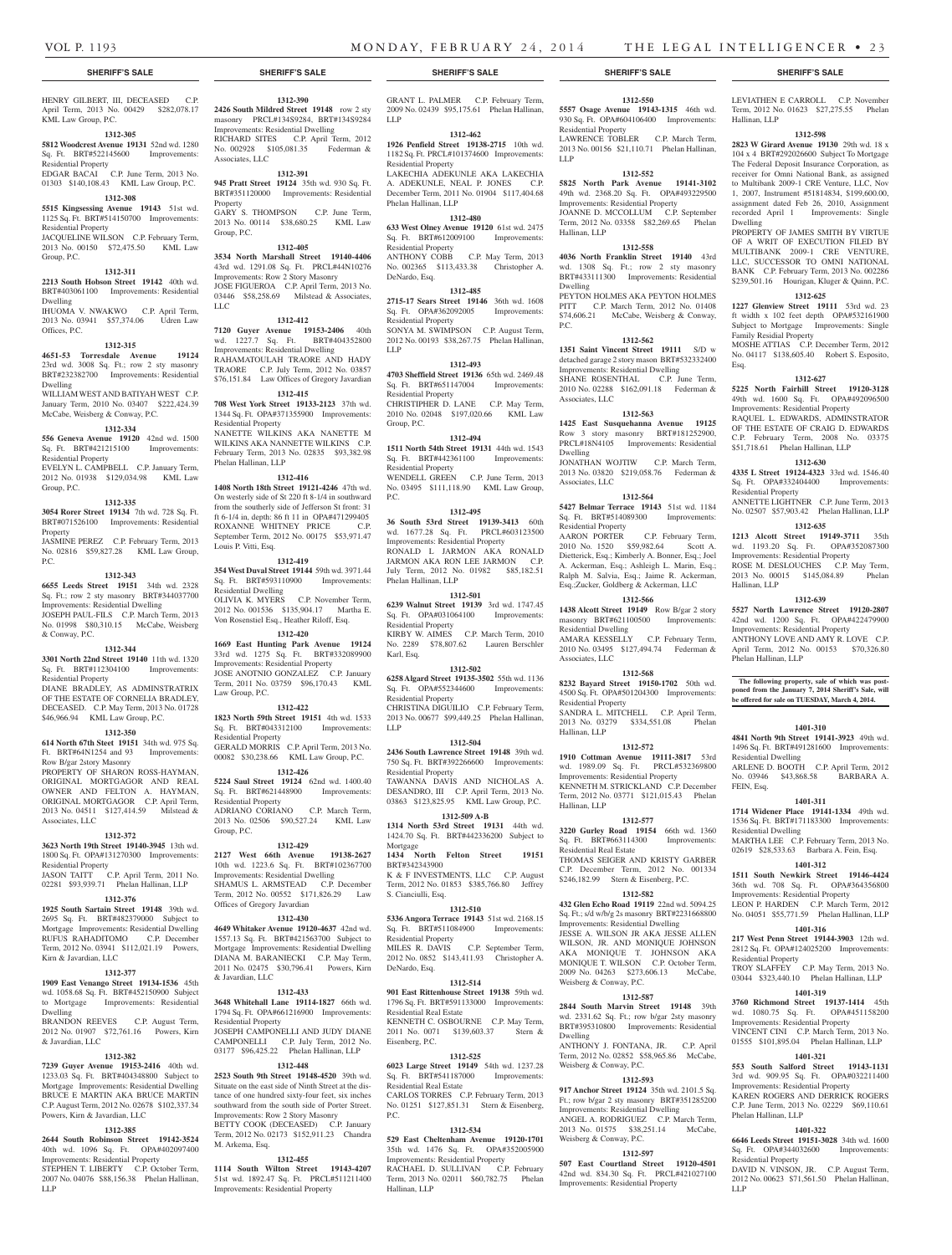Residential Property

LLP

Hallinan, LLP

Dwelling

Associates, LLC

Associates, LLC

Residential Property<br>AARON PORTER

Residential Dwelling

Associates, LLC

Residential Property

Hallinan, LLP

Hallinan, LLP

Residential Real Estate

Weisberg & Conway, P.C.

Weisberg & Conway, P.C.

Weisberg & Conway, P.C.

Dwelling

Dwelling

P.C.

**1312-550 5557 Osage Avenue 19143-1315** 46th wd. 930 Sq. Ft. OPA#604106400 Improvements:

LEVIATHEN E CARROLL C.P. November Term, 2012 No. 01623 \$27,275.55 Phelan

**1312-598 2823 W Girard Avenue 19130** 29th wd. 18 x 104 x 4 BRT#292026600 Subject To Mortgage The Federal Deposit Insurance Corporation, as receiver for Omni National Bank, as assigned to Multibank 2009-1 CRE Venture, LLC, Nov 1, 2007, Instrument #51814834, \$199,600.00, assignment dated Feb 26, 2010, Assignment recorded April 1 Improvements: Single

PROPERTY OF JAMES SMITH BY VIRTUE OF A WRIT OF EXECUTION FILED BY MULTIBANK 2009-1 CRE VENTURE, LLC, SUCCESSOR TO OMNI NATIONAL BANK C.P. February Term, 2013 No. 002286 \$239,501.16 Hourigan, Kluger & Quinn, P.C. **1312-625 1227 Glenview Street 19111** 53rd wd. 23 ft width x 102 feet depth OPA#532161900 Subject to Mortgage Improvements: Single

MOSHE ATTIAS C.P. December Term, 2012 No. 04117 \$138,605.40 Robert S. Esposito,

**1312-627 5225 North Fairhill Street 19120-3128**  49th wd. 1600 Sq. Ft. OPA#492096500 Improvements: Residential Property RAQUEL L. EDWARDS, ADMINSTRATOR OF THE ESTATE OF CRAIG D. EDWARDS C.P. February Term, 2008 No. 03375 \$51,718.61 Phelan Hallinan, LLP **1312-630 4335 L Street 19124-4323** 33rd wd. 1546.40 Sq. Ft. OPA#332404400 Improvements:

ANNETTE LIGHTNER C.P. June Term, 2013 No. 02507 \$57,903.42 Phelan Hallinan, LLP **1312-635 1213 Alcott Street 19149-3711** 35th wd. 1193.20 Sq. Ft. OPA#352087300 Improvements: Residential Property ROSE M. DESLOUCHES C.P. May Term, 2013 No. 00015 \$145,084.89 Phelan

**1312-639 5527 North Lawrence Street 19120-2807**  42nd wd. 1200 Sq. Ft. OPA#422479900 Improvements: Residential Property ANTHONY LOVE AND AMY R. LOVE C.P. April Term, 2012 No. 00153 \$70,326.80

**The following property, sale of which was post-poned from the January 7, 2014 Sheriff's Sale, will be offered for sale on TUESDAY, March 4, 2014.**

**1401-310 4841 North 9th Street 19141-3923** 49th wd. 1496 Sq. Ft. BRT#491281600 Improvements:

ARLENE D. BOOTH C.P. April Term, 2012 No. 03946 \$43,868.58 BARBARA A.

**1401-311 1714 Widener Place 19141-1334** 49th wd. 1536 Sq. Ft. BRT#171183300 Improvements:

MARTHA LEE C.P. February Term, 2013 No. 02619 \$28,533.63 Barbara A. Fein, Esq. **1401-312 1511 South Newkirk Street 19146-4424**  36th wd. 708 Sq. Ft. OPA#364356800 Improvements: Residential Property LEON P. HARDEN C.P. March Term, 2012 No. 04051 \$55,771.59 Phelan Hallinan, LLP **1401-316 217 West Penn Street 19144-3903** 12th wd. 2812 Sq. Ft. OPA#124025200 Improvements:

TROY SLAFFEY C.P. May Term, 2013 No. 03044 \$323,440.10 Phelan Hallinan, LLP **1401-319 3760 Richmond Street 19137-1414** 45th wd. 1080.75 Sq. Ft. OPA#451158200 Improvements: Residential Property VINCENT CINI C.P. March Term, 2013 No. 01555 \$101,895.04 Phelan Hallinan, LLP **1401-321 553 South Salford Street 19143-1131**  3rd wd. 909.95 Sq. Ft. OPA#032211400 Improvements: Residential Property KAREN ROGERS AND DERRICK ROGERS C.P. June Term, 2013 No. 02229 \$69,110.61

**1401-322 6646 Leeds Street 19151-3028** 34th wd. 1600<br>Sq. Ft. OPA#344032600 Improvements:

DAVID N. VINSON, JR. C.P. August Term, 2012 No. 00623 \$71,561.50 Phelan Hallinan,

Hallinan, LLP

Dwelling

Esq.

Family Residial Property

Residential Property

Hallinan, LLP

Phelan Hallinan, LLP

Residential Dwelling

Residential Dwelling

Residential Property

Phelan Hallinan, LLP

LLP

Sq. Ft. OPA#344032600 Residential Property

FEIN, Esq.

LAWRENCE TOBLER C.P. March Term, 2013 No. 00156 \$21,110.71 Phelan Hallinan,

**1312-552 5825 North Park Avenue 19141-3102**  49th wd. 2368.20 Sq. Ft. OPA#493229500 Improvements: Residential Property JOANNE D. MCCOLLUM C.P. September Term, 2012 No. 03358 \$82,269.65 Phelan

**1312-558 4036 North Franklin Street 19140** 43rd wd. 1308 Sq. Ft.; row 2 sty masonry BRT#433111300 Improvements: Residential

PEYTON HOLMES AKA PEYTON HOLMES PITT C.P. March Term, 2012 No. 01408 \$74,606.21 McCabe, Weisberg & Conway,

**1312-562 1351 Saint Vincent Street 19111** S/D w detached garage 2 story mason BRT#532332400 Improvements: Residential Dwelling SHANE ROSENTHAL C.P. June Term, 2010 No. 02288 \$162,091.18 Federman &

**1312-563 1425 East Susquehanna Avenue 19125**  Row 3 story masonry BRT#181252900, PRCL#18N4105 Improvements: Residential

JONATHAN WOJTIW C.P. March Term, 2013 No. 03820 \$219,058.76 Federman &

**1312-564 5427 Belmar Terrace 19143** 51st wd. 1184 Sq. Ft. BRT#514089300 Improvements:

2010 No. 1520 \$59,982.64 Scott A. Dietterick, Esq.; Kimberly A. Bonner, Esq.; Joel A. Ackerman, Esq.; Ashleigh L. Marin, Esq.; Ralph M. Salvia, Esq.; Jaime R. Ackerman, Esq.;Zucker, Goldberg & Ackerman, LLC **1312-566 1438 Alcott Street 19149** Row B/gar 2 story masonry BRT#621100500 Improvements:

AMARA KESSELLY C.P. February Term, 2010 No. 03495 \$127,494.74 Federman &

**1312-568 8232 Bayard Street 19150-1702** 50th wd. 4500 Sq. Ft. OPA#501204300 Improvements:

SANDRA L. MITCHELL C.P. April Term, 2013 No. 03279 \$334,551.08 Phelan

**1312-572 1910 Cottman Avenue 19111-3817** 53rd wd. 1989.09 Sq. Ft. PRCL#532369800 Improvements: Residential Property KENNETH M. STRICKLAND C.P. December Term, 2012 No. 03771 \$121,015.43 Phelan

**1312-577 3220 Gurley Road 19154** 66th wd. 1360 Sq. Ft. BRT#663114300 Improvements:

THOMAS SEIGER AND KRISTY GARBER C.P. December Term, 2012 No. 001334 \$246,182.99 Stern & Eisenberg, P.C. **1312-582 432 Glen Echo Road 19119** 22nd wd. 5094.25 Sq. Ft.; s/d w/b/g 2s masonry BRT#2231668800 Improvements: Residential Dwelling JESSE A. WILSON JR AKA JESSE ALLEN WILSON, JR. AND MONIQUE JOHNSON AKA MONIQUE T. JOHNSON AKA MONIQUE T. WILSON C.P. October Term, 2009 No. 04263 \$273,606.13 McCabe,

**1312-587 2844 South Marvin Street 19148** 39th wd. 2331.62 Sq. Ft.; row b/gar 2sty masonry BRT#395310800 Improvements: Residential

ANTHONY J. FONTANA, JR. C.P. April Term, 2012 No. 02852 \$58,965.86 McCabe,

**1312-593 917 Anchor Street 19124** 35th wd. 2101.5 Sq. Ft.; row b/gar 2 sty masonry BRT#351285200 Improvements: Residential Dwelling ANGEL A. RODRIGUEZ C.P. March Term, 2013 No. 01575 \$38,251.14 McCabe,

**1312-597 507 East Courtland Street 19120-4501**  42nd wd. 834.30 Sq. Ft. PRCL#421027100 Improvements: Residential Property

C.P. February Term,

### **SHERIFF'S SALE SHERIFF'S SALE SHERIFF'S SALE SHERIFF'S SALE SHERIFF'S SALE**

HENRY GILBERT, III, DECEASED C.P. April Term, 2013 No. 00429 \$282,078.17 KML Law Group, P.C.

#### **1312-305**

**5812 Woodcrest Avenue 19131** 52nd wd. 1280 Sq. Ft. BRT#522145600 Improvements: Residential Property

### EDGAR BACAI C.P. June Term, 2013 No. 01303 \$140,108.43 KML Law Group, P.C.

**1312-308 5515 Kingsessing Avenue 19143** 51st wd.

### 1125 Sq. Ft. BRT#514150700 Improvements: Residential Property

JACQUELINE WILSON C.P. February Term, 2013 No. 00150 \$72,475.50 KML Law Group, P.C.

### **1312-311**

**2213 South Hobson Street 19142** 40th wd. BRT#403061100 Improvements: Residential Dwelling IHUOMA V. NWAKWO C.P. April Term,

### 2013 No. 03941 \$57,374.06 Udren Law Offices, P.C.

**1312-315**

#### **4651-53 Torresdale Avenue 19124**  23rd wd. 3008 Sq. Ft.; row 2 sty masonry BRT#232382700 Improvements: Residential Dwelling

WILLIAM WEST AND BATIYAH WEST C.P. January Term, 2010 No. 03407 \$222,424.39 McCabe, Weisberg & Conway, P.C.

### **1312-334**

**556 Geneva Avenue 19120** 42nd wd. 1500 Sq. Ft. BRT#421215100 Improvements: Residential Property

EVELYN L. CAMPBELL C.P. January Term, 2012 No. 01938 \$129,034.98 KML Law Group, P.C.

#### **1312-335**

**3054 Rorer Street 19134** 7th wd. 728 Sq. Ft. BRT#071526100 Improvements: Residential **Property** JASMINE PEREZ C.P. February Term, 2013

No. 02816 \$59,827.28 KML Law Group, P.C.

### **1312-343**

**6655 Leeds Street 19151** 34th wd. 2328 Sq. Ft.; row 2 sty masonry BRT#344037700 Improvements: Residential Dwelling JOSEPH PAUL-FILS C.P. March Term, 2013 No. 01998 \$80,310.15 McCabe, Weisberg & Conway, P.C.

#### **1312-344**

**3301 North 22nd Street 19140** 11th wd. 1320 Sq. Ft. BRT#112304100 Improvements:

Residential Property DIANE BRADLEY, AS ADMINSTRATRIX OF THE ESTATE OF CORNELIA BRADLEY, DECEASED. C.P. May Term, 2013 No. 01728 \$46,966.94 KML Law Group, P.C.

### **1312-350**

**614 North 67th Steet 19151** 34th wd. 975 Sq. Ft. BRT#64N1254 and 93 Improvements: Row B/gar 2story Masonry PROPERTY OF SHARON ROSS-HAYMAN, ORIGINAL MORTGAGOR AND REAL OWNER AND FELTON A. HAYMAN, ORIGINAL MORTGAGOR C.P. April Term, 2013 No. 04511 \$127,414.59 Milstead &

### **1312-372**

Associates, LLC

### **3623 North 19th Street 19140-3945** 13th wd.

1800 Sq. Ft. OPA#131270300 Improvements: Residential Property JASON TAITT C.P. April Term, 2011 No.

02281 \$93,939.71 Phelan Hallinan, LLP

## **1312-376**

**1925 South Sartain Street 19148** 39th wd. 2695 Sq. Ft. BRT#482379000 Subject to Mortgage Improvements: Residential Dwelling RUFUS RAHADITOMO C.P. December Term, 2012 No. 03941 \$112,021.19 Powers, Kirn & Javardian, LLC

#### **1312-377**

**1909 East Venango Street 19134-1536** 45th wd. 1058.68 Sq. Ft. BRT#452150900 Subject to Mortgage Improvements: Residential Dwelling

BRANDON REEVES C.P. August Term, 2012 No. 01907 \$72,761.16 Powers, Kirn & Javardian, LLC

### **1312-382**

**7239 Guyer Avenue 19153-2416** 40th wd. 1233.03 Sq. Ft. BRT#404348800 Subject to Mortgage Improvements: Residential Dwelling BRUCE E MARTIN AKA BRUCE MARTIN C.P. August Term, 2012 No. 02678 \$102,337.34 Powers, Kirn & Javardian, LLC

### **1312-385**

**2644 South Robinson Street 19142-3524**  40th wd. 1096 Sq. Ft. OPA#402097400 Improvements: Residential Property STEPHEN T. LIBERTY C.P. October Term, 2007 No. 04076 \$88,156.38 Phelan Hallinan, LLP

**1312-390 2426 South Mildred Street 19148** row 2 sty

masonry PRCL#134S9284, BRT#134S9284 Improvements: Residential Dwelling RICHARD SITES C.P. April Term, 2012 No. 002928 \$105,081.35 Federman & Associates, LLC

#### **1312-391**

**945 Pratt Street 19124** 35th wd. 930 Sq. Ft. BRT#351120000 Improvements: Residential **Property** GARY S. THOMPSON C.P. June Term,

### 2013 No. 00114 \$38,680.25 KML Law Group, P.C. **1312-405**

### **3534 North Marshall Street 19140-4406**

43rd wd. 1291.08 Sq. Ft. PRCL#44N10276 Improvements: Row 2 Story Masonry JOSE FIGUEROA C.P. April Term, 2013 No. 03446 \$58,258.69 Milstead & Associates, LLC

### **1312-412**

**7120 Guyer Avenue 19153-2406** 40th wd. 1227.7 Sq. Ft. BRT#404352800 Improvements: Residential Dwelling RAHAMATOULAH TRAORE AND HADY TRAORE C.P. July Term, 2012 No. 03857 \$76,151.84 Law Offices of Gregory Javardian

### **1312-415**

**708 West York Street 19133-2123** 37th wd. 1344 Sq. Ft. OPA#371355900 Improvements: Residential Property NANETTE WILKINS AKA NANETTE M WILKINS AKA NANNETTE WILKINS C.P. February Term, 2013 No. 02835 \$93,382.98 Phelan Hallinan, LLP

#### **1312-416**

**1408 North 18th Street 19121-4246** 47th wd. On westerly side of St 220 ft 8-1/4 in southward from the southerly side of Jefferson St front: 31 ft 6-1/4 in, depth: 86 ft 11 in OPA#471299405 ROXANNE WHITNEY PRICE September Term, 2012 No. 00175 \$53,971.47 Louis P. Vitti, Esq.

### **1312-419**

**354 West Duval Street 19144** 59th wd. 3971.44 Sq. Ft. BRT#593110900 Improvements: Residential Dwelling OLIVIA K. MYERS C.P. November Term, 2012 No. 001536 \$135,904.17 Martha E. Von Rosenstiel Esq., Heather Riloff, Esq.

### **1312-420**

**1669 East Hunting Park Avenue 19124**  33rd wd. 1275 Sq. Ft. BRT#332089900 Improvements: Residential Property JOSE ANOTNIO GONZALEZ C.P. January Term, 2011 No. 03759 \$96,170.43 KML Law Group, P.C.

#### **1312-422**

**1823 North 59th Street 19151** 4th wd. 1533 Sq. Ft. BRT#043312100 Improvements: Residential Property GERALD MORRIS C.P. April Term, 2013 No. 00082 \$30,238.66 KML Law Group, P.C.

### **1312-426 5224 Saul Street 19124** 62nd wd. 1400.40

Sq. Ft. BRT#621448900 Improvements: Residential Property ADRIANO CORIANO C.P. March Term, 2013 No. 02506 \$90,527.24 KML Law Group, P.C.

### **1312-429**

**2127 West 66th Avenue 19138-2627**  10th wd. 1223.6 Sq. Ft. BRT#102367700 Improvements: Residential Dwelling SHAMUS L. ARMSTEAD C.P. December Term, 2012 No. 00552 \$171,826.29 Law Offices of Gregory Javardian

### **1312-430**

**4649 Whitaker Avenue 19120-4637** 42nd wd. 1557.13 Sq. Ft. BRT#421563700 Subject to Mortgage Improvements: Residential Dwelling DIANA M. BARANIECKI C.P. May Term, 2011 No. 02475 \$30,796.41 Powers, Kirn & Javardian, LLC

### **1312-433**

**3648 Whitehall Lane 19114-1827** 66th wd. 1794 Sq. Ft. OPA#661216900 Improvements: Residential Property JOSEPH CAMPONELLI AND JUDY DIANE CAMPONELLI C.P. July Term, 2012 No. 03177 \$96,425.22 Phelan Hallinan, LLP

### **1312-448**

**2523 South 9th Street 19148-4520** 39th wd. Situate on the east side of Ninth Street at the distance of one hundred sixty-four feet, six inches southward from the south side of Porter Street. Improvements: Row 2 Story Masonry BETTY COOK (DECEASED) C.P. January Term, 2012 No. 02173 \$152,911.23 Chandra M. Arkema, Esq.

#### **1312-455**

**1114 South Wilton Street 19143-4207**  51st wd. 1892.47 Sq. Ft. PRCL#511211400 Improvements: Residential Property

GRANT L. PALMER C.P. February Term, 2009 No. 02439 \$95,175.61 Phelan Hallinan, LLP

### **1312-462**

**1926 Penfield Street 19138-2715** 10th wd. 1182 Sq. Ft. PRCL#101374600 Improvements: Residential Property LAKECHIA ADEKUNLE AKA LAKECHIA A. ADEKUNLE, NEAL P. JONES C.P. December Term, 2011 No. 01904 \$117,404.68 Phelan Hallinan, LLP

### **1312-480**

**633 West Olney Avenue 19120** 61st wd. 2475<br> **Sq. Ft. BRT#612009100** Improvements: Sq. Ft. BRT#612009100 Residential Property ANTHONY COBB C.P. May Term, 2013 No. 002365 \$113,433.38 Christopher A.

### DeNardo, Esq. **1312-485**

**2715-17 Sears Street 19146** 36th wd. 1608 Sq. Ft. OPA#362092005 Improvements: Residential Property SONYA M. SWIMPSON C.P. August Term, 2012 No. 00193 \$38,267.75 Phelan Hallinan, LLP

### **1312-493**

**4703 Sheffield Street 19136** 65th wd. 2469.48 Sq. Ft. BRT#651147004 Improvements: Residential Property CHRISTIPHER D. LANE C.P. May Term, 2010 No. 02048 \$197,020.66 KML Law Group, P.C.

#### **1312-494**

**1511 North 54th Street 19131** 44th wd. 1543 Sq. Ft. BRT#442361100 Improvements: Residential Property WENDELL GREEN C.P. June Term, 2013 No. 03495 \$111,118.90 KML Law Group, P.C.

#### **1312-495**

**36 South 53rd Street 19139-3413** 60th wd. 1677.28 Sq. Ft. PRCL#603123500 Improvements: Residential Property RONALD L JARMON AKA RONALD JARMON AKA RON LEE JARMON C.P. July Term, 2012 No. 01982 \$85,182.51 Phelan Hallinan, LLP

#### **1312-501**

**6239 Walnut Street 19139** 3rd wd. 1747.45 Sq. Ft. OPA#031064100 Improvements: Residential Property KIRBY W. AIMES C.P. March Term, 2010 No. 2289 \$78,807.62 Lauren Berschler Karl, Esq.

### **1312-502**

**6258 Algard Street 19135-3502** 55th wd. 1136 Sq. Ft. OPA#552344600 Improvements: Residential Property CHRISTINA DIGUILIO C.P. February Term, 2013 No. 00677 \$99,449.25 Phelan Hallinan,

LLP

**1312-504 2436 South Lawrence Street 19148** 39th wd. 750 Sq. Ft. BRT#392266600 Improvements: Residential Property TAWANNA DAVIS AND NICHOLAS A.

DESANDRO, III C.P. April Term, 2013 No. 03863 \$123,825.95 KML Law Group, P.C.

### **1312-509 A-B**

**1314 North 53rd Street 19131** 44th wd. 1424.70 Sq. Ft. BRT#442336200 Subject to Mortgage **1434 North Felton Street 19151** 

## BRT#342343900 K & F INVESTMENTS, LLC C.P. August

Term, 2012 No. 01853 \$385,766.80 Jeffrey S. Cianciulli, Esq. **1312-510**

Residential Real Estate

Residential Real Estate

Eisenberg, P.C.

P.C.

Hallinan, LLP

**5336 Angora Terrace 19143** 51st wd. 2168.15 Sq. Ft. BRT#511084900 Improvements: Residential Property

MILES R. DAVIS C.P. September Term, 2012 No. 0852 \$143,411.93 Christopher A. DeNardo, Esq.

**1312-514 901 East Rittenhouse Street 19138** 59th wd. 1796 Sq. Ft. BRT#591133000 Improvements:

KENNETH C. OSBOURNE C.P. May Term, 2011 No. 0071 \$139,603.37 Stern &

**1312-525 6023 Large Street 19149** 54th wd. 1237.28 Sq. Ft. BRT#541187000 Improvements:

CARLOS TORRES C.P. February Term, 2013 No. 01251 \$127,851.31 Stern & Eisenberg,

**1312-534 529 East Cheltenham Avenue 19120-1701**  35th wd. 1476 Sq. Ft. OPA#352005900 Improvements: Residential Property RACHAEL D. SULLIVAN C.P. February Term, 2013 No. 02011 \$60,782.75 Phelan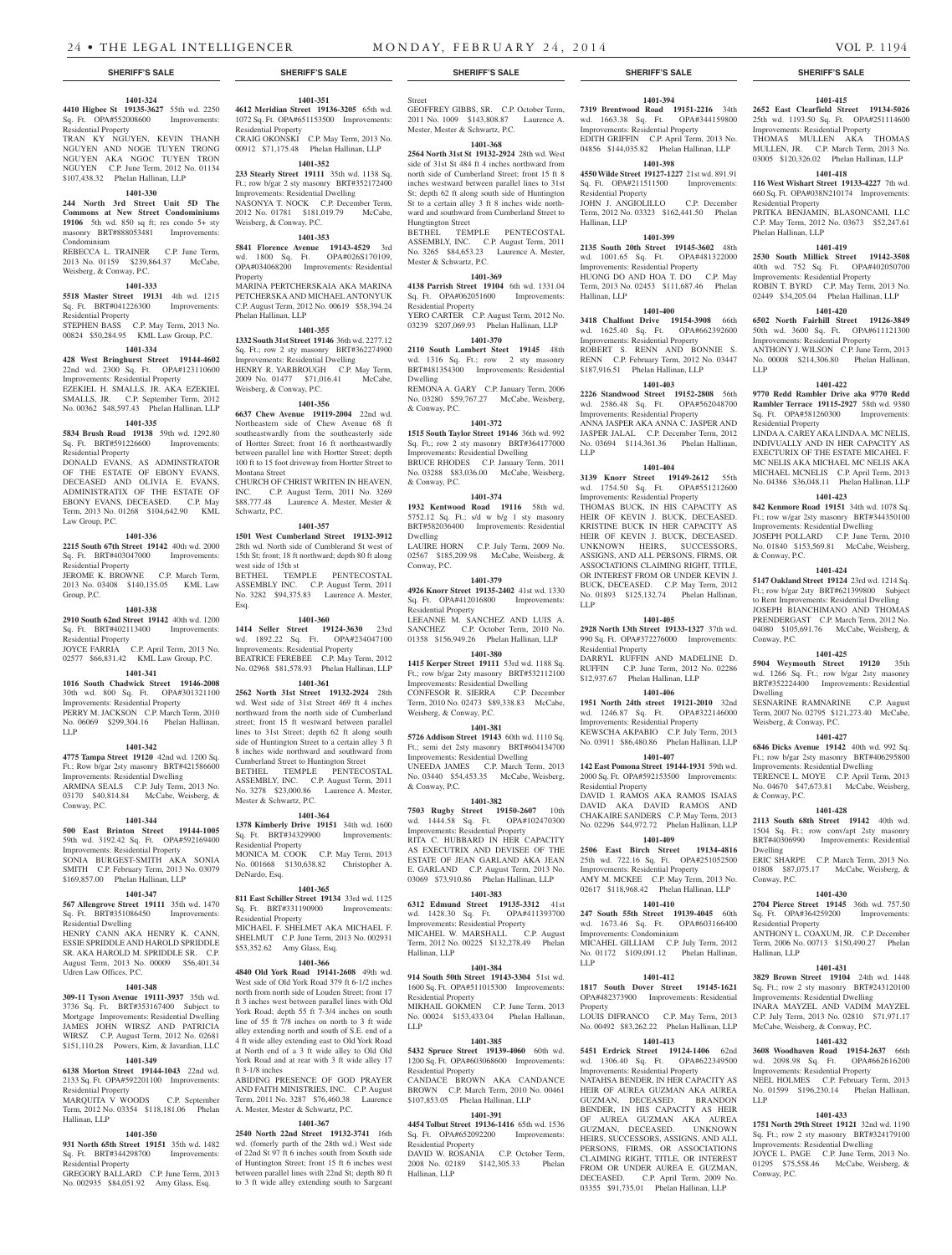**1401-394 7319 Brentwood Road 19151-2216** 34th

**1401-415 2652 East Clearfield Street 19134-5026**  25th wd. 1193.50 Sq. Ft. OPA#251114600 Improvements: Residential Property THOMAS MULLEN AKA THOMAS MULLEN, JR. C.P. March Term, 2013 No. 03005 \$120,326.02 Phelan Hallinan, LLP **1401-418 116 West Wishart Street 19133-4227** 7th wd. 660 Sq. Ft. OPA#038N210174 Improvements:

PRITKA BENJAMIN, BLASONCAMI, LLC C.P. May Term, 2012 No. 03673 \$52,247.61

**1401-419 2530 South Millick Street 19142-3508**  40th wd. 752 Sq. Ft. OPA#402050700 Improvements: Residential Property ROBIN T. BYRD C.P. May Term, 2013 No. 02449 \$34,205.04 Phelan Hallinan, LLP **1401-420 6502 North Fairhill Street 19126-3849**  50th wd. 3600 Sq. Ft. OPA#611121300 Improvements: Residential Property ANTHONY J. WILSON C.P. June Term, 2013 No. 00008 \$214,306.80 Phelan Hallinan,

**1401-422 9770 Redd Rambler Drive aka 9770 Redd Rambler Terrace 19115-2927** 58th wd. 9380 Sq. Ft. OPA#581260300 Improvements:

LINDA A. CAREY AKA LINDA A. MC NELIS, INDIVUALLY AND IN HER CAPACITY AS EXECTURIX OF THE ESTATE MICAHEL F. MC NELIS AKA MICHAEL MC NELIS AKA MICHAEL MCNELIS C.P. April Term, 2013 No. 04386 \$36,048.11 Phelan Hallinan, LLP **1401-423 842 Kenmore Road 19151** 34th wd. 1078 Sq. Ft.; row w/gar 2sty masonry BRT#344350100 Improvements: Residential Dwelling JOSEPH POLLARD C.P. June Term, 2010 No. 01840 \$153,569.81 McCabe, Weisberg,

**1401-424 5147 Oakland Street 19124** 23rd wd. 1214 Sq. Ft.; row b/gar 2sty BRT#621399800 Subject to Rent Improvements: Residential Dwelling JOSEPH BIANCHIMANO AND THOMAS PRENDERGAST C.P. March Term, 2012 No. 04080 \$105,691.76 McCabe, Weisberg, &

**1401-425 5904 Weymouth Street 19120** 35th wd. 1266 Sq. Ft.; row b/gar 2sty masonry BRT#352224400 Improvements: Residential

SESNARINE RAMNARINE C.P. August Term, 2007 No. 02795 \$121,273.40 McCabe,

**1401-427 6846 Dicks Avenue 19142** 40th wd. 992 Sq. Ft.; row b/gar 2sty masonry BRT#406295800 Improvements: Residential Dwelling TERENCE L. MOYE C.P. April Term, 2013 No. 04670 \$47,673.81 McCabe, Weisberg,

**1401-428 2113 South 68th Street 19142** 40th wd. 1504 Sq. Ft.; row conv/apt 2sty masonry BRT#40306990 Improvements: Residential

ERIC SHARPE C.P. March Term, 2013 No. 01808 \$87,075.17 McCabe, Weisberg, &

**1401-430 2704 Pierce Street 19145** 36th wd. 757.50 Sq. Ft. OPA#364259200 Improvements:

ANTHONY L. COAXUM, JR. C.P. December Term, 2006 No. 00713 \$150,490.27 Phelan

**1401-431 3829 Brown Street 19104** 24th wd. 1448 Sq. Ft.; row 2 sty masonry BRT#243120100 Improvements: Residential Dwelling INARA MAYZEL AND VADIM MAYZEL C.P. July Term, 2013 No. 02810 \$71,971.17 McCabe, Weisberg, & Conway, P.C. **1401-432 3608 Woodhaven Road 19154-2637** 66th wd. 2098.98 Sq. Ft. OPA#662616200 Improvements: Residential Property NEEL HOLMES C.P. February Term, 2013 No. 01599 \$196,230.14 Phelan Hallinan,

**1401-433 1751 North 29th Street 19121** 32nd wd. 1190 Sq. Ft.; row 2 sty masonry BRT#324179100 Improvements: Residential Dwelling JOYCE L. PAGE C.P. June Term, 2013 No. 01295 \$75,558.46 McCabe, Weisberg, &

Residential Property

Phelan Hallinan, LLP

LLP

Residential Property

& Conway, P.C.

Conway, P.C.

Dwelling

Weisberg, & Conway, P.C.

& Conway, P.C.

Dwelling

Conway, P.C.

Hallinan, LLP

LLP

Conway, P.C.

Residential Property

JOHN J. ANGIOLILLO C.P. December Term, 2012 No. 03323 \$162,441.50 Phelan

**1401-399 2135 South 20th Street 19145-3602** 48th wd. 1001.65 Sq. Ft. OPA#481322000 Improvements: Residential Property HUONG DO AND HOA T. DO C.P. May Term, 2013 No. 02453 \$111,687.46 Phelan

**1401-400 3418 Chalfont Drive 19154-3908** 66th wd. 1625.40 Sq. Ft. OPA#662392600 Improvements: Residential Property ROBERT S. RENN AND BONNIE S. RENN C.P. February Term, 2012 No. 03447 \$187,916.51 Phelan Hallinan, LLP **1401-403 2226 Standwood Street 19152-2808** 56th

**1401-404 3139 Knorr Street 19149-2612** 55th wd. 1754.50 Sq. Ft. OPA#551212600 Improvements: Residential Property THOMAS BUCK, IN HIS CAPACITY AS HEIR OF KEVIN J. BUCK, DECEASED. KRISTINE BUCK IN HER CAPACITY AS HEIR OF KEVIN J. BUCK, DECEASED. UNKNOWN HEIRS, SUCCESSORS, ASSIGNS, AND ALL PERSONS, FIRMS, OR ASSOCIATIONS CLAIMING RIGHT, TITLE, OR INTEREST FROM OR UNDER KEVIN J. BUCK, DECEASED. C.P. May Term, 2012 No. 01893 \$125,132.74 Phelan Hallinan,

**1401-405 2928 North 13th Street 19133-1327** 37th wd. 990 Sq. Ft. OPA#372276000 Improvements:

DARRYL RUFFIN AND MADELINE D. RUFFIN C.P. June Term, 2012 No. 02286 \$12,937.67 Phelan Hallinan, LLP

**1401-406 1951 North 24th street 19121-2010** 32nd wd. 1246.87 Sq. Ft. OPA#322146000 Improvements: Residential Property KEWSCHA AKPABIO C.P. July Term, 2013 No. 03911 \$86,480.86 Phelan Hallinan, LLP **1401-407 142 East Pomona Street 19144-1931** 59th wd. 2000 Sq. Ft. OPA#592153500 Improvements:

DAVID I. RAMOS AKA RAMOS ISAIAS DAVID AKA DAVID RAMOS AND CHAKAIRE SANDERS C.P. May Term, 2013 No. 02296 \$44,972.72 Phelan Hallinan, LLP **1401-409 2506 East Birch Street 19134-4816**  25th wd. 722.16 Sq. Ft. OPA#251052500 Improvements: Residential Property AMY M. MCKEE C.P. May Term, 2013 No. 02617 \$118,968.42 Phelan Hallinan, LLP **1401-410 247 South 55th Street 19139-4045** 60th wd. 1673.46 Sq. Ft. OPA#603166400

MICAHEL GILLIAM C.P. July Term, 2012 No. 01172 \$109,091.12 Phelan Hallinan,

**1401-412 1817 South Dover Street 19145-1621**  OPA#482373900 Improvements: Residential

LOUIS DIFRANCO C.P. May Term, 2013 No. 00492 \$83,262.22 Phelan Hallinan, LLP **1401-413 5451 Erdrick Street 19124-1406** 62nd wd. 1306.40 Sq. Ft. OPA#622349500 Improvements: Residential Property NATAHSA BENDER, IN HER CAPACITY AS HEIR OF AUREA GUZMAN AKA AUREA GUZMAN, DECEASED. BRANDON BENDER, IN HIS CAPACITY AS HEIR OF AUREA GUZMAN AKA AUREA GUZMAN, DECEASED. UNKNOWN HEIRS, SUCCESSORS, ASSIGNS, AND ALL PERSONS, FIRMS, OR ASSOCIATIONS CLAIMING RIGHT, TITLE, OR INTEREST FROM OR UNDER AUREA E. GUZMAN, DECEASED. C.P. April Term, 2009 No. 03355 \$91,735.01 Phelan Hallinan, LLP

wd. 1663.38 Sq. Ft. Improvements: Residential Property EDITH GRIFFIN C.P. April Term, 2013 No. 04856 \$144,035.82 Phelan Hallinan, LLP **1401-398 4550 Wilde Street 19127-1227** 21st wd. 891.91 Sq. Ft. OPA#211511500 Improvements:

Residential Property

Hallinan, LLP

Hallinan, LLP

wd. 2586.48 Sq. Ft. Improvements: Residential Property ANNA JASPER AKA ANNA C. JASPER AND JASPER JALAL C.P. December Term, 2012 No. 03694 \$114,361.36 Phelan Hallinan,

LLP

LLP

Residential Property

Residential Property

Improvements: Condominium

LLP

Property

### **SHERIFF'S SALE SHERIFF'S SALE SHERIFF'S SALE SHERIFF'S SALE SHERIFF'S SALE**

#### **1401-324 4410 Higbee St 19135-3627** 55th wd. 2250

Sq. Ft. OPA#552008600 Improvements: Residential Property

TRAN KY NGUYEN, KEVIN THANH NGUYEN AND NOGE TUYEN TRONG NGUYEN AKA NGOC TUYEN TRON NGUYEN C.P. June Term, 2012 No. 01134 \$107,438.32 Phelan Hallinan, LLP

#### **1401-330**

**244 North 3rd Street Unit 5D The Commons at New Street Condominiums 19106** 5th wd. 850 sq ft; res condo 5+ sty masonry BRT#888053481 Improvements: Condominium

REBECCA L. TRAINER C.P. June Term, 2013 No. 01159 \$239,864.37 McCabe, Weisberg, & Conway, P.C.

#### **1401-333**

**5518 Master Street 19131** 4th wd. 1215 Sq. Ft. BRT#041226300 Improvements: Residential Property

STEPHEN BASS C.P. May Term, 2013 No. 00824 \$50,284.95 KML Law Group, P.C.

### **1401-334**

**428 West Bringhurst Street 19144-4602**  22nd wd. 2300 Sq. Ft. OPA#123110600 Improvements: Residential Property

EZEKIEL H. SMALLS, JR. AKA EZEKIEL SMALLS, JR. C.P. September Term, 2012 No. 00362 \$48,597.43 Phelan Hallinan, LLP

### **1401-335**

**5834 Brush Road 19138** 59th wd. 1292.80 Sq. Ft. BRT#591226600 Improvements: Residential Property

DONALD EVANS, AS ADMINSTRATOR OF THE ESTATE OF EBONY EVANS, DECEASED AND OLIVIA E. EVANS, ADMINISTRATIX OF THE ESTATE OF EBONY EVANS, DECEASED. C.P. May Term, 2013 No. 01268 \$104,642.90 KML Law Group, P.C.

#### **1401-336**

**2215 South 67th Street 19142** 40th wd. 2000 Sq. Ft. BRT#403047000 Improvements: Residential Property JEROME K. BROWNE C.P. March Term, 2013 No. 03408 \$140,135.05 KML Law Group, P.C.

### **1401-338**

**2910 South 62nd Street 19142** 40th wd. 1200 Sq. Ft. BRT#402113400 Improvements: Residential Property

JOYCE FARRIA C.P. April Term, 2013 No. 02577 \$66,831.42 KML Law Group, P.C. **1401-341**

### **1016 South Chadwick Street 19146-2008**

30th wd. 800 Sq. Ft. OPA#301321100 Improvements: Residential Property PERRY M. JACKSON C.P. March Term, 2010 No. 06069 \$299,304.16 Phelan Hallinan, LLP

### **1401-342**

**4775 Tampa Street 19120** 42nd wd. 1200 Sq. Ft.; Row b/gar 2sty masonry BRT#421586600 Improvements: Residential Dwelling ARMINA SEALS C.P. July Term, 2013 No. 03170 \$40,814.84 McCabe, Weisberg, & Conway, P.C.

#### **1401-344**

**500 East Brinton Street 19144-1005**  59th wd. 3192.42 Sq. Ft. OPA#592169400 Improvements: Residential Property

SONIA BURGEST-SMITH AKA SONIA SMITH C.P. February Term, 2013 No. 03079 \$169,857.00 Phelan Hallinan, LLP

### **1401-347**

**567 Allengrove Street 19111** 35th wd. 1470 Sq. Ft. BRT#351086450 Improvements: Residential Dwelling

HENRY CANN AKA HENRY K. CANN, ESSIE SPRIDDLE AND HAROLD SPRIDDLE SR. AKA HAROLD M. SPRIDDLE SR. C.P. August Term, 2013 No. 00009 \$56,401.34 Udren Law Offices, P.C.

### **1401-348**

**309-11 Tyson Avenue 19111-3937** 35th wd. 3736 Sq. Ft. BRT#353167400 Subject to Mortgage Improvements: Residential Dwelling JAMES JOHN WIRSZ AND PATRICIA WIRSZ C.P. August Term, 2012 No. 02681 \$151,110.28 Powers, Kirn, & Javardian, LLC

### **1401-349**

**6138 Morton Street 19144-1043** 22nd wd. 2133 Sq. Ft. OPA#592201100 Improvements: Residential Property

MARQUITA V WOODS C.P. September Term, 2012 No. 03354 \$118,181.06 Phelan Hallinan, LLP

### **1401-350**

**931 North 65th Street 19151** 35th wd. 1482 Sq. Ft. BRT#344298700 Improvements: Residential Property

GREGORY BALLARD C.P. June Term, 2013 No. 002935 \$84,051.92 Amy Glass, Esq.

### **1401-351**

**4612 Meridian Street 19136-3205** 65th wd. 1072 Sq. Ft. OPA#651153500 Improvements: Residential Property CRAIG OKONSKI C.P. May Term, 2013 No. 00912 \$71,175.48 Phelan Hallinan, LLP

### **1401-352**

**233 Stearly Street 19111** 35th wd. 1138 Sq. Ft.; row b/gar 2 sty masonry BRT#352172400 Improvements: Residential Dwelling NASONYA T. NOCK C.P. December Term,<br>2012 No. 01781 \$181,019.79 McCabe, 2012 No. 01781 \$181,019.79 Weisberg, & Conway, P.C.

### **1401-353**

**5841 Florence Avenue 19143-4529** 3rd wd. 1800 Sq. Ft. OPA#026S170109, OPA#034068200 Improvements: Residential Property MARINA PERTCHERSKAIA AKA MARINA PETCHERSKA AND MICHAEL ANTONYUK C.P. August Term, 2012 No. 00619 \$58,394.24 Phelan Hallinan, LLP

### **1401-355**

### **1332 South 31st Street 19146** 36th wd. 2277.12 Sq. Ft.; row 2 sty masonry BRT#362274900

Improvements: Residential Dwelling HENRY R. YARBROUGH C.P. May Term, 2009 No. 01477 \$71,016.41 McCabe, Weisberg, & Conway, P.C.

### **1401-356**

**6637 Chew Avenue 19119-2004** 22nd wd. Northeastern side of Chew Avenue 68 ft southeastwardly from the southeasterly side of Hortter Street; front 16 ft northeastwardly between parallel line with Hortter Street; depth 100 ft to 15 foot driveway from Hortter Street to Montana Street CHURCH OF CHRIST WRITEN IN HEAVEN,

INC. C.P. August Term, 2011 No. 3269 \$88,777.48 Laurence A. Mester, Mester & Schwartz, P.C.

### **1401-357**

**1501 West Cumberland Street 19132-3912**  28th wd. North side of Cumblerand St west of 15th St; front; 18 ft northward; depth 80 ft along west side of 15th st BETHEL TEMPLE PENTECOSTAL ASSEMBLY INC. C.P. August Term, 2011 No. 3282 \$94,375.83 Laurence A. Mester, Esq.

**1414 Seller Street 19124-3630** 23rd wd. 1892.22 Sq. Ft. OPA#234047100 Improvements: Residential Property BEATRICE FEREBEE C.P. May Term, 2012 No. 02968 \$81,578.93 Phelan Hallinan, LLP **1401-361**

**1401-360**

**2562 North 31st Street 19132-2924** 28th wd. West side of 31st Street 469 ft 4 inches northward from the north side of Cumberland street; front 15 ft westward between parallel lines to 31st Street; depth 62 ft along south side of Huntington Street to a certain alley 3 ft 8 inches wide northward and southward from Cumberland Street to Huntington Street BETHEL TEMPLE PENTECOSTAL ASSEMBLY, INC. C.P. August Term, 2011 No. 3278 \$23,000.86 Laurence A. Mester,

**1401-364**

Mester & Schwartz, P.C.

### **1378 Kimberly Drive 19151** 34th wd. 1600 Sq. Ft. BRT#34329900 Improvements: Residential Property MONICA M. COOK C.P. May Term, 2013 No. 001668 \$130,638.82 Christopher A. DeNardo, Esq.

### **1401-365**

**811 East Schiller Street 19134** 33rd wd. 1125 Sq. Ft. BRT#331190900 Improvements: Residential Property MICHAEL F. SHELMET AKA MICHAEL F. SHELMUT C.P. June Term, 2013 No. 002931

\$53,352.62 Amy Glass, Esq. **1401-366**

#### **4840 Old York Road 19141-2608** 49th wd. West side of Old York Road 379 ft 6-1/2 inches north from north side of Louden Street; front 17 ft 3 inches west between parallel lines with Old York Road; depth 55 ft 7-3/4 inches on south line of 55 ft 7/8 inches on north to 3 ft wide alley extending north and south of S.E. end of a 4 ft wide alley extending east to Old York Road at North end of a 3 ft wide alley to Old Old York Road and at rear with 3 ft wide alley 17

ft 3-1/8 inches ABIDING PRESENCE OF GOD PRAYER AND FAITH MINISTRIES, INC. C.P. August Term, 2011 No. 3287 \$76,460.38 Laurence A. Mester, Mester & Schwartz, P.C.

### **1401-367**

**2540 North 22nd Street 19132-3741** 16th wd. (fomerly parth of the 28th wd.) West side of 22nd St 97 ft 6 inches south from South side of Huntington Street; front 15 ft 6 inches west between parallel lines with 22nd St; depth 80 ft to 3 ft wide alley extending south to Sargeant GEOFFREY GIBBS, SR. C.P. October Term, 2011 No. 1009 \$143,808.87 Laurence A. Mester, Mester & Schwartz, P.C.

Street

### **1401-368**

**2564 North 31st St 19132-2924** 28th wd. West side of 31st St 484 ft 4 inches northward from north side of Cumberland Street; front 15 ft 8 inches westward between parallel lines to 31st St; depth 62 ft along south side of Huntington St to a certain alley 3 ft 8 inches wide northward and southward from Cumberland Street to Hungtington Street

BETHEL TEMPLE PENTECOSTAL ASSEMBLY, INC. C.P. August Term, 2011 No. 3265 \$84,653.23 Laurence A. Mester, Mester & Schwartz, P.C.

### **1401-369**

**4138 Parrish Street 19104** 6th wd. 1331.04 Sq. Ft. OPA#062051600 Improvements: Residential Property YERO CARTER C.P. August Term, 2012 No.

03239 \$207,069.93 Phelan Hallinan, LLP **1401-370**

**2110 South Lambert Steet 19145** 48th wd. 1316 Sq. Ft.; row 2 sty masonry BRT#481354300 Improvements: Residential Dwelling REMONA A. GARY C.P. January Term, 2006

No. 03280 \$59,767.27 McCabe, Weisberg, & Conway, P.C. **1401-372**

**1515 South Taylor Street 19146** 36th wd. 992 Sq. Ft.; row 2 sty masonry BRT#364177000 Improvements: Residential Dwelling BRUCE RHODES C.P. January Term, 2011 No. 03288 \$83,036.00 McCabe, Weisberg, & Conway, P.C.

### **1401-374**

**1932 Kentwood Road 19116** 58th wd. 5752.12 Sq. Ft.; s/d w b/g 1 sty masonry BRT#582036400 Improvements: Residential Dwelling LAUIRE HORN C.P. July Term, 2009 No.

02567 \$185,209.98 McCabe, Weisberg, & Conway, P.C.

### **1401-379**

**4926 Knorr Street 19135-2402** 41st wd. 1330 Sq. Ft. OPA#412016800 Improvements: Residential Property LEEANNE M. SANCHEZ AND LUIS A.

SANCHEZ C.P. October Term, 2010 No. 01358 \$156,949.26 Phelan Hallinan, LLP

### **1401-380**

**1415 Kerper Street 19111** 53rd wd. 1188 Sq. Ft.; row b/gar 2sty masonry BRT#532112100 Improvements: Residential Dwelling CONFESOR R. SIERRA C.P. December Term, 2010 No. 02473 \$89,338.83 McCabe, Weisberg, & Conway, P.C.

### **1401-381**

**5726 Addison Street 19143** 60th wd. 1110 Sq. Ft.; semi det 2sty masonry BRT#604134700 Improvements: Residential Dwelling UNEEDA JAMES C.P. March Term, 2013 No. 03440 \$54,453.35 McCabe, Weisberg, & Conway, P.C.

### **1401-382**

**7503 Rugby Street 19150-2607** 10th wd. 1444.58 Sq. Ft. OPA#102470300 Improvements: Residential Property RITA C. HUBBARD IN HER CAPACITY AS EXECUTRIX AND DEVISEE OF THE ESTATE OF JEAN GARLAND AKA JEAN E. GARLAND C.P. August Term, 2013 No. 03069 \$73,910.86 Phelan Hallinan, LLP

### **1401-383**

**6312 Edmund Street 19135-3312** 41st wd. 1428.30 Sq. Ft. Improvements: Residential Property<br>MICAHEL W. MARSHALL C.P. August MICAHEL W. MARSHALL Term, 2012 No. 00225 \$132,278.49 Phelan Hallinan, LLP

### **1401-384**

**914 South 50th Street 19143-3304** 51st wd. 1600 Sq. Ft. OPA#511015300 Improvements: Residential Property MIKHAIL GOKMEN C.P. June Term, 2013 No. 00024 \$153,433.04 Phelan Hallinan,

## **1401-385**

LLP

**5432 Spruce Street 19139-4060** 60th wd. 1200 Sq. Ft. OPA#603068600 Improvements: Residential Property

CANDACE BROWN AKA CANDANCE BROWN C.P. March Term, 2010 No. 00461 \$107,853.05 Phelan Hallinan, LLP

#### **1401-391 4454 Tolbut Street 19136-1416** 65th wd. 1536

Residential Property

Hallinan, LLP

Sq. Ft. OPA#652092200 Improvements:

DAVID W. ROSANIA C.P. October Term, 2008 No. 02189 \$142,305.33 Phelan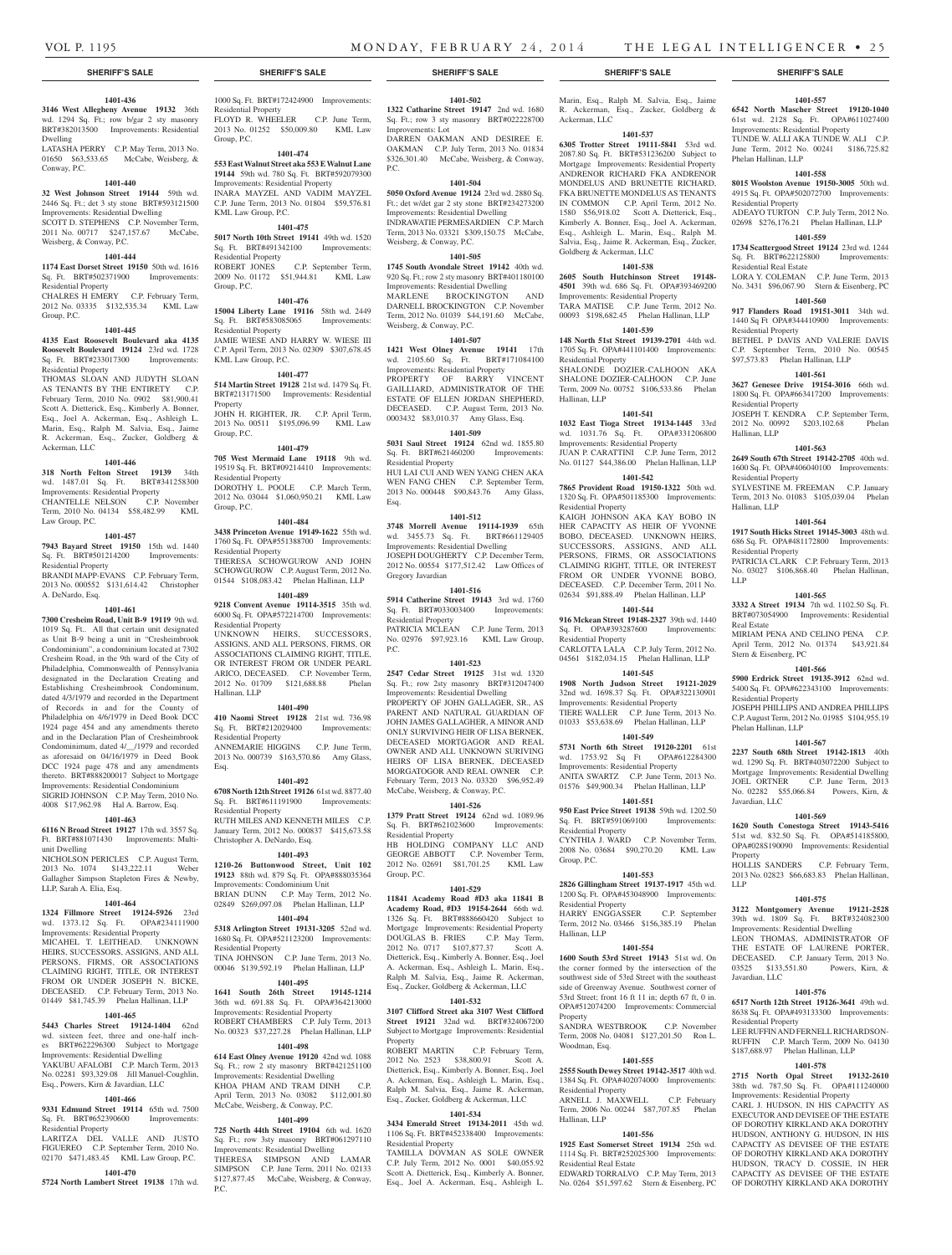### **1401-436**

**3146 West Allegheny Avenue 19132** 36th wd. 1294 Sq. Ft.; row b/gar 2 sty masonry BRT#382013500 Improvements: Residential Dwelling

LATASHA PERRY C.P. May Term, 2013 No. 01650 \$63,533.65 McCabe, Weisberg, & Conway, P.C.

### **1401-440**

**32 West Johnson Street 19144** 59th wd. 2446 Sq. Ft.; det 3 sty stone BRT#593121500 Improvements: Residential Dwelling SCOTT D. STEPHENS C.P. November Term, 2011 No. 00717 \$247,157.67 McCabe,

## Weisberg, & Conway, P.C.

Group, P.C.

#### **1401-444 1174 East Dorset Street 19150** 50th wd. 1616

Sq. Ft. BRT#502371900 Improvements: Residential Property CHALRES H EMERY C.P. February Term, 2012 No. 03335 \$132,535.34 KML Law

### **1401-445**

**4135 East Roosevelt Boulevard aka 4135 Roosevelt Boulevard 19124** 23rd wd. 1728 Sq. Ft. BRT#233017300 Improvements: Residential Property

THOMAS SLOAN AND JUDYTH SLOAN AS TENANTS BY THE ENTIRETY C.P. February Term, 2010 No. 0902 \$81,900.41 Scott A. Dietterick, Esq., Kimberly A. Bonner, Esq., Joel A. Ackerman, Esq., Ashleigh L. Marin, Esq., Ralph M. Salvia, Esq., Jaime R. Ackerman, Esq., Zucker, Goldberg & Ackerman, LLC

#### **1401-446**

**318 North Felton Street 19139** 34th wd. 1487.01 Sq. Ft. BRT#341258300 Improvements: Residential Property CHANTELLE NELSON C.P. November

Term, 2010 No. 04134 \$58,482.99 KML Law Group, P.C. **1401-457**

**7943 Bayard Street 19150** 15th wd. 1440 Sq. Ft. BRT#501214200 Improvements: Residential Property

BRANDI MAPP-EVANS C.P. February Term, 2013 No. 000552 \$131,614.42 Christopher A. DeNardo, Esq.

### **1401-461**

**7300 Cresheim Road, Unit B-9 19119** 9th wd. 1019 Sq. Ft.. All that certain unit designated as Unit B-9 being a unit in "Cresheimbrook Condominium", a condominium located at 7302 Cresheim Road, in the 9th ward of the City of Philadelphia, Commonwealth of Pennsylvania designated in the Declaration Creating and Establishing Cresheimbrook Condominum, dated 4/3/1979 and recorded in the Department of Records in and for the County of Philadelphia on 4/6/1979 in Deed Book DCC 1924 page 454 and any amendments thereto and in the Declaration Plan of Cresheimbrook Condominimum, dated 4/\_\_/1979 and recorded as aforesaid on 04/16/1979 in Deed Book DCC 1924 page 478 and any amendments thereto. BRT#888200017 Subject to Mortgage Improvements: Residential Condominium SIGRID JOHNSON C.P. May Term, 2010 No. 4008 \$17,962.98 Hal A. Barrow, Esq.

### **1401-463**

**6116 N Broad Street 19127** 17th wd. 3557 Sq. Ft. BRT#881071430 Improvements: Multiunit Dwelling

NICHOLSON PERICLES C.P. August Term, 2013 No. 1074 \$143,222.11 Weber Gallagher Simpson Stapleton Fires & Newby, LLP, Sarah A. Elia, Esq.

### **1401-464**

**1324 Fillmore Street 19124-5926** 23rd wd. 1373.12 Sq. Ft. OPA#234111900 Improvements: Residential Property MICAHEL T. LEITHEAD. UNKNOWN HEIRS, SUCCESSORS, ASSIGNS, AND ALL PERSONS, FIRMS, OR ASSOCIATIONS CLAIMING RIGHT, TITLE, OR INTEREST FROM OR UNDER JOSEPH N. BICKE, DECEASED. C.P. February Term, 2013 No. 01449 \$81,745.39 Phelan Hallinan, LLP

### **1401-465**

**5443 Charles Street 19124-1404** 62nd wd. sixteen feet, three and one-half inch-BRT#622296300 Subject to Mortgage Improvements: Residential Dwelling YAKUBU AFALOBI C.P. March Term, 2013 No. 02281 \$93,329.08 Jill Manuel-Coughlin, Esq., Powers, Kirn & Javardian, LLC

### **1401-466**

**9331 Edmund Street 19114** 65th wd. 7500 Sq. Ft. BRT#652390600 Improvements: Residential Property

#### LARITZA DEL VALLE AND JUSTO FIGUEREO C.P. September Term, 2010 No. 02170 \$471,483.45 KML Law Group, P.C.

**1401-470**

**5724 North Lambert Street 19138** 17th wd.

1000 Sq. Ft. BRT#172424900 Improvements: Residential Property

FLOYD R. WHEELER C.P. June Term, 2013 No. 01252 \$50,009.80 KML Law Group, P.C.

## **1401-474**

**553 East Walnut Street aka 553 E Walnut Lane 19144** 59th wd. 780 Sq. Ft. BRT#592079300 Improvements: Residential Property INARA MAYZEL AND VADIM MAYZEL C.P. June Term, 2013 No. 01804 \$59,576.81 KML Law Group, P.C.

### **1401-475**

**5017 North 10th Street 19141** 49th wd. 1520 Sq. Ft. BRT#491342100 Improvements: Residential Property<br>ROBERT JONES C.P. September Term, 2009 No. 01172 \$51,944.81 KML Law

Group, P.C. **1401-476**

**15004 Liberty Lane 19116** 58th wd. 2449<br>Sq. Ft. BRT#583085065 Improvements: Sq. Ft. BRT#583085065 Residential Property JAMIE WIESE AND HARRY W. WIESE III C.P. April Term, 2013 No. 02309 \$307,678.45 KML Law Group, P.C.

### **1401-477**

**514 Martin Street 19128** 21st wd. 1479 Sq. Ft. BRT#213171500 Improvements: Residential Property JOHN H. RIGHTER, JR. C.P. April Term,

### 2013 No. 00511 \$195,096.99 KML Law Group, P.C.

**1401-479 705 West Mermaid Lane 19118** 9th wd. 19519 Sq. Ft. BRT#09214410 Improvements: Residential Property DOROTHY L. POOLE C.P. March Term,

2012 No. 03044 \$1,060,950.21 KML Law Group, P.C. **1401-484**

**3438 Princeton Avenue 19149-1622** 55th wd. 1760 Sq. Ft. OPA#551388700 Improvements: Residential Property THERESA SCHOWGUROW AND JOHN SCHOWGUROW C.P. August Term, 2012 No. 01544 \$108,083.42 Phelan Hallinan, LLP

### **1401-489**

**9218 Convent Avenue 19114-3515** 35th wd. 6000 Sq. Ft. OPA#572214700 Improvements: Residential Property<br>UNKNOWN HE HEIRS, SUCCESSORS. ASSIGNS, AND ALL PERSONS, FIRMS, OR ASSOCIATIONS CLAIMING RIGHT, TITLE, OR INTEREST FROM OR UNDER PEARL ARICO, DECEASED. C.P. November Term,<br>2012 No. 01709 \$121,688.88 Phelan 2012 No. 01709 \$121,688.88 Hallinan, LLP

### **1401-490**

**410 Naomi Street 19128** 21st wd. 736.98 Sq. Ft. BRT#212029400 Improvements: Residential Property

ANNEMARIE HIGGINS C.P. June Term, 2013 No. 000739 \$163,570.86 Amy Glass, Esq.

### **1401-492**

**6708 North 12th Street 19126** 61st wd. 8877.40 Sq. Ft. BRT#611191900 Improvements: Residential Property RUTH MILES AND KENNETH MILES C.P. January Term, 2012 No. 000837 \$415,673.58 Christopher A. DeNardo, Esq.

### **1401-493**

**1210-26 Buttonwood Street, Unit 102 19123** 88th wd. 879 Sq. Ft. OPA#888035364 Improvements: Condominium Unit BRIAN DUNN C.P. May Term, 2012 No. 02849 \$269,097.08 Phelan Hallinan, LLP

### **1401-494**

**5318 Arlington Street 19131-3205** 52nd wd. 1680 Sq. Ft. OPA#521123200 Improvements: Residential Property TINA JOHNSON C.P. June Term, 2013 No.

00046 \$139,592.19 Phelan Hallinan, LLP **1401-495 1641 South 26th Street 19145-1214** 

36th wd. 691.88 Sq. Ft. OPA#364213000 Improvements: Residential Property ROBERT CHAMBERS C.P. July Term, 2013 No. 00323 \$37,227.28 Phelan Hallinan, LLP

**1401-498 614 East Olney Avenue 19120** 42nd wd. 1088 Sq. Ft.; row 2 sty masonry BRT#421251100 Improvements: Residential Dwelling KHOA PHAM AND TRAM DINH C.P. April Term, 2013 No. 03082 \$112,001.80

## McCabe, Weisberg, & Conway, P.C.

**1401-499**

**725 North 44th Street 19104** 6th wd. 1620 Sq. Ft.; row 3sty masonry BRT#061297110 Improvements: Residential Dwelling

THERESA SIMPSON AND LAMAR SIMPSON C.P. June Term, 2011 No. 02133 \$127,877.45 McCabe, Weisberg, & Conway, P.C.

**1401-502 1322 Catharine Street 19147** 2nd wd. 1680 Sq. Ft.; row 3 sty masonry BRT#022228700 Improvements: Lot DARREN OAKMAN AND DESIREE E. OAKMAN C.P. July Term, 2013 No. 01834 \$326,301.40 McCabe, Weisberg, & Conway,

### **1401-504**

P.C.

**5050 Oxford Avenue 19124** 23rd wd. 2880 Sq. Ft.; det w/det gar 2 sty stone BRT#234273200 Improvements: Residential Dwelling INDRAWATIE PERMESARDIEN C.P. March Term, 2013 No. 03321 \$309,150.75 McCabe, Weisberg, & Conway, P.C.

### **1401-505**

**1745 South Avondale Street 19142** 40th wd. 920 Sq. Ft.; row 2 sty masonry BRT#401180100 Improvements: Residential Dwelling MARLENE BROCKINGTON AND DARNELL BROCKINGTON C.P. November Term, 2012 No. 01039 \$44,191.60 McCabe, Weisberg, & Conway, P.C.

### **1401-507**

**1421 West Olney Avenue 19141** 17th wd. 2105.60 Sq. Ft. BRT#171084100 Improvements: Residential Property PROPERTY OF BARRY VINCENT GAILLIARD, ADMINISTRATOR OF THE ESTATE OF ELLEN JORDAN SHEPHERD, DECEASED. C.P. August Term, 2013 No. 0003432 \$83,010.37 Amy Glass, Esq.

### **1401-509**

**5031 Saul Street 19124** 62nd wd. 1855.80 Sq. Ft. BRT#621460200 Improvements: Residential Property HUI LAI CUI AND WEN YANG CHEN AKA WEN FANG CHEN C.P. September Term, 2013 No. 000448 \$90,843.76 Amy Glass, Esq.

### **1401-512**

**3748 Morrell Avenue 19114-1939** 65th wd. 3455.73 Sq. Ft. BRT#661129405 Improvements: Residential Dwelling JOSEPH DOUGHERTY C.P. December Term, 2012 No. 00554 \$177,512.42 Law Offices of Gregory Javardian

### **1401-516**

**5914 Catherine Street 19143** 3rd wd. 1760 Sq. Ft. BRT#033003400 Improvements: Residential Property PATRICIA MCLEAN C.P. June Term, 2013 No. 02976 \$97,923.16 KML Law Group, P.C.

### **1401-523**

**2547 Cedar Street 19125** 31st wd. 1320 Sq. Ft.; row 2sty masonry BRT#312047400 Improvements: Residential Dwelling

PROPERTY OF JOHN GALLAGER, SR., AS PARENT AND NATURAL GUARDIAN OF JOHN JAMES GALLAGHER, A MINOR AND ONLY SURVIVING HEIR OF LISA BERNEK, DECEASED MORTGAGOR AND REAL OWNER AND ALL UNKNOWN SURIVING HEIRS OF LISA BERNEK, DECEASED MORGATOGOR AND REAL OWNER C.P. February Term, 2013 No. 03320 \$96,952.49 McCabe, Weisberg, & Conway, P.C.

### **1401-526**

**1379 Pratt Street 19124** 62nd wd. 1089.96 Sq. Ft. BRT#621023600 Improvements: Residential Property HB HOLDING COMPANY LLC AND GEORGE ABBOTT C.P. November Term, 2012 No. 02691 \$81,701.25 KML Law Group, P.C.

### **1401-529**

**11841 Academy Road #D3 aka 11841 B Academy Road, #D3 19154-2644** 66th wd. 1326 Sq. Ft. BRT#888660420 Subject to Mortgage Improvements: Residential Property DOUGLAS B. FRIES C.P. May Term, 2012 No. 0717 \$107,877.37 Scott A. Dietterick, Esq., Kimberly A. Bonner, Esq., Joel A. Ackerman, Esq., Ashleigh L. Marin, Esq., Ralph M. Salvia, Esq., Jaime R. Ackerman, Esq., Zucker, Goldberg & Ackerman, LLC

### **1401-532**

**3107 Clifford Street aka 3107 West Clifford Street 19121** 32nd wd. BRT#324067200 Subject to Mortgage Improvements: Residential Property

ROBERT MARTIN C.P. February Term, 2012 No. 2523 \$38,800.91 Scott A. Dietterick, Esq., Kimberly A. Bonner, Esq., Joel A. Ackerman, Esq., Ashleigh L. Marin, Esq., Ralph M. Salvia, Esq., Jaime R. Ackerman, Esq., Zucker, Goldberg & Ackerman, LLC

### **1401-534**

**3434 Emerald Street 19134-2011** 45th wd. 1106 Sq. Ft. BRT#452338400 Improvements: Residential Property

TAMILLA DOVMAN AS SOLE OWNER C.P. July Term, 2012 No. 0001 \$40,055.92 Scott A. Dietterick, Esq., Kimberly A. Bonner, Esq., Joel A. Ackerman, Esq., Ashleigh L.

Marin, Esq., Ralph M. Salvia, Esq., Jaime R. Ackerman, Esq., Zucker, Goldberg & Ackerman, LLC

**1401-557 6542 North Mascher Street 19120-1040**  61st wd. 2128 Sq. Ft. OPA#611027400 Improvements: Residential Property TUNDE W. ALLI AKA TUNDE W. ALI C.P. June Term, 2012 No. 00241 \$186,725.82

**1401-558 8015 Woolston Avenue 19150-3005** 50th wd. 4915 Sq. Ft. OPA#502072700 Improvements:

ADEAYO TURTON C.P. July Term, 2012 No. 02698 \$276,176.21 Phelan Hallinan, LLP **1401-559 1734 Scattergood Street 19124** 23rd wd. 1244 Sq. Ft. BRT#622125800 Improvements:

LORA Y. COLEMAN C.P. June Term, 2013 No. 3431 \$96,067.90 Stern & Eisenberg, PC **1401-560 917 Flanders Road 19151-3011** 34th wd. 1440 Sq Ft OPA#344410900 Improvements:

BETHEL P DAVIS AND VALERIE DAVIS C.P. September Term, 2010 No. 00545 \$97,573.83 Phelan Hallinan, LLP **1401-561 3627 Genesee Drive 19154-3016** 66th wd. 1800 Sq. Ft. OPA#663417200 Improvements:

JOSEPH T. KENDRA C.P. September Term, 2012 No. 00992 \$203,102.68 Phelan

**1401-563 2649 South 67th Street 19142-2705** 40th wd. 1600 Sq. Ft. OPA#406040100 Improvements:

SYLVESTINE M. FREEMAN C.P. January Term, 2013 No. 01083 \$105,039.04 Phelan

**1401-564 1917 South Hicks Street 19145-3003** 48th wd. 686 Sq. Ft. OPA#481172800 Improvements:

PATRICIA CLARK C.P. February Term, 2013 No. 03027 \$106,868.40 Phelan Hallinan,

**1401-565 3332 A Street 19134** 7th wd. 1102.50 Sq. Ft. BRT#073054900 Improvements: Residential

MIRIAM PENA AND CELINO PENA C.P. April Term, 2012 No. 01374 \$43,921.84

**1401-566 5900 Erdrick Street 19135-3912** 62nd wd. 5400 Sq. Ft. OPA#622343100 Improvements:

JOSEPH PHILLIPS AND ANDREA PHILLIPS C.P. August Term, 2012 No. 01985 \$104,955.19

**1401-567 2237 South 68th Street 19142-1813** 40th wd. 1290 Sq. Ft. BRT#403072200 Subject to Mortgage Improvements: Residential Dwelling<br>JOEL ORTNER C.P. June Term, 2013

No. 02282 \$55,066.84 Powers, Kirn, &

**1401-569 1620 South Conestoga Street 19143-5416**  51st wd. 832.50 Sq. Ft. OPA#514185800, OPA#028S190090 Improvements: Residential

HOLLIS SANDERS C.P. February Term, 2013 No. 02823 \$66,683.83 Phelan Hallinan,

**1401-575 3122 Montgomery Avenue 19121-2528**  39th wd. 1809 Sq. Ft. BRT#324082300 Improvements: Residential Dwelling LEON THOMAS, ADMINISTRATOR OF THE ESTATE OF LAURENE PORTER, DECEASED. C.P. January Term, 2013 No. 03525 \$133,551.80 Powers, Kirn, &

**1401-576 6517 North 12th Street 19126-3641** 49th wd. 8638 Sq. Ft. OPA#493133300 Improvements:

LEE RUFFIN AND FERNELL RICHARDSON-RUFFIN C.P. March Term, 2009 No. 04130 \$187,688.97 Phelan Hallinan, LLP

**1401-578 2715 North Opal Street 19132-2610**  38th wd. 787.50 Sq. Ft. OPA#111240000 Improvements: Residential Property CARL J. HUDSON, IN HIS CAPACITY AS EXECUTOR AND DEVISEE OF THE ESTATE OF DOROTHY KIRKLAND AKA DOROTHY HUDSON, ANTHONY G. HUDSON, IN HIS CAPACITY AS DEVISEE OF THE ESTATE OF DOROTHY KIRKLAND AKA DOROTHY HUDSON, TRACY D. COSSIE, IN HER CAPACITY AS DEVISEE OF THE ESTATE OF DOROTHY KIRKLAND AKA DOROTHY

C.P. June Term, 2013

Phelan Hallinan, LLP

Residential Property

Residential Real Estate

Residential Property

Residential Property

Residential Property

Residential Property

Stern & Eisenberg, PC

Residential Property

Phelan Hallinan, LLP

Javardian, LLC

Javardian, LLC

Residential Property

Property

LLP

Hallinan, LLP

Hallinan, LLP

LLP

Real Estate

### **1401-537**

**6305 Trotter Street 19111-5841** 53rd wd. 2087.80 Sq. Ft. BRT#531236200 Subject to Mortgage Improvements: Residential Property ANDRENOR RICHARD FKA ANDRENOR MONDELUS AND BRUNETTE RICHARD, FKA BRUNETTE MONDELUS AS TENANTS IN COMMON C.P. April Term, 2012 No. 1580 \$56,918.02 Scott A. Dietterick, Esq., Kimberly A. Bonner, Esq., Joel A. Ackerman, Esq., Ashleigh L. Marin, Esq., Ralph M. Salvia, Esq., Jaime R. Ackerman, Esq., Zucker, Goldberg & Ackerman, LLC

### **1401-538 2605 South Hutchinson Street 19148-**

Residential Property

Residential Property

Residential Property

wd. 1753.92 Sq Ft Improvements: Residential Property ANITA SWARTZ C.P. June Term, 2013 No. 01576 \$49,900.34 Phelan Hallinan, LLP **1401-551 950 East Price Street 19138** 59th wd. 1202.50 Sq. Ft. BRT#591069100 Improvements:

Residential Property

Residential Property

Hallinan, LLP

Property

Woodman, Esq.

Residential Property

Residential Real Estate

Hallinan, LLP

Group, P.C.

Hallinan, LLP

**4501** 39th wd. 686 Sq. Ft. OPA#393469200 Improvements: Residential Property TARA MATISE C.P. June Term, 2012 No. 00093 \$198,682.45 Phelan Hallinan, LLP **1401-539 148 North 51st Street 19139-2701** 44th wd. 1705 Sq. Ft. OPA#441101400 Improvements:

SHALONDE DOZIER-CALHOON AKA SHALONE DOZIER-CALHOON C.P. June Term, 2009 No. 00752 \$106,533.86 Phelan

**1401-541 1032 East Tioga Street 19134-1445** 33rd wd. 1031.76 Sq. Ft. OPA#331206800 Improvements: Residential Property JUAN P. CARATTINI C.P. June Term, 2012 No. 01127 \$44,386.00 Phelan Hallinan, LLP **1401-542 7865 Provident Road 19150-1322** 50th wd. 1320 Sq. Ft. OPA#501185300 Improvements:

KAIGH JOHNSON AKA KAY BOBO IN HER CAPACITY AS HEIR OF YVONNE BOBO, DECEASED. UNKNOWN HEIRS, SUCCESSORS, ASSIGNS, AND ALL PERSONS, FIRMS, OR ASSOCIATIONS CLAIMING RIGHT, TITLE, OR INTEREST FROM OR UNDER YVONNE BOBO, DECEASED. C.P. December Term, 2011 No. 02634 \$91,888.49 Phelan Hallinan, LLP **1401-544 916 Mckean Street 19148-2327** 39th wd. 1440 Sq. Ft. OPA#393287600 Improvements:

CARLOTTA LALA C.P. July Term, 2012 No. 04561 \$182,034.15 Phelan Hallinan, LLP **1401-545 1908 North Judson Street 19121-2029**  32nd wd. 1698.37 Sq. Ft. OPA#322130901 Improvements: Residential Property TIERE WALLER C.P. June Term, 2013 No. 01033 \$53,638.69 Phelan Hallinan, LLP **1401-549 5731 North 6th Street 19120-2201** 61st<br>wd. 1753.92 Sq Ft OPA#612284300

CYNTHIA J. WARD C.P. November Term, 2008 No. 03684 \$90,270.20 KML Law

**1401-553 2826 Gillingham Street 19137-1917** 45th wd. 1200 Sq. Ft. OPA#453048900 Improvements:

HARRY ENGGASSER C.P. September Term, 2012 No. 03466 \$156,385.19 Phelan

**1401-554 1600 South 53rd Street 19143** 51st wd. On the corner formed by the intersection of the southwest side of 53rd Street with the southeast side of Greenway Avenue. Southwest corner of 53rd Street; front 16 ft 11 in; depth 67 ft, 0 in. OPA#512074200 Improvements: Commercial

SANDRA WESTBROOK C.P. November Term, 2008 No. 04081 \$127,201.50 Ron L.

**1401-555 2555 South Dewey Street 19142-3517** 40th wd. 1384 Sq. Ft. OPA#402074000 Improvements:

ARNELL J. MAXWELL C.P. February Term, 2006 No. 00244 \$87,707.85 Phelan

**1401-556 1925 East Somerset Street 19134** 25th wd. 1114 Sq. Ft. BRT#252025300 Improvements:

EDWARD TORRALVO C.P. May Term, 2013 No. 0264 \$51,597.62 Stern & Eisenberg, PC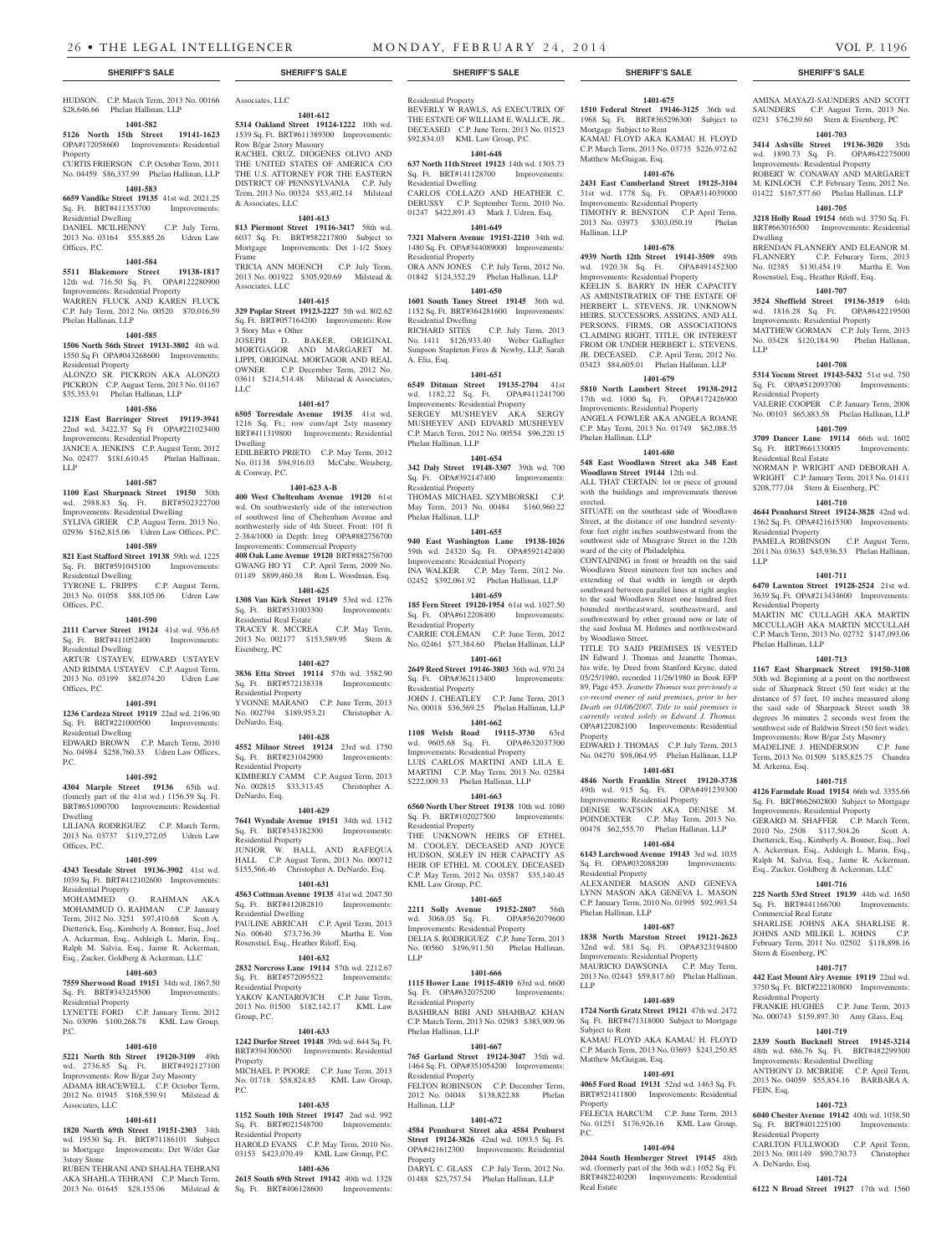HUDSON. C.P. March Term, 2013 No. 00166 Associates, LLC \$28,646.66 Phelan Hallinan, LLP

### **1401-582**

**5126 North 15th Street 19141-1623**  OPA#172058600 Improvements: Residential Property

CURTIS FRIERSON C.P. October Term, 2011 No. 04459 \$86,337.99 Phelan Hallinan, LLP

### **1401-583**

**6659 Vandike Street 19135** 41st wd. 2021.25 Sq. Ft. BRT#411353700 Improvements: Residential Dwelling DANIEL MCILHENNY C.P. July Term,

2013 No. 03164 \$55,885.26 Udren Law Offices, P.C.

### **1401-584**

**5511 Blakemore Street 19138-1817**  12th wd. 716.50 Sq. Ft. OPA#122280900 Improvements: Residential Property WARREN FLUCK AND KAREN FLUCK C.P. July Term, 2012 No. 00520 \$70,016.59 Phelan Hallinan, LLP

### **1401-585**

**1506 North 56th Street 19131-3802** 4th wd. 1550 Sq Ft OPA#043268600 Improvements:

Residential Property ALONZO SR. PICKRON AKA ALONZO PICKRON C.P. August Term, 2013 No. 01167 \$35,353.91 Phelan Hallinan, LLP

### **1401-586**

**1218 East Barringer Street 19119-3941** 

### 22nd wd. 3422.37 Sq Ft OPA#221023400 Improvements: Residential Property

JANICE A. JENKINS C.P. August Term, 2012 No. 02477 \$181,610.45 Phelan Hallinan, LLP

### **1401-587**

**1100 East Sharpnack Street 19150** 50th wd. 2988.83 Sq. Ft. BRT#502322700 Improvements: Residential Dwelling

SYLIVA GRIER C.P. August Term, 2013 No. 02936 \$162,815.06 Udren Law Offices, P.C. **1401-589 821 East Stafford Street 19138** 59th wd. 1225 northwesterly side of 4th Street. Front: 101 ft 2-384/1000 in Depth: Irreg OPA#882756700 Improvements: Commercial Property **408 Oak Lane Avenue 19120** BRT#882756700

Sq. Ft. BRT#591045100 Improvements: Residential Dwelling TYRONE L. FRIPPS C.P. August Term,

2013 No. 01058 \$88,105.06 Udren Law Offices, P.C.

### **1401-590**

**2111 Carver Street 19124** 41st wd. 936.65 Sq. Ft. BRT#411052400 Improvements: Residential Dwelling ARTUR USTAYEV, EDWARD USTAYEV AND RIMMA USTAYEV C.P. August Term, 2013 No. 03199 \$82,074.20 Udren Law Offices, P.C.

#### **1401-591**

**1236 Cardeza Street 19119** 22nd wd. 2196.90 Sq. Ft. BRT#221000500 Improvements: Residential Dwelling

EDWARD BROWN C.P. March Term, 2010 No. 04984 \$258,760.33 Udren Law Offices, P.C.

#### **1401-592**

**4304 Marple Street 19136** 65th wd. (fomerly part of the 41st wd.) 1156.59 Sq. Ft. BRT#651090700 Improvements: Residential Dwelling

#### LILIANA RODRIGUEZ C.P. March Term, 2013 No. 03737 \$119,272.05 Udren Law Offices, P.C.

### **1401-599**

**4343 Teesdale Street 19136-3902** 41st wd. 1039 Sq. Ft. BRT#412102600 Improvements:

Residential Property<br>MOHAMMED 0 .<br>O. RAHMAN AKA MOHAMMUD O. RAHMAN C.P. January Term, 2012 No. 3251 \$97,410.68 Scott A. Dietterick, Esq., Kimberly A. Bonner, Esq., Joel A. Ackerman, Esq., Ashleigh L. Marin, Esq., Ralph M. Salvia, Esq., Jaime R. Ackerman, Esq., Zucker, Goldberg & Ackerman, LLC

### **1401-603**

**7559 Sherwood Road 19151** 34th wd. 1867.50 Sq. Ft. BRT#343245500 Improvements: Residential Property

LYNETTE FORD C.P. January Term, 2012 No. 03096 \$100,268.78 KML Law Group, P.C.

### **1401-610**

**5221 North 8th Street 19120-3109** 49th wd. 2736.85 Sq. Ft. BRT#492127100 Improvements: Row B/gar 2sty Masonry ADAMA BRACEWELL C.P. October Term, 2012 No. 01945 \$168,539.91 Milstead & Associates, LLC

### **1401-611**

**1820 North 69th Street 19151-2303** 34th wd. 19530 Sq. Ft. BRT#71186101 Subject to Mortgage Improvements: Det W/det Gar 3story Stone

RUBEN TEHRANI AND SHALHA TEHRANI AKA SHAHLA TEHRANI C.P. March Term, 2013 No. 01645 \$28,155.06 Milstead &

# Residential Property

**1401-612**

THE UNITED STATES OF AMERICA C/O THE U.S. ATTORNEY FOR THE EASTERN DISTRICT OF PENNSYLVANIA C.P. July Term, 2013 No. 00324 \$53,402.14 Milstead

**1401-613 813 Piermont Street 19116-3417** 58th wd. 6037 Sq. Ft. BRT#582217800 Subject to Mortgage Improvements: Det 1-1/2 Story

TRICIA ANN MOENCH C.P. July Term 2013 No. 001922 \$305,920.69 Milstead &

**1401-615 329 Poplar Street 19123-2227** 5th wd. 802.62 Sq. Ft. BRT#057164200 Improvements: Row

JOSEPH D. BAKER, ORIGINAL MORTGAGOR AND MARGARET M. LIPPI, ORIGINAL MORTAGOR AND REAL OWNER C.P. December Term, 2012 No. 03611 \$214,514.48 Milstead & Associates,

**1401-617 6505 Torresdale Avenue 19135** 41st wd. 1216 Sq. Ft.; row conv/apt 2sty masonry BRT#411319800 Improvements: Residential

EDILBERTO PRIETO C.P. May Term, 2012 No. 01138 \$94,916.03 McCabe, Weisberg,

**1401-623 A-B 400 West Cheltenham Avenue 19120** 61st wd. On southwesterly side of the intersection of southwest line of Cheltenham Avenue and

GWANG HO YI C.P. April Term, 2009 No. 01149 \$899,460.38 Ron L. Woodman, Esq. **1401-625 1308 Van Kirk Street 19149** 53rd wd. 1276 Sq. Ft. BRT#531003300 Improvements:

TRACEY R. MCCREA C.P. May Term, 2013 No. 002177 \$153,589.95 Stern &

**1401-627 3836 Etta Street 19114** 57th wd. 3582.90<br>
Sq. Ft. BRT#572138338 Improvements:

YVONNE MARANO C.P. June Term, 2013 No. 002794 \$189,953.21 Christopher A.

**1401-628 4552 Milnor Street 19124** 23rd wd. 1750 Sq. Ft. BRT#231042900 Improvements:

KIMBERLY CAMM C.P. August Term, 2013 No. 002815 \$33,313.45 Christopher A.

**1401-629 7641 Wyndale Avenue 19151** 34th wd. 1312

JUNIOR W. HALL AND RAFEQUA HALL C.P. August Term, 2013 No. 000712 \$155,566.46 Christopher A. DeNardo, Esq. **1401-631 4563 Cottman Avenue 19135** 41st wd. 2047.50 Sq. Ft. BRT#412082810 Improvements:

PAULINE ABRICAH C.P. April Term, 2013 No. 00640 \$73,736.39 Martha E. Von Rosenstiel, Esq., Heather Riloff, Esq. **1401-632 2832 Norcross Lane 19114** 57th wd. 2212.67 Sq. Ft. BRT#572095522 Improvements:

YAKOV KANTAROVICH C.P. June Term, 2013 No. 01500 \$182,142.17 KML Law

**1401-633 1242 Durfor Street 19148** 39th wd. 644 Sq. Ft. BRT#394306500 Improvements: Residential

MICHAEL P. POORE C.P. June Term, 2013 No. 01718 \$58,824.85 KML Law Group,

**1401-635 1152 South 10th Street 19147** 2nd wd. 992 Sq. Ft. BRT#021548700 Improvements:

HAROLD EVANS C.P. May Term, 2010 No. 03153 \$423,070.49 KML Law Group, P.C. **1401-636 2615 South 69th Street 19142** 40th wd. 1328 Sq. Ft. BRT#406128600 Improvements

Row B/gar 2story Masonry

& Associates, LLC

Associates, LLC

3 Story Mas + Other

Frame

LLC

Dwelling

& Conway, P.C.

Residential Real Estate

Sq. Ft. BRT#572138338 Residential Property

Eisenberg, PC

DeNardo, Esq.

Residential Property

Sq. Ft. BRT#343182300 Residential Property

Residential Dwelling

Residential Property

Residential Property

Group, P.C.

Property

 $PC$ 

DeNardo, Esq.

**5314 Oakland Street 19124-1222** 10th wd. 1539 Sq. Ft. BRT#611389300 Improvements: RACHEL CRUZ, DIOGENES OLIVO AND BEVERLY W RAWLS, AS EXECUTRIX OF THE ESTATE OF WILLIAM E. WALLCE, JR., DECEASED C.P. June Term, 2013 No. 01523 \$92,834.03 KML Law Group, P.C.

### **1401-648 637 North 11th Street 19123** 14th wd. 1303.73

Sq. Ft. BRT#141128700 Improvements: Residential Dwelling CARLOS COLLAZO AND HEATHER C. DERUSSY C.P. September Term, 2010 No. 01247 \$422,891.43 Mark J. Udren, Esq.

## **1401-649**

**7321 Malvern Avenue 19151-2210** 34th wd. 1480 Sq. Ft. OPA#344089000 Improvements: Residential Property ORA ANN JONES C.P. July Term, 2012 No. 01842 \$124,352.29 Phelan Hallinan, LLP

### **1401-650**

**1601 South Taney Street 19145** 36th wd. 1152 Sq. Ft. BRT#364281600 Improvements: Residential Dwelling<br>RICHARD SITES C.P. July Term, 2013 No. 1411 \$126,933.40 Weber Gallagher Simpson Stapleton Fires & Newby, LLP, Sarah

A. Elia, Esq. **1401-651**

## **6549 Ditman Street 19135-2704** 41st

wd. 1182.22 Sq. Ft. OPA#411241700 Improvements: Residential Property SERGEY MUSHEYEV AKA SERGY MUSHEYEV AND EDVARD MUSHEYEV C.P. March Term, 2012 No. 00554 \$96,220.15 Phelan Hallinan, LLP

### **1401-654**

**342 Daly Street 19148-3307** 39th wd. 700 Sq. Ft. OPA#392147400 Improvements: Residential Property THOMAS MICHAEL SZYMBORSKI C.P. May Term, 2013 No. 00484 \$160,960.22

Phelan Hallinan, LLP **1401-655**

### **940 East Washington Lane 19138-1026**  59th wd. 24320 Sq. Ft. OPA#592142400 Improvements: Residential Property

INA WALKER C.P. May Term, 2012 No. 02452 \$392,061.92 Phelan Hallinan, LLP

### **1401-659**

**185 Fern Street 19120-1954** 61st wd. 1027.50 Sq. Ft. OPA#612208400 Improvements: Residential Property CARRIE COLEMAN C.P. June Term, 2012

No. 02461 \$77,384.60 Phelan Hallinan, LLP **1401-661**

**2649 Reed Street 19146-3803** 36th wd. 970.24 Sq. Ft. OPA#362113400 Improvements: Residential Property JOHN J. CHEATLEY C.P. June Term, 2013

No. 00018 \$36,569.25 Phelan Hallinan, LLP **1401-662**

## **1108 Welsh Road 19115-3730** 63rd

wd. 9605.68 Sq. Ft. OPA#632037300 Improvements: Residential Property LUIS CARLOS MARTINI AND LILA E. MARTINI C.P. May Term, 2013 No. 02584 \$222,009.33 Phelan Hallinan, LLP

### **1401-663**

**6560 North Uber Street 19138** 10th wd. 1080 Sq. Ft. BRT#102027500 Improvements: Residential Property THE UNKNOWN HEIRS OF ETHEL M. COOLEY, DECEASED AND JOYCE HUDSON, SOLEY IN HER CAPACITY AS HEIR OF ETHEL M. COOLEY, DECEASED C.P. May Term, 2012 No. 03587 \$35,140.45 KML Law Group, P.C.

### **1401-665**

**2211 Solly Avenue 19152-2807** 56th wd. 3068.05 Sq. Ft. OPA#562079600 Improvements: Residential Property DELIA S. RODRIGUEZ C.P. June Term, 2013 No. 00560 \$196,911.50 Phelan Hallinan, LLP

### **1401-666**

**1115 Hower Lane 19115-4810** 63rd wd. 6600 Sq. Ft. OPA#632075200 Improvements: Residential Property BASHIRAN BIBI AND SHAHBAZ KHAN C.P. March Term, 2013 No. 02983 \$383,909.96 Phelan Hallinan, LLP

### **1401-667**

**765 Garland Street 19124-3047** 35th wd. 1464 Sq. Ft. OPA#351054200 Improvements: Residential Property FELTON ROBINSON C.P. December Term, 2012 No. 04048 \$138,822.88 Phelan Hallinan, LLP

### **1401-672**

**4584 Pennhurst Street aka 4584 Penhurst Street 19124-3826** 42nd wd. 1093.5 Sq. Ft. OPA#421612300 Improvements: Residential **Property** 

DARYL C. GLASS C.P. July Term, 2012 No. 01488 \$25,757.54 Phelan Hallinan, LLP

### **SHERIFF'S SALE SHERIFF'S SALE SHERIFF'S SALE SHERIFF'S SALE SHERIFF'S SALE**

AMINA MAYAZI-SAUNDERS AND SCOTT SAUNDERS C.P. August Term, 2013 No. 0231 \$76,239.60 Stern & Eisenberg, PC **1401-703 3414 Ashville Street 19136-3020** 35th wd. 1890.73 Sq. Ft. OPA#642275000 Improvements: Residential Property ROBERT W. CONAWAY AND MARGARET M. KINLOCH C.P. February Term, 2012 No. 01422 \$167,577.60 Phelan Hallinan, LLP **1401-705 3218 Holly Road 19154** 66th wd. 3750 Sq. Ft. BRT#663016500 Improvements: Residential

BRENDAN FLANNERY AND ELEANOR M. FLANNERY C.P. Feburary Term, 2013 No. 02385 \$130,454.19 Martha E. Von Rosenstiel, Esq., Heather Riloff, Esq. **1401-707 3524 Sheffield Street 19136-3519** 64th wd. 1816.28 Sq. Ft. OPA#642219500 Improvements: Residential Property MATTHEW GORMAN C.P. July Term, 2013 No. 03428 \$120,184.90 Phelan Hallinan,

**1401-708 5314 Yocum Street 19143-5432** 51st wd. 750 Sq. Ft. OPA#512093700 Improvements:

VALERIE COOPER C.P. January Term, 2008 No. 00103 \$65,883.58 Phelan Hallinan, LLP **1401-709 3709 Dancer Lane 19114** 66th wd. 1602 Sq. Ft. BRT#661330005 Improvements:

NORMAN P. WRIGHT AND DEBORAH A. WRIGHT C.P. January Term, 2013 No. 01411 \$208,777.04 Stern & Eisenberg, PC **1401-710 4644 Pennhurst Street 19124-3828** 42nd wd. 1362 Sq. Ft. OPA#421615300 Improvements:

PAMELA ROBINSON C.P. August Term, 2011 No. 03633 \$45,936.53 Phelan Hallinan,

**1401-711 6470 Lawnton Street 19128-2524** 21st wd. 3639 Sq. Ft. OPA#213434600 Improvements:

MARTIN MC CULLAGH AKA MARTIN MCCULLAGH AKA MARTIN MCCULLAH C.P. March Term, 2013 No. 02732 \$147,093.06

**1401-713 1167 East Sharpnack Street 19150-3108**  50th wd. Beginning at a point on the northwest side of Sharpnack Street (50 feet wide) at the distance of 57 feet, 10 inches measured along the said side of Sharpnack Street south 38 degrees 36 minutes 2 seconds west from the southwest side of Baldwin Street (50 feet wide). Improvements: Row B/gar 2sty Masonry MADELINE J. HENDERSON C.P. June Term, 2013 No. 01509 \$185,825.75 Chandra

**1401-715 4126 Farmdale Road 19154** 66th wd. 3355.66 Sq. Ft. BRT#662602800 Subject to Mortgage Improvements: Residential Property GERARD M. SHAFFER C.P. March Term, 2010 No. 2508 \$117,504.26 Scott A. Dietterick, Esq., Kimberly A. Bonner, Esq., Joel A. Ackerman, Esq., Ashleigh L. Marin, Esq., Ralph M. Salvia, Esq., Jaime R. Ackerman, Esq., Zucker, Goldberg & Ackerman, LLC **1401-716 225 North 53rd Street 19139** 44th wd. 1650 Sq. Ft. BRT#441166700 Improvements:

SHARLISE JOHNS AKA SHARLISE R. JOHNS AND MILIKE L. JOHNS C.P. February Term, 2011 No. 02502 \$118,898.16

**1401-717 442 East Mount Airy Avenue 19119** 22nd wd. 3750 Sq. Ft. BRT#222180800 Improvements:

FRANKIE HUGHES C.P. June Term, 2013 No. 000743 \$159,897.30 Amy Glass, Esq. **1401-719 2339 South Bucknell Street 19145-3214**  48th wd. 686.76 Sq. Ft. BRT#482299300 Improvements: Residential Dwelling ANTHONY D. MCBRIDE C.P. April Term, 2013 No. 04059 \$55,854.16 BARBARA A.

**1401-723 6040 Chester Avenue 19142** 40th wd. 1038.50 Sq. Ft. BRT#401225100 Improvements:

CARLTON FULLWOOD C.P. April Term, 2013 No. 001149 \$90,730.73 Christopher

**1401-724 6122 N Broad Street 19127** 17th wd. 1560

Dwelling

LLP

Residential Property

Residential Real Estate

Residential Property

Residential Property

Phelan Hallinan, LLP

M. Arkema, Esq.

Commercial Real Estate

Stern & Eisenberg, PC

Residential Property

FEIN, Esq.

Residential Property

A. DeNardo, Esq.

LLP

### **1401-675**

**1510 Federal Street 19146-3125** 36th wd. 1968 Sq. Ft. BRT#365296300 Subject to Mortgage Subject to Rent KAMAU FLOYD AKA KAMAU H. FLOYD C.P. March Term, 2013 No. 03735 \$226,972.62 Matthew McGuigan, Esq.

### **1401-676**

**2431 East Cumberland Street 19125-3104**  31st wd. 1778 Sq. Ft. OPA#314039000 Improvements: Residential Property TIMOTHY R. BENSTON C.P. April Term, 2013 No. 03973 \$303,050.19 Phelan Hallinan, LLP

### **1401-678**

**4939 North 12th Street 19141-3509** 49th wd. 1920.38 Sq. Ft. OPA#491452300 Improvements: Residential Property

KEELIN S. BARRY IN HER CAPACITY AS AMINISTRATRIX OF THE ESTATE OF HERBERT L. STEVENS, JR. UNKNOWN HEIRS, SUCCESSORS, ASSIGNS, AND ALL PERSONS, FIRMS, OR ASSOCIATIONS CLAIMING RIGHT, TITLE, OR INTEREST FROM OR UNDER HERBERT L. STEVENS, JR. DECEASED. C.P. April Term, 2012 No. 03423 \$84,605.01 Phelan Hallinan, LLP

### **1401-679**

**5810 North Lambert Street 19138-2912**  17th wd. 1000 Sq. Ft. OPA#172426900 Improvements: Residential Property ANGELA FOWLER AKA ANGELA ROANE C.P. May Term, 2013 No. 01749 \$62,088.35 Phelan Hallinan, LLP

### **1401-680**

**548 East Woodlawn Street aka 348 East Woodlawn Street 19144** 12th wd. ALL THAT CERTAIN: lot or piece of ground

with the buildings and improvements thereon erected. SITUATE on the southeast side of Woodlawn Street, at the distance of one hundred seventy-

four feet eight inches southwestward from the southwest side of Musgrave Street in the 12th ward of the city of Philadelphia.

CONTAINING in front or breadth on the said Woodlawn Street nineteen feet ten inches and extending of that width in length or depth southward between parallel lines at right angles to the said Woodlawn Street one hundred feet bounded northeastward, southeastward, and southwestward by other ground now or late of the said Joshua M. Holmes and northwestward

by Woodlawn Street. TITLE TO SAID PREMISES IS VESTED IN Edward J. Thomas and Jeanette Thomas, his wife, by Deed from Stanford Keyne, dated 05/25/1980, recorded 11/26/1980 in Book EFP 89, Page 453. *Jeanette Thomas was previously a co-record owner of said premises, prior to her Death on 01/06/2007. Title to said premises is currently vested solely in Edward J. Thomas.* OPA#122082100 Improvements: Residential Property EDWARD J. THOMAS C.P. July Term, 2013

No. 04270 \$98,064.95 Phelan Hallinan, LLP **1401-681**

### **4846 North Franklin Street 19120-3738**

49th wd. 915 Sq. Ft. OPA#491239300 Improvements: Residential Property DENISE WATSON AKA DENISE M. POINDEXTER C.P. May Term, 2013 No. 00478 \$62,555.70 Phelan Hallinan, LLP

## **1401-684**

**6143 Larchwood Avenue 19143** 3rd wd. 1035 Sq. Ft. OPA#032088200 Improvements: Residential Property ALEXANDER MASON AND GENEVA

LYNN MASON AKA GENEVA L. MASON C.P. January Term, 2010 No. 01995 \$92,993.54 Phelan Hallinan, LLP

32nd wd. 581 Sq. Ft. OPA#323194800 Improvements: Residential Property MAURICIO DAWSONIA C.P. May Term, 2013 No. 02443 \$59,817.60 Phelan Hallinan,

**1401-689 1724 North Gratz Street 19121** 47th wd. 2472 Sq. Ft. BRT#471318000 Subject to Mortgage

KAMAU FLOYD AKA KAMAU H. FLOYD C.P. March Term, 2013 No. 03693 \$243,250.85

**1401-691 4065 Ford Road 19131** 52nd wd. 1463 Sq. Ft. BRT#521411800 Improvements: Residential

FELECIA HARCUM C.P. June Term, 2013 No. 01251 \$176,926.16 KML Law Group,

**1401-694 2044 South Hemberger Street 19145** 48th wd. (formerly part of the 36th wd.) 1052 Sq. Ft. BRT#482240200 Improvements: Residential

### **1401-687 1838 North Marston Street 19121-2623**

LLP

Subject to Rent

Property

Real Estate

P.C.

Matthew McGuigan, Esq.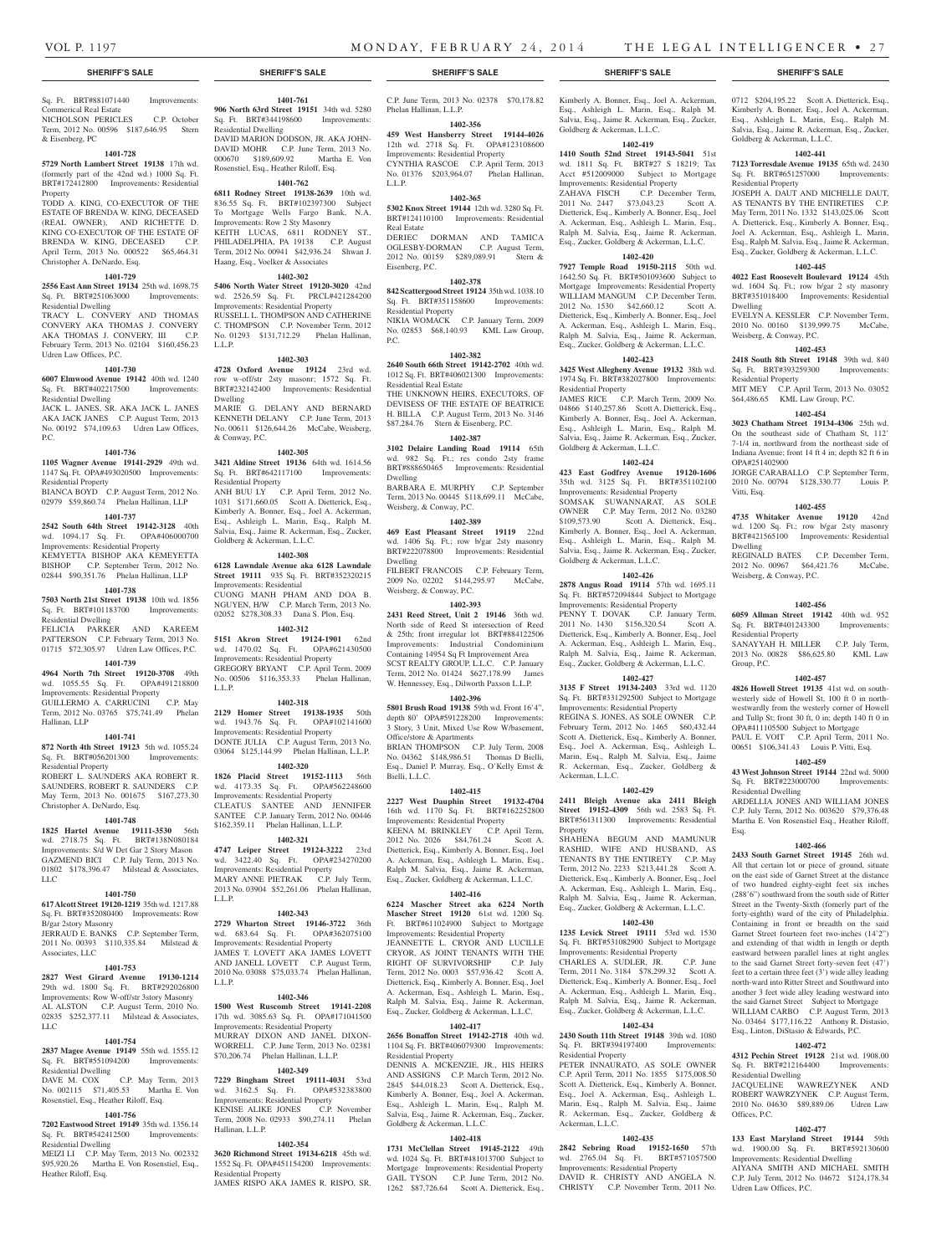Goldberg & Ackerman, L.L.C.

Residential Property

Goldberg & Ackerman, L.L.C.

Goldberg & Ackerman, L.L.C.

Ackerman, L.L.C.

Residential Property

Ackerman, L.L.C.

Property

**1402-426 2878 Angus Road 19114** 57th wd. 1695.11 Sq. Ft. BRT#572094844 Subject to Mortgage Improvements: Residential Property PENNY T. DOVAK C.P. January Term, 2011 No. 1430 \$156,320.54 Scott A. Dietterick, Esq., Kimberly A. Bonner, Esq., Joel A. Ackerman, Esq., Ashleigh L. Marin, Esq., Ralph M. Salvia, Esq., Jaime R. Ackerman, Esq., Zucker, Goldberg & Ackerman, L.L.C. **1402-427 3135 F Street 19134-2403** 33rd wd. 1120 Sq. Ft. BRT#331292500 Subject to Mortgage Improvements: Residential Property REGINA S. JONES, AS SOLE OWNER C.P. February Term, 2012 No. 1465 \$60,432.44 Scott A. Dietterick, Esq., Kimberly A. Bonner, Esq., Joel A. Ackerman, Esq., Ashleigh L. Marin, Esq., Ralph M. Salvia, Esq., Jaime R. Ackerman, Esq., Zucker, Goldberg &

**1402-429 2411 Bleigh Avenue aka 2411 Bleigh Street 19152-4309** 56th wd. 2583 Sq. Ft. BRT#561311300 Improvements: Residential

SHAHENA BEGUM AND MAMUNUR RASHID, WIFE AND HUSBAND, AS TENANTS BY THE ENTIRETY C.P. May Term, 2012 No. 2233 \$213,441.28 Scott A. Dietterick, Esq., Kimberly A. Bonner, Esq., Joel A. Ackerman, Esq., Ashleigh L. Marin, Esq., Ralph M. Salvia, Esq., Jaime R. Ackerman, Esq., Zucker, Goldberg & Ackerman, L.L.C. **1402-430 1235 Levick Street 19111** 53rd wd. 1530 Sq. Ft. BRT#531082900 Subject to Mortgage Improvements: Residential Property CHARLES A. SUDLER, JR. C.P. June Term, 2011 No. 3184 \$78,299.32 Scott A. Dietterick, Esq., Kimberly A. Bonner, Esq., Joel A. Ackerman, Esq., Ashleigh L. Marin, Esq., Ralph M. Salvia, Esq., Jaime R. Ackerman, Esq., Zucker, Goldberg & Ackerman, L.L.C. **1402-434 2430 South 11th Street 19148** 39th wd. 1080 BRT#394197400 Improvements

PETER INNAURATO AS SOLE OWNER C.P. April Term, 2011 No. 1855 \$175,008.50 Scott A. Dietterick, Esq., Kimberly A. Bonner, Esq., Joel A. Ackerman, Esq., Ashleigh L. Marin, Esq., Ralph M. Salvia, Esq., Jaime R. Ackerman, Esq., Zucker, Goldberg &

**1402-435 2842 Sebring Road 19152-1650** 57th wd. 2765.04 Sq. Ft. BRT#571057500 Improvements: Residential Property DAVID R. CHRISTY AND ANGELA N. CHRISTY C.P. November Term, 2011 No.

JAMES RICE C.P. March Term, 2009 No. 04866 \$140,257.86 Scott A. Dietterick, Esq., Kimberly A. Bonner, Esq., Joel A. Ackerman, Esq., Ashleigh L. Marin, Esq., Ralph M. Salvia, Esq., Jaime R. Ackerman, Esq., Zucker,

**1402-424 423 East Godfrey Avenue 19120-1606**  35th wd. 3125 Sq. Ft. BRT#351102100 Improvements: Residential Property SOMSAK SUWANNARAT, AS SOLE OWNER C.P. May Term, 2012 No. 03280 \$109,573.90 Scott A. Dietterick, Esq., Kimberly A. Bonner, Esq., Joel A. Ackerman, Esq., Ashleigh L. Marin, Esq., Ralph M. Salvia, Esq., Jaime R. Ackerman, Esq., Zucker,

Esq., Ashleigh L. Marin, Esq., Ralph M. Salvia, Esq., Jaime R. Ackerman, Esq., Zucker, 0712 \$204,195.22 Scott A. Dietterick, Esq., Kimberly A. Bonner, Esq., Joel A. Ackerman, Esq., Ashleigh L. Marin, Esq., Ralph M. Salvia, Esq., Jaime R. Ackerman, Esq., Zucker,

**1402-441 7123 Torresdale Avenue 19135** 65th wd. 2430 Sq. Ft. BRT#651257000 Improvements:

JOSEPH A. DAUT AND MICHELLE DAUT, AS TENANTS BY THE ENTIRETIES C.P. May Term, 2011 No. 1332 \$143,025.06 Scott A. Dietterick, Esq., Kimberly A. Bonner, Esq., Joel A. Ackerman, Esq., Ashleigh L. Marin, Esq., Ralph M. Salvia, Esq., Jaime R. Ackerman, Esq., Zucker, Goldberg & Ackerman, L.L.C. **1402-445 4022 East Roosevelt Boulevard 19124** 45th wd. 1604 Sq. Ft.; row b/gar 2 sty masonry BRT#351018400 Improvements: Residential

EVELYN A. KESSLER C.P. November Term, 2010 No. 00160 \$139,999.75 McCabe,

**1402-453 2418 South 8th Street 19148** 39th wd. 840 Sq. Ft. BRT#393259300 Improvements:

MIT MEY C.P. April Term, 2013 No. 03052 \$64,486.65 KML Law Group, P.C. **1402-454 3023 Chatham Street 19134-4306** 25th wd. On the southeast side of Chatham St, 112' 7-1/4 in, northward from the northeast side of Indiana Avenue; front 14 ft 4 in; depth 82 ft 6 in

JORGE CARABALLO C.P. September Term, 2010 No. 00794 \$128,330.77 Louis P.

**1402-455 4735 Whitaker Avenue 19120** 42nd wd. 1200 Sq. Ft.; row b/gar 2sty masonry BRT#421565100 Improvements: Residential

REGINALD BATES C.P. December Term, 2012 No. 00967 \$64,421.76 McCabe,

**1402-456 6059 Allman Street 19142** 40th wd. 952 Sq. Ft. BRT#401243300 Improvements:

SANAYYAH H. MILLER C.P. July Term, 2013 No. 00828 \$86,625.80 KML Law

**1402-457 4826 Howell Street 19135** 41st wd. on southwesterly side of Howell St, 100 ft 0 in northwestwardly from the westerly corner of Howell and Tullp St; front 30 ft, 0 in; depth 140 ft 0 in OPA#411105500 Subject to Mortgage PAUL E. VOIT C.P. April Term, 2011 No. 00651 \$106,341.43 Louis P. Vitti, Esq. **1402-459 43 West Johnson Street 19144** 22nd wd. 5000 Sq. Ft. BRT#223000700 Improvements:

ARDELLIA JONES AND WILLIAM JONES C.P. July Term, 2012 No. 003620 \$79,376.48 Martha E. Von Rosenstiel Esq., Heather Riloff,

**1402-466 2433 South Garnet Street 19145** 26th wd. All that certain lot or piece of ground, situate on the east side of Garnet Street at the distance of two hundred eighty-eight feet six inches (288'6") southward from the south side of Ritter Street in the Twenty-Sixth (fomerly part of the forty-eighth) ward of the city of Philadelphia. Containing in front or breadth on the said Garnet Street fourteen feet two-inches (14'2") and extending of that width in length or depth eastward between parallel lines at right angles to the said Garnet Street forty-seven feet (47') feet to a certain three feet (3') wide alley leading north-ward into Ritter Street and Southward into another 3 feet wide alley leading westward into the said Garnet Street Subject to Mortgage WILLIAM CARBO C.P. August Term, 2013 No. 03464 \$177,116.22 Anthony R. Distasio, Esq., Linton, DiStasio & Edwards, P.C. **1402-472 4312 Pechin Street 19128** 21st wd. 1908.00 Sq. Ft. BRT#212164400 Improvements:

Goldberg & Ackerman, L.L.C.

Residential Property

Dwelling

Weisberg, & Conway, P.C.

Residential Property

OPA#251402900

Vitti, Esq.

Dwelling

Weisberg, & Conway, P.C.

Residential Property

Residential Dwelling

Residential Dwelling

Udren Law Offices, P.C.

Offices, P.C.

JACQUELINE WAWREZYNEK ROBERT WAWRZYNEK C.P. August Term, 2010 No. 04630 \$89,889.06 Udren Law

**1402-477 133 East Maryland Street 19144** 59th wd. 1900.00 Sq. Ft. BRT#592130600 Improvements: Residential Dwelling AIYANA SMITH AND MICHAEL SMITH C.P. July Term, 2012 No. 04672 \$124,178.34

Esq.

Group, P.C.

**1402-419 1410 South 52nd Street 19143-5041** 51st wd. 1811 Sq. Ft. BRT#27 S 18219; Tax Acct #512009000 Subject to Mortgage Improvements: Residential Property ZAHAVA FISCH C.P. December Term, 2011 No. 2447 \$73,043.23 Scott A. Dietterick, Esq., Kimberly A. Bonner, Esq., Joel A. Ackerman, Esq., Ashleigh L. Marin, Esq., Ralph M. Salvia, Esq., Jaime R. Ackerman, Esq., Zucker, Goldberg & Ackerman, L.L.C. **1402-420 7927 Temple Road 19150-2115** 50th wd. 1642.50 Sq. Ft. BRT#501093600 Subject to Mortgage Improvements: Residential Property WILLIAM MANGUM C.P. December Term, 2012 No. 1530 \$42,660.12 Scott A. Dietterick, Esq., Kimberly A. Bonner, Esq., Joel A. Ackerman, Esq., Ashleigh L. Marin, Esq., Ralph M. Salvia, Esq., Jaime R. Ackerman, Esq., Zucker, Goldberg & Ackerman, L.L.C. **1402-423 3425 West Allegheny Avenue 19132** 38th wd. 1974 Sq. Ft. BRT#382027800 Improvements:

### **SHERIFF'S SALE SHERIFF'S SALE SHERIFF'S SALE SHERIFF'S SALE SHERIFF'S SALE**

### Sq. Ft. BRT#881071440 Improvements: Commerical Real Estate

NICHOLSON PERICLES C.P. October Term, 2012 No. 00596 \$187,646.95 Stern & Eisenberg, PC

### **1401-728**

**5729 North Lambert Street 19138** 17th wd. (formerly part of the 42nd wd.) 1000 Sq. Ft. BRT#172412800 Improvements: Residential Property

TODD A. KING, CO-EXECUTOR OF THE ESTATE OF BRENDA W. KING, DECEASED (REAL OWNER), AND RICHETTE D. KING CO-EXECUTOR OF THE ESTATE OF BRENDA W. KING, DECEASED C.P. April Term, 2013 No. 000522 \$65,464.31 Christopher A. DeNardo, Esq.

#### **1401-729**

**2556 East Ann Street 19134** 25th wd. 1698.75 Sq. Ft. BRT#251063000 Improvements: Residential Dwelling TRACY L. CONVERY AND THOMAS

CONVERY AKA THOMAS J. CONVERY AKA THOMAS J. CONVERY, III C.P. February Term, 2013 No. 02104 \$160,456.23 Udren Law Offices, P.C.

### **1401-730**

**6007 Elmwood Avenue 19142** 40th wd. 1240 Sq. Ft. BRT#402217500 Improvements: Residential Dwelling JACK L. JANES, SR. AKA JACK L. JANES

AKA JACK JANES C.P. August Term, 2013 No. 00192 \$74,109.63 Udren Law Offices, P.C.

### **1401-736**

**1105 Wagner Avenue 19141-2929** 49th wd. 1147 Sq. Ft. OPA#493020500 Improvements: Residential Property

BIANCA BOYD C.P. August Term, 2012 No. 02979 \$59,860.74 Phelan Hallinan, LLP

### **1401-737 2542 South 64th Street 19142-3128** 40th

wd. 1094.17 Sq. Ft. OPA#406000700 Improvements: Residential Property KEMYETTA BISHOP AKA KEMEYETTA BISHOP C.P. September Term, 2012 No. 02844 \$90,351.76 Phelan Hallinan, LLP

### **1401-738**

**7503 North 21st Street 19138** 10th wd. 1856 Sq. Ft. BRT#101183700 Improvements: Residential Dwelling

FELICIA PARKER AND KAREEM PATTERSON C.P. February Term, 2013 No. 01715 \$72,305.97 Udren Law Offices, P.C.

### **1401-739**

**4964 North 7th Street 19120-3708** 49th wd. 1055.55 Sq. Ft. OPA#491218800 Improvements: Residential Property GUILLERMO A. CARRUCINI C.P. May Term, 2012 No. 03765 \$75,741.49 Phelan Hallinan, LLP

#### **1401-741**

**872 North 4th Street 19123** 5th wd. 1055.24 Sq. Ft. BRT#056201300 Improvements: Residential Property

ROBERT L. SAUNDERS AKA ROBERT R. SAUNDERS, ROBERT R. SAUNDERS C.P. May Term, 2013 No. 001675 \$167,273.30 Christopher A. DeNardo, Esq.

### **1401-748**

**1825 Hartel Avenue 19111-3530** 56th wd. 2718.75 Sq. Ft. BRT#138N080184 Improvements: S/d W Det Gar 2 Story Mason GAZMEND BICI C.P. July Term, 2013 No. 01802 \$178,396.47 Milstead & Associates, LLC

### **1401-750**

**617 Alcott Street 19120-1219** 35th wd. 1217.88 Sq. Ft. BRT#352080400 Improvements: Row B/gar 2story Masonry JERRAUD E. BANKS C.P. September Term, 2011 No. 00393 \$110,335.84 Milstead &

### **1401-753**

Associates, LLC

**2827 West Girard Avenue 19130-1214**  29th wd. 1800 Sq. Ft. BRT#292026800 Improvements: Row W-off/str 3story Masonry AL ALSTON C.P. August Term, 2010 No. 02835 \$252,377.11 Milstead & Associates, LLC

### **1401-754**

**2837 Magee Avenue 19149 55th wd. 1555.12**<br>Sq. Ft. BRT#551094200 Improvements: Sq. Ft. BRT#551094200 Improvements: Residential Dwelling

DAVE M. COX C.P. May Term, 2013 No. 002115 \$71,405.53 Martha E. Von No. 002115 \$71,405.53 Marth<br>Rosenstiel, Esq., Heather Riloff, Esq.

### **1401-756**

**7202 Eastwood Street 19149** 35th wd. 1356.14 Sq. Ft. BRT#542412500 Improvements: Residential Dwelling

MEIZI LI C.P. May Term, 2013 No. 002332 \$95,920.26 Martha E. Von Rosenstiel, Esq., Heather Riloff, Esq.

**1401-761 906 North 63rd Street 19151** 34th wd. 5280 Sq. Ft. BRT#344198600 Improvements:

Residential Dwelling DAVID MARION DODSON, JR. AKA JOHN-DAVID MOHR C.P. June Term, 2013 No. 000670 \$189,609.92 Martha E. Von Rosenstiel, Esq., Heather Riloff, Esq.

### **1401-762**

**6811 Rodney Street 19138-2639** 10th wd. 836.55 Sq. Ft. BRT#102397300 Subject To Mortgage Wells Fargo Bank, N.A. Improvements: Row 2 Sty Masonry KEITH LUCAS, 6811 RODNEY ST., PHILADELPHIA, PA 19138 C.P. August Term, 2012 No. 00941 \$42,936.24 Shwan J. Haang, Esq., Voelker & Associates

### **1402-302**

**5406 North Water Street 19120-3020** 42nd wd. 2526.59 Sq. Ft. PRCL#421284200 Improvements: Residential Property RUSSELL L. THOMPSON AND CATHERINE C. THOMPSON C.P. November Term, 2012 No. 01293 \$131,712.29 Phelan Hallinan, L.L.P.

### **1402-303**

**4728 Oxford Avenue 19124** 23rd wd. row w-off/str 2sty masonr; 1572 Sq. Ft. BRT#232142400 Improvements: Residential Dwelling MARIE G. DELANY AND BERNARD

KENNETH DELANY C.P. June Term, 2013 No. 00611 \$126,644.26 McCabe, Weisberg, & Conway, P.C.

### **1402-305**

**3421 Aldine Street 19136** 64th wd. 1614.56 Sq. Ft. BRT#642117100 Improvements: Residential Property ANH BUU LY C.P. April Term, 2012 No. 1031 \$171,660.05 Scott A. Dietterick, Esq., Kimberly A. Bonner, Esq., Joel A. Ackerman, Esq., Ashleigh L. Marin, Esq., Ralph M.

Salvia, Esq., Jaime R. Ackerman, Esq., Zucker, Goldberg & Ackerman, L.L.C.

**1402-308**

**6128 Lawndale Avenue aka 6128 Lawndale Street 19111** 935 Sq. Ft. BRT#352320215 Improvements: Residential CUONG MANH PHAM AND DOA B. NGUYEN, H/W C.P. March Term, 2013 No. 02052 \$278,308.33 Dana S. Plon, Esq.

### **1402-312**

**5151 Akron Street 19124-1901** 62nd wd. 1470.02 Sq. Ft. OPA#621430500 Improvements: Residential Property GREGORY BRYANT C.P. April Term, 2009 No. 00506 \$116,353.33 Phelan Hallinan. L.L.P.

#### **1402-318**

**2129 Homer Street 19138-1935** 50th wd. 1943.76 Sq. Ft. OPA#102141600 Improvements: Residential Property DONTE JULIA C.P. August Term, 2013 No. 03064 \$125,144.99 Phelan Hallinan, L.L.P.

### **1402-320**

**1826 Placid Street 19152-1113** 56th wd. 4173.35 Sq. Ft. OPA#562248600 Improvements: Residential Property CLEATUS SANTEE AND JENNIFER SANTEE C.P. January Term, 2012 No. 00446 \$162,359.11 Phelan Hallinan, L.L.P.

### **1402-321**

**4747 Leiper Street 19124-3222** 23rd wd. 3422.40 Sq. Ft. OPA#234270200 WQ. 3422.40 sq. Tub. Communisty MARY ANNE PIETRAK C.P. July Term, 2013 No. 03904 \$52,261.06 Phelan Hallinan, L.L.P.

#### **1402-343**

**2729 Wharton Street 19146-3722** 36th wd. 683.64 Sq. Ft. OPA#362075100 Improvements: Residential Property JAMES T. LOVETT AKA JAMES LOVETT AND JANELL LOVETT C.P. August Term, 2010 No. 03088 \$75,033.74 Phelan Hallinan, L.L.P.

### **1402-346**

**1500 West Ruscomb Street 19141-2208**  17th wd. 3085.63 Sq. Ft. OPA#171041500 Improvements: Residential Property MURRAY DIXON AND JANEL DIXON-C.P. June Term, 2013 \$70,206.74 Phelan Hallinan, L.L.P.

### **1402-349**

**7229 Bingham Street 19111-4031** 53rd wd. 3162.5 Sq. Ft. OPA#532383800 Improvements: Residential Property KENISE ALIKE JONES C.P. November Term, 2008 No. 02933 \$90,274.11 Phelan Hallinan, L.L.P.

### **1402-354**

**3620 Richmond Street 19134-6218** 45th wd. 1552 Sq. Ft. OPA#451154200 Improvements: Residential Property JAMES RISPO AKA JAMES R. RISPO, SR.

C.P. June Term, 2013 No. 02378 \$70,178.82 Kimberly A. Bonner, Esq., Joel A. Ackerman, Phelan Hallinan, L.L.P.

### **1402-356**

**459 West Hansberry Street 19144-4026**  12th wd. 2718 Sq. Ft. OPA#123108600 Improvements: Residential Property CYNTHIA RASCOE C.P. April Term, 2013 No. 01376 \$203,964.07 Phelan Hallinan, L.L.P.

### **1402-365**

**5302 Knox Street 19144** 12th wd. 3280 Sq. Ft. BRT#124110100 Improvements: Residential Real Estate DERIEC DORMAN AND TAMICA

OGLESBY-DORMAN C.P. August Term, 2012 No. 00159 \$289,089.91 Stern & Eisenberg, P.C.

### **1402-378**

**842 Scattergood Street 19124** 35th wd. 1038.10 Sq. Ft. BRT#351158600 Residential Property NIKIA WOMACK C.P. January Term, 2009 No. 02853 \$68,140.93 KML Law Group,  $PC$ .

#### **1402-382**

**2640 South 66th Street 19142-2702** 40th wd. 1012 Sq. Ft. BRT#406021300 Improvements: Residential Real Estate THE UNKNOWN HEIRS, EXECUTORS, OF

DEVISESS OF THE ESTATE OF BEATRICE H. BILLA C.P. August Term, 2013 No. 3146 \$87,284.76 Stern & Eisenberg, P.C.

### **1402-387**

**3102 Delaire Landing Road 19114** 65th wd. 982 Sq. Ft.; res condo 2sty frame BRT#888650465 Improvements: Residential Dwelling

BARBARA E. MURPHY C.P. September Term, 2013 No. 00445 \$118,699.11 McCabe, Weisberg, & Conway, P.C.

### **1402-389**

**469 East Pleasant Street 19119** 22nd wd. 1406 Sq. Ft.; row b/gar 2sty masonry BRT#222078800 Improvements: Residential Dwelling

FILBERT FRANCOIS C.P. February Term, 2009 No. 02202 \$144,295.97 McCabe, Weisberg, & Conway, P.C.

### **1402-393**

**2431 Reed Street, Unit 2 19146** 36th wd. North side of Reed St intersection of Reed & 25th; front irregular lot BRT#884122506 Improvements: Industrial Condominium Containing 14954 Sq Ft Improvement Area SCST REALTY GROUP, L.L.C. C.P. January Term, 2012 No. 01424 \$627,178.99 James W. Hennessey, Esq., Dilworth Paxson L.L.P.

### **1402-396**

**5801 Brush Road 19138** 59th wd. Front 16'4", depth 80' OPA#591228200 Improvements: 3 Story, 3 Unit, Mixed Use Row W/basement, Office/store & Apartments BRIAN THOMPSON C.P. July Term, 2008

No. 04362 \$148,986.51 Thomas D Bielli, Esq., Daniel P. Murray, Esq., O'Kelly Ernst & Bielli, L.L.C.

### **1402-415**

**2227 West Dauphin Street 19132-4704**  16th wd. 1170 Sq. Ft. BRT#162252800 Improvements: Residential Property KEENA M. BRINKLEY C.P. April Term,<br>2012 No. 2026 \$84,761.24 Scott A. 2012 No. 2026 \$84,761.24 Dietterick, Esq., Kimberly A. Bonner, Esq., Joel A. Ackerman, Esq., Ashleigh L. Marin, Esq., Ralph M. Salvia, Esq., Jaime R. Ackerman, Esq., Zucker, Goldberg & Ackerman, L.L.C.

### **1402-416**

**6224 Mascher Street aka 6224 North Mascher Street 19120** 61st wd. 1200 Sq. Ft. BRT#611024900 Subject to Mortgage Improvements: Residential Property JEANNETTE L. CRYOR AND LUCILLE CRYOR, AS JOINT TENANTS WITH THE RIGHT OF SURVIVORSHIP C.P. July Term, 2012 No. 0003 \$57,936.42 Scott A. Dietterick, Esq., Kimberly A. Bonner, Esq., Joel A. Ackerman, Esq., Ashleigh L. Marin, Esq., Ralph M. Salvia, Esq., Jaime R. Ackerman, Esq., Zucker, Goldberg & Ackerman, L.L.C.

### **1402-417**

**2656 Bonaffon Street 19142-2718** 40th wd. 1104 Sq. Ft. BRT#406079300 Improvements: Residential Property

DENNIS A. MCKENZIE, JR., HIS HEIRS AND ASSIGNS C.P. March Term, 2012 No. 2845 \$44,018.23 Scott A. Dietterick, Esq., Kimberly A. Bonner, Esq., Joel A. Ackerman, Esq., Ashleigh L. Marin, Esq., Ralph M. Salvia, Esq., Jaime R. Ackerman, Esq., Zucker, Goldberg & Ackerman, L.L.C.

#### **1402-418**

**1731 McClellan Street 19145-2122** 49th wd. 1024 Sq. Ft. BRT#481013700 Subject to Mortgage Improvements: Residential Property GAIL TYSON C.P. June Term, 2012 No. 1262 \$87,726.64 Scott A. Dietterick, Esq.,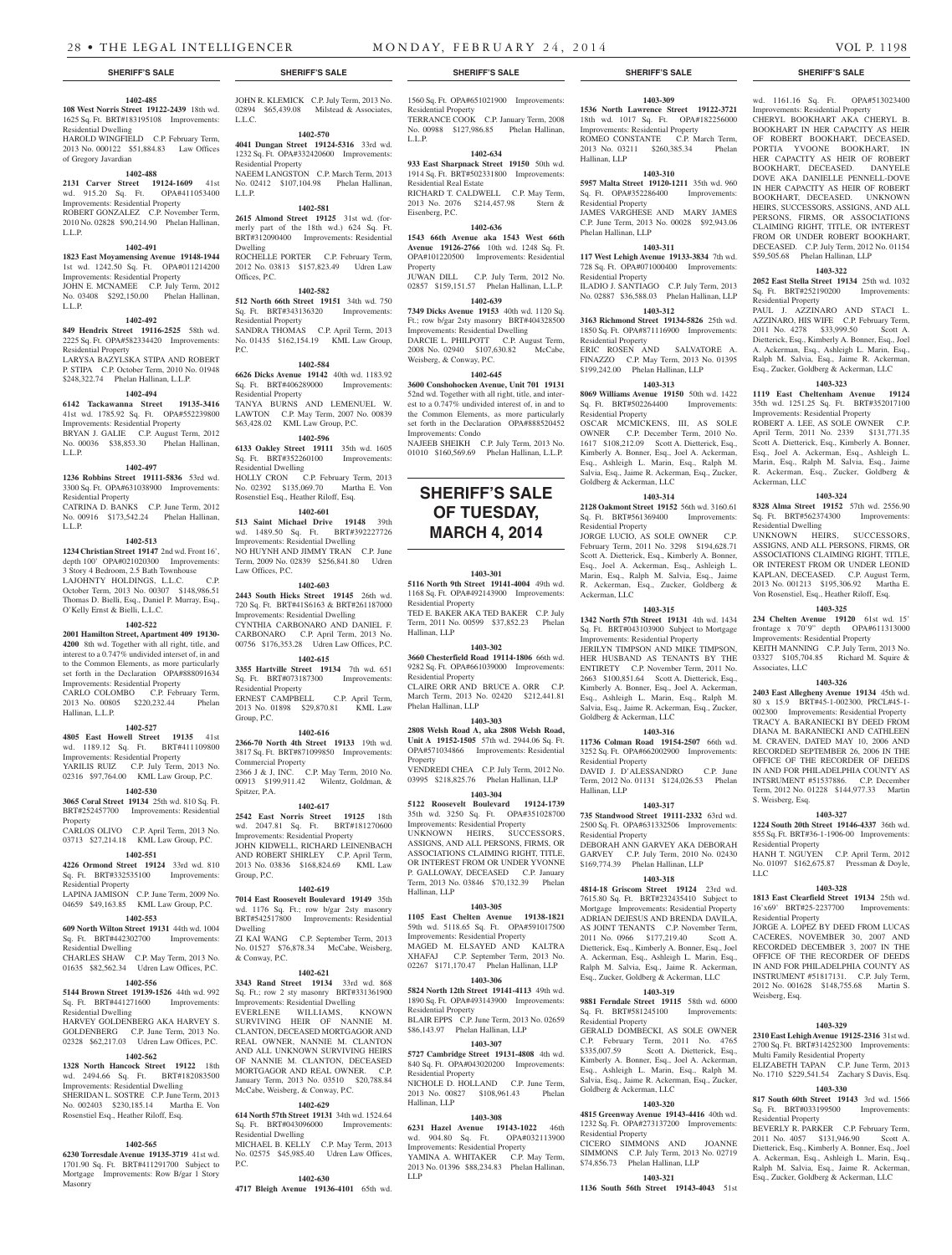### **1402-485**

**108 West Norris Street 19122-2439** 18th wd. 1625 Sq. Ft. BRT#183195108 Improvements: Residential Dwelling HAROLD WINGFIELD C.P. February Term, 2013 No. 000122 \$51,884.83 Law Offices of Gregory Javardian

### **1402-488**

**2131 Carver Street 19124-1609** 41st wd. 915.20 Sq. Ft. OPA#411053400 Improvements: Residential Property ROBERT GONZALEZ C.P. November Term, 2010 No. 02828 \$90,214.90 Phelan Hallinan, L.L.P.

### **1402-491**

**1823 East Moyamensing Avenue 19148-1944**  1st wd. 1242.50 Sq. Ft. OPA#011214200 Improvements: Residential Property JOHN E. MCNAMEE C.P. July Term, 2012 No. 03408 \$292,150.00 Phelan Hallinan, L.L.P.

### **1402-492**

**849 Hendrix Street 19116-2525** 58th wd. 2225 Sq. Ft. OPA#582334420 Improvements: Residential Property LARYSA BAZYLSKA STIPA AND ROBERT P. STIPA C.P. October Term, 2010 No. 01948 \$248,322.74 Phelan Hallinan, L.L.P.

#### **1402-494**

**6142 Tackawanna Street 19135-3416**  41st wd. 1785.92 Sq. Ft. OPA#552239800 Improvements: Residential Property BRYAN J. GALIE C.P. August Term, 2012 No. 00036 \$38,853.30 Phelan Hallinan, L.L.P.

### **1402-497**

**1236 Robbins Street 19111-5836** 53rd wd. 3300 Sq. Ft. OPA#631038900 Improvements: Residential Property CATRINA D. BANKS C.P. June Term, 2012

No. 00916 \$173,542.24 Phelan Hallinan, L.L.P.

#### **1402-513**

**1234 Christian Street 19147** 2nd wd. Front 16', depth 100' OPA#021020300 Improvements: 3 Story 4 Bedroom, 2.5 Bath Townhouse LAJOHNTY HOLDINGS, L.L.C. C.P. October Term, 2013 No. 00307 \$148,986.51 Thomas D. Bielli, Esq., Daniel P. Murray, Esq., O'Kelly Ernst & Bielli, L.L.C.

### **1402-522**

**2001 Hamilton Street, Apartment 409 19130- 4200** 8th wd. Together with all right, title, and interest to a 0.747% undivided interset of, in and to the Common Elements, as more particularly set forth in the Declaration OPA#888091634 Improvements: Residential Property CARLO COLOMBO C.P. February Term, 2013 No. 00805 \$220,232.44 Phelan Hallinan, L.L.P.

#### **1402-527**

**4805 East Howell Street 19135** 41st wd. 1189.12 Sq. Ft. BRT#411109800 Improvements: Residential Property YARILIS RUIZ C.P. July Term, 2013 No. 02316 \$97,764.00 KML Law Group, P.C.

### **1402-530**

**3065 Coral Street 19134** 25th wd. 810 Sq. Ft. BRT#252457700 Improvements: Residential Property

CARLOS OLIVO C.P. April Term, 2013 No. 03713 \$27,214.18 KML Law Group, P.C.

### **1402-551**

**4226 Ormond Street 19124** 33rd wd. 810 Sq. Ft. BRT#332535100 Improvements: Residential Property LAPINA JAMISON C.P. June Term, 2009 No.

### 04659 \$49,163.85 KML Law Group, P.C.

### **1402-553**

**609 North Wilton Street 19131** 44th wd. 1004 Sq. Ft. BRT#442302700 Improvements: Residential Dwelling

CHARLES SHAW C.P. May Term, 2013 No. 01635 \$82,562.34 Udren Law Offices, P.C.

### **1402-556**

**5144 Brown Street 19139-1526** 44th wd. 992 Sq. Ft. BRT#441271600 Improvements: Residential Dwelling

HARVEY GOLDENBERG AKA HARVEY S. GOLDENBERG C.P. June Term, 2013 No. 02328 \$62,217.03 Udren Law Offices, P.C.

### **1402-562**

**1328 North Hancock Street 19122** 18th wd. 2494.66 Sq. Ft. BRT#182083500 Improvements: Residential Dwelling SHERIDAN L. SOSTRE C.P. June Term, 2013 No. 002403 \$230,185.14 Martha E. Von Rosenstiel Esq., Heather Riloff, Esq.

### **1402-565**

**6230 Torresdale Avenue 19135-3719** 41st wd. 1701.90 Sq. Ft. BRT#411291700 Subject to Mortgage Improvements: Row B/gar 1 Story Masonry

**4717 Bleigh Avenue 19136-4101** 65th wd.

JOHN R. KLEMICK C.P. July Term, 2013 No. 02894 \$65,439.08 Milstead & Associates. L.L.C.

#### **1402-570 4041 Dungan Street 19124-5316** 33rd wd. 1232 Sq. Ft. OPA#332420600 Improvements:

Residential Property NAEEM LANGSTON C.P. March Term, 2013 No. 02412 \$107,104.98 Phelan Hallinan, L.L.P.

### **1402-581**

**2615 Almond Street 19125** 31st wd. (formerly part of the 18th wd.) 624 Sq. Ft. BRT#312090400 Improvements: Residential Dwelling ROCHELLE PORTER C.P. February Term, 2012 No. 03813 \$157,823.49 Udren Law Offices, P.C.

### **1402-582**

**512 North 66th Street 19151** 34th wd. 750 Sq. Ft. BRT#343136320 Improvements: Residential Property SANDRA THOMAS C.P. April Term, 2013 No. 01435 \$162,154.19 KML Law Group, P.C.

### **1402-584**

**6626 Dicks Avenue 19142** 40th wd. 1183.92 Sq. Ft. BRT#406289000 Improvements: Residential Property TANYA BURNS AND LEMENUEL W. LAWTON C.P. May Term, 2007 No. 00839 \$63,428.02 KML Law Group, P.C.

### **1402-596**

**6133 Oakley Street 19111** 35th wd. 1605 Sq. Ft. BRT#352260100 Improvements: Residential Dwelling<br>HOLLY CRON C C.P. February Term, 2013

No. 02392 \$135,069.70 Martha E. Von Rosenstiel Esq., Heather Riloff, Esq. **1402-601**

**513 Saint Michael Drive 19148** 39th wd. 1489.50 Sq. Ft. BRT#392227726 Improvements: Residential Dwelling NO HUYNH AND JIMMY TRAN C.P. June

Term, 2009 No. 02839 \$256,841.80 Udren Law Offices, P.C. **1402-603**

**2443 South Hicks Street 19145** 26th wd. 720 Sq. Ft. BRT#41S6163 & BRT#261187000 Improvements: Residential Dwelling CYNTHIA CARBONARO AND DANIEL F. CARBONARO C.P. April Term, 2013 No.

00756 \$176,353.28 Udren Law Offices, P.C. **1402-615**

### **3355 Hartville Street 19134** 7th wd. 651 Sq. Ft. BRT#073187300 Improvements:

Residential Property ERNEST CAMPBELL C.P. April Term, 2013 No. 01898 \$29,870.81 KML Law Group, P.C.

### **1402-616**

**2366-70 North 4th Street 19133** 19th wd. 3817 Sq. Ft. BRT#871099850 Improvements: Commercial Property 2366 J & J, INC. C.P. May Term, 2010 No. 00913 \$199,911.42 Wilentz, Goldman, & Spitzer, P.A.

#### **1402-617**

**2542 East Norris Street 19125** 18th wd. 2047.81 Sq. Ft. BRT#181270600 Improvements: Residential Property JOHN KIDWELL, RICHARD LEINENBACH AND ROBERT SHIRLEY C.P. April Term, 2013 No. 03836 \$168,824.69 KML Law Group, P.C.

### **1402-619**

**7014 East Roosevelt Boulevard 19149** 35th wd. 1176 Sq. Ft.; row b/gar 2sty masonry BRT#542517800 Improvements: Residential Dwelling

ZI KAI WANG C.P. September Term, 2013 No. 01527 \$76,878.34 McCabe, Weisberg, & Conway, P.C.

#### **1402-621**

**3343 Rand Street 19134** 33rd wd. 868 Sq. Ft.; row 2 sty masonry BRT#331361900 Improvements: Residential Dwelling EVERLENE WILLIAMS,

SURVIVING HEIR OF NANNIE M. CLANTON, DECEASED MORTGAGOR AND REAL OWNER, NANNIE M. CLANTON AND ALL UNKNOWN SURVIVING HEIRS OF NANNIE M. CLANTON, DECEASED MORTGAGOR AND REAL OWNER. C.P. January Term, 2013 No. 03510 \$20,788.84 McCabe, Weisberg, & Conway, P.C.

### **1402-629**

**614 North 57th Street 19131** 34th wd. 1524.64 Sq. Ft. BRT#043096000 Improvements: Residential Dwelling MICHAEL B. KELLY C.P. May Term, 2013

No. 02575 \$45,985.40 Udren Law Offices,

### **1402-630**

P.C.

### **SHERIFF'S SALE SHERIFF'S SALE SHERIFF'S SALE SHERIFF'S SALE SHERIFF'S SALE**

**1403-309 1536 North Lawrence Street 19122-3721**  18th wd. 1017 Sq. Ft. OPA#182256000 Improvements: Residential Property

wd. 1161.16 Sq. Ft. OPA#513023400 Improvements: Residential Property CHERYL BOOKHART AKA CHERYL B. BOOKHART IN HER CAPACITY AS HEIR OF ROBERT BOOKHART, DECEASED, PORTIA YVOONE BOOKHART, IN HER CAPACITY AS HEIR OF ROBERT BOOKHART, DECEASED. DANYELE DOVE AKA DANIELLE PENNELL-DOVE IN HER CAPACITY AS HEIR OF ROBERT BOOKHART, DECEASED. UNKNOWN HEIRS, SUCCESSORS, ASSIGNS, AND ALL PERSONS, FIRMS, OR ASSOCIATIONS CLAIMING RIGHT, TITLE, OR INTEREST FROM OR UNDER ROBERT BOOKHART, DECEASED. C.P. July Term, 2012 No. 01154 \$59,505.68 Phelan Hallinan, LLP

**1403-322 2052 East Stella Street 19134** 25th wd. 1032 Sq. Ft. BRT#252190200 Improvements:

PAUL J. AZZINARO AND STACI L. AZZINARO, HIS WIFE C.P. February Term, 2011 No. 4278 \$33,999.50 Scott A. Dietterick, Esq., Kimberly A. Bonner, Esq., Joel A. Ackerman, Esq., Ashleigh L. Marin, Esq., Ralph M. Salvia, Esq., Jaime R. Ackerman, Esq., Zucker, Goldberg & Ackerman, LLC **1403-323 1119 East Cheltenham Avenue 19124**  35th wd. 1251.25 Sq. Ft. BRT#352017100 Improvements: Residential Property ROBERT A. LEE, AS SOLE OWNER C.P. April Term, 2011 No. 2339 \$131,771.35 Scott A. Dietterick, Esq., Kimberly A. Bonner, Esq., Joel A. Ackerman, Esq., Ashleigh L. Marin, Esq., Ralph M. Salvia, Esq., Jaime R. Ackerman, Esq., Zucker, Goldberg &

**1403-324 8328 Alma Street 19152** 57th wd. 2556.90<br> **Sq. Ft. BRT#562374300** Improvements:

UNKNOWN HEIRS, SUCCESSORS, ASSIGNS, AND ALL PERSONS, FIRMS, OR ASSOCIATIONS CLAIMING RIGHT, TITLE, OR INTEREST FROM OR UNDER LEONID KAPLAN, DECEASED. C.P. August Term, 2013 No. 001213 \$195,306.92 Martha E. Von Rosenstiel, Esq., Heather Riloff, Esq. **1403-325 234 Chelten Avenue 19120** 61st wd. 15' frontage x 70'9" depth OPA#611313000 Improvements: Residential Property KEITH MANNING C.P. July Term, 2013 No. 03327 \$105,704.85 Richard M. Squire &

**1403-326 2403 East Allegheny Avenue 19134** 45th wd. 80 x 15.9 BRT#45-1-002300, PRCL#45-1- 002300 Improvements: Residential Property TRACY A. BARANIECKI BY DEED FROM DIANA M. BARANIECKI AND CATHLEEN M. CRAVEN, DATED MAY 10, 2006 AND RECORDED SEPTEMBER 26, 2006 IN THE OFFICE OF THE RECORDER OF DEEDS IN AND FOR PHILADELPHIA COUNTY AS INTSRUMENT #51537886. C.P. December Term, 2012 No. 01228 \$144,977.33 Martin

**1403-327 1224 South 20th Street 19146-4337** 36th wd. 855 Sq. Ft. BRT#36-1-1906-00 Improvements:

HANH T. NGUYEN C.P. April Term, 2012 No. 01097 \$162,675.87 Pressman & Doyle,

**1403-328 1813 East Clearfield Street 19134** 25th wd. 16'x69' BRT#25-2237700 Improvements:

JORGE A. LOPEZ BY DEED FROM LUCAS CACERES, NOVEMBER 30, 2007 AND RECORDED DECEMBER 3, 2007 IN THE OFFICE OF THE RECORDER OF DEEDS IN AND FOR PHILADELPHIA COUNTY AS INSTRUMENT #51817131. C.P. July Term, 2012 No. 001628 \$148,755.68 Martin S.

**1403-329 2310 East Lehigh Avenue 19125-2316** 31st wd. 2700 Sq. Ft. BRT#314252300 Impr Multi Family Residential Property

ELIZABETH TAPAN C.P. June Term, 2013 No. 1710 \$229,541.54 Zachary S Davis, Esq. **1403-330 817 South 60th Street 19143** 3rd wd. 1566

BEVERLY R. PARKER C.P. February Term, 2011 No. 4057 \$131,946.90 Scott A. Dietterick, Esq., Kimberly A. Bonner, Esq., Joel A. Ackerman, Esq., Ashleigh L. Marin, Esq., Ralph M. Salvia, Esq., Jaime R. Ackerman, Esq., Zucker, Goldberg & Ackerman, LLC

Sq. Ft. BRT#033199500 Residential Property

Residential Property

Ackerman, LLC

Associates, LLC

S. Weisberg, Esq.

Residential Property

Residential Property

Weisberg, Esq.

LLC

Sq. Ft. BRT#562374300 Residential Dwelling

ROMEO CONSTANTE C.P. March Term,<br>2013 No. 03211 \$260.385.34 Phelan 2013 No. 03211 \$260,385.34

**1403-310 5957 Malta Street 19120-1211** 35th wd. 960 Sq. Ft. OPA#352286400 Improvements:

JAMES VARGHESE AND MARY JAMES C.P. June Term, 2013 No. 00028 \$92,943.06

**1403-311 117 West Lehigh Avenue 19133-3834** 7th wd. 728 Sq. Ft. OPA#071000400 Improvements:

ILADIO J. SANTIAGO C.P. July Term, 2013 No. 02887 \$36,588.03 Phelan Hallinan, LLP **1403-312 3163 Richmond Street 19134-5826** 25th wd. 1850 Sq. Ft. OPA#871116900 Improvements:

ERIC ROSEN AND SALVATORE A. FINAZZO C.P. May Term, 2013 No. 01395 \$199,242.00 Phelan Hallinan, LLP **1403-313 8069 Williams Avenue 19150** 50th wd. 1422 Sq. Ft. BRT#502264400 Improvements:

OSCAR MCMICKENS, III, AS SOLE OWNER C.P. December Term, 2010 No. 1617 \$108,212.09 Scott A. Dietterick, Esq., Kimberly A. Bonner, Esq., Joel A. Ackerman, Esq., Ashleigh L. Marin, Esq., Ralph M. Salvia, Esq., Jaime R. Ackerman, Esq., Zucker,

**1403-314 2128 Oakmont Street 19152** 56th wd. 3160.61 Sq. Ft. BRT#561369400 Improvements:

JORGE LUCIO, AS SOLE OWNER C.P. February Term, 2011 No. 3298 \$194,628.71 Scott A. Dietterick, Esq., Kimberly A. Bonner, Esq., Joel A. Ackerman, Esq., Ashleigh L. Marin, Esq., Ralph M. Salvia, Esq., Jaime R. Ackerman, Esq., Zucker, Goldberg &

**1403-315 1342 North 57th Street 19131** 4th wd. 1434 Sq. Ft. BRT#043103900 Subject to Mortgage Improvements: Residential Property JERILYN TIMPSON AND MIKE TIMPSON, HER HUSBAND AS TENANTS BY THE ENTIRETY C.P. November Term, 2011 No. 2663 \$100,851.64 Scott A. Dietterick, Esq., Kimberly A. Bonner, Esq., Joel A. Ackerman, Esq., Ashleigh L. Marin, Esq., Ralph M. Salvia, Esq., Jaime R. Ackerman, Esq., Zucker,

**1403-316 11736 Colman Road 19154-2507** 66th wd. 3252 Sq. Ft. OPA#662002900 Improvements:

DAVID J. D'ALESSANDRO C.P. June Term, 2012 No. 01131 \$124,026.53 Phelan

**1403-317 735 Standwood Street 19111-2332** 63rd wd. 2500 Sq. Ft. OPA#631332506 Improvements:

DEBORAH ANN GARVEY AKA DEBORAH GARVEY C.P. July Term, 2010 No. 02430 \$169,774.39 Phelan Hallinan, LLP **1403-318 4814-18 Griscom Street 19124** 23rd wd. 7615.80 Sq. Ft. BRT#232435410 Subject to Mortgage Improvements: Residential Property ADRIAN DEJESUS AND BRENDA DAVILA, AS JOINT TENANTS C.P. November Term,<br>2011 No. 0966 \$177,219.40 Scott A. 2011 No. 0966 \$177,219.40 Dietterick, Esq., Kimberly A. Bonner, Esq., Joel A. Ackerman, Esq., Ashleigh L. Marin, Esq., Ralph M. Salvia, Esq., Jaime R. Ackerman, Esq., Zucker, Goldberg & Ackerman, LLC **1403-319 9881 Ferndale Street 19115** 58th wd. 6000 Sq. Ft. BRT#581245100 Improvements:

GERALD DOMBECKI, AS SOLE OWNER C.P. February Term, 2011 No. 4765 \$335,007.59 Scott A. Dietterick, Esq., Kimberly A. Bonner, Esq., Joel A. Ackerman, Esq., Ashleigh L. Marin, Esq., Ralph M. Salvia, Esq., Jaime R. Ackerman, Esq., Zucker,

**1403-320 4815 Greenway Avenue 19143-4416** 40th wd. 1232 Sq. Ft. OPA#273137200 Improvements:

CICERO SIMMONS AND JOANNE SIMMONS C.P. July Term, 2013 No. 02719 \$74,856.73 Phelan Hallinan, LLP

**1403-321 1136 South 56th Street 19143-4043** 51st

Hallinan, LLP

Residential Property

Phelan Hallinan, LLP

Residential Property

Residential Property

Residential Property

Goldberg & Ackerman, LLC

Residential Property

Ackerman, LLC

Goldberg & Ackerman, LLC

Residential Property

Residential Property

Residential Property

Goldberg & Ackerman, LLC

Residential Property

Hallinan, LLP

1560 Sq. Ft. OPA#651021900 Improvements: Residential Property TERRANCE COOK C.P. January Term, 2008 No. 00988 \$127,986.85 Phelan Hallinan, L.L.P.

### **1402-634 933 East Sharpnack Street 19150** 50th wd.

1914 Sq. Ft. BRT#502331800 Improvements: Residential Real Estate RICHARD T. CALDWELL C.P. May Term,

2013 No. 2076 \$214,457.98 Stern & Eisenberg, P.C.

### **1402-636**

**1543 66th Avenue aka 1543 West 66th Avenue 19126-2766** 10th wd. 1248 Sq. Ft. OPA#101220500 Improvements: Residential **Property** JUWAN DILL C.P. July Term, 2012 No. 02857 \$159,151.57 Phelan Hallinan, L.L.P.

**1402-639**

**7349 Dicks Avenue 19153** 40th wd. 1120 Sq. Ft.; row b/gar 2sty masonry BRT#404328500 Improvements: Residential Dwelling DARCIE L. PHILPOTT C.P. August Term, 2008 No. 02940 \$107,630.82 McCabe, Weisberg, & Conway, P.C.

### **1402-645**

**3600 Conshohocken Avenue, Unit 701 19131**  52nd wd. Together with all right, title, and interest to a 0.747% undivided interest of, in and to the Common Elements, as more particularly set forth in the Declaration OPA#888520452 Improvements: Condo

NAJEEB SHEIKH C.P. July Term, 2013 No. 01010 \$160,569.69 Phelan Hallinan, L.L.P.

## **SHERIFF'S SALE OF TUESDAY, March 4, 2014**

### **1403-301**

**5116 North 9th Street 19141-4004** 49th wd. 1168 Sq. Ft. OPA#492143900 Improvements: Residential Property TED E. BAKER AKA TED BAKER C.P. July

Term, 2011 No. 00599 \$37,852.23 Phelan Hallinan, LLP

### **1403-302**

**3660 Chesterfield Road 19114-1806** 66th wd. 9282 Sq. Ft. OPA#661039000 Improvements: Residential Property CLAIRE ORR AND BRUCE A. ORR C.P. March Term, 2013 No. 02420 \$212,441.81 Phelan Hallinan, LLP

### **1403-303**

**2808 Welsh Road A, aka 2808 Welsh Road, Unit A 19152-1505** 57th wd. 2944.06 Sq. Ft. OPA#571034866 Improvements: Residential Property VENDREDI CHEA C.P. July Term, 2012 No.

03995 \$218,825.76 Phelan Hallinan, LLP **1403-304**

### **5122 Roosevelt Boulevard 19124-1739**

35th wd. 3250 Sq. Ft. OPA#351028700 Improvements: Residential Property UNKNOWN HEIRS, SUCCESSORS, ASSIGNS, AND ALL PERSONS, FIRMS, OR ASSOCIATIONS CLAIMING RIGHT, TITLE, OR INTEREST FROM OR UNDER YVONNE P. GALLOWAY, DECEASED C.P. January Term, 2013 No. 03846 \$70,132.39 Phelan Hallinan, LLP

### **1403-305**

**1105 East Chelten Avenue 19138-1821**  59th wd. 5118.65 Sq. Ft. OPA#591017500 Improvements: Residential Property MAGED M. ELSAYED AND KALTRA XHAFAJ C.P. September Term, 2013 No. 02267 \$171,170.47 Phelan Hallinan, LLP

### **1403-306**

**5824 North 12th Street 19141-4113** 49th wd. 1890 Sq. Ft. OPA#493143900 Improvements: Residential Property BLAIR EPPS C.P. June Term, 2013 No. 02659 \$86,143.97 Phelan Hallinan, LLP

**5727 Cambridge Street 19131-4808** 4th wd. 840 Sq. Ft. OPA#043020200 Improvements:

NICHOLE D. HOLLAND C.P. June Term, 2013 No. 00827 \$108,961.43 Phelan

**1403-308 6231 Hazel Avenue 19143-1022** 46th wd. 904.80 Sq. Ft. OPA#032113900 Improvements: Residential Property

YAMINA A. WHITAKER C.P. May Term, 2013 No. 01396 \$88,234.83 Phelan Hallinan,

### **1403-307**

Residential Property

Hallinan, LLP

LLP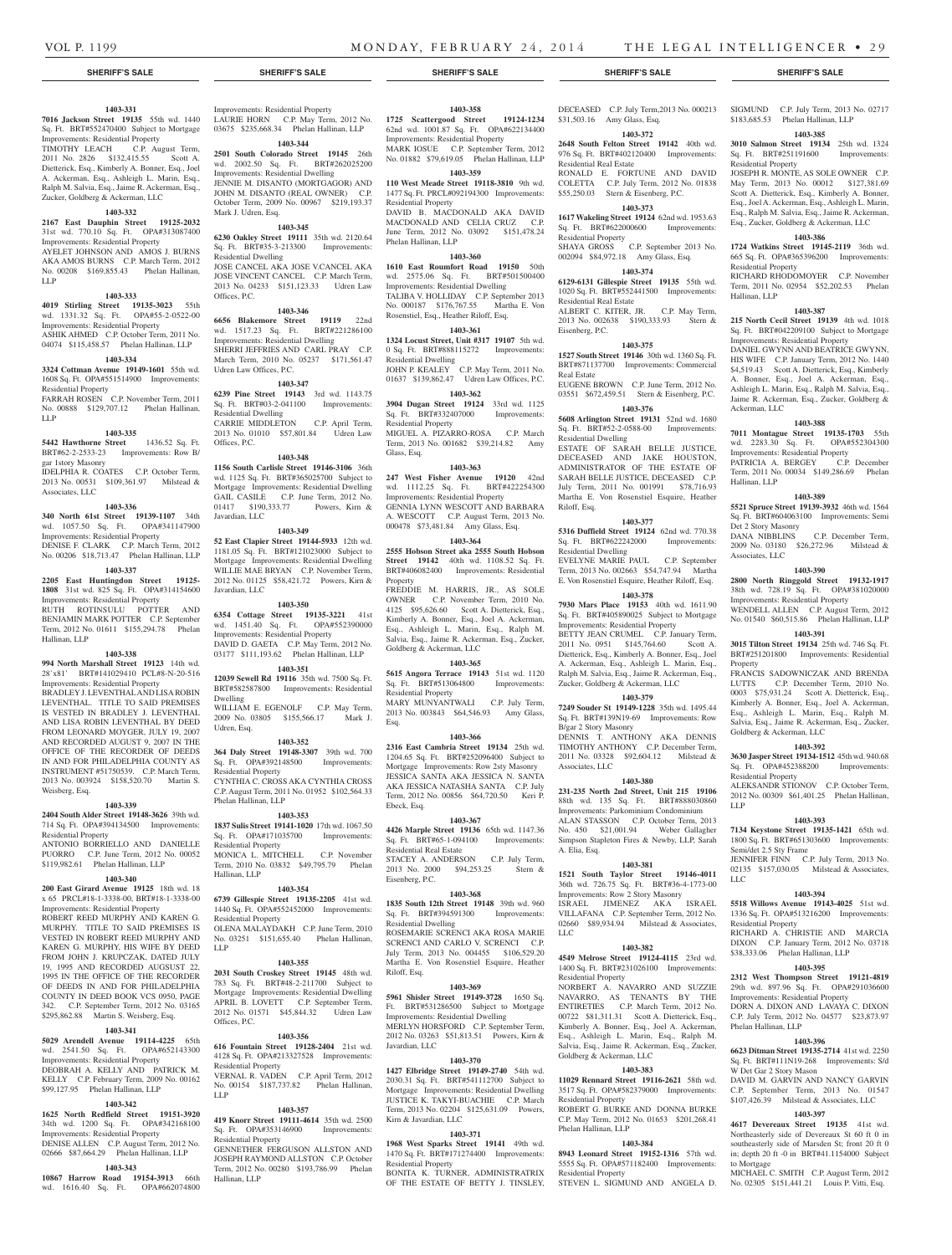### **1403-331**

**7016 Jackson Street 19135** 55th wd. 1440 Sq. Ft. BRT#552470400 Subject to Mortgage Improvements: Residential Property TIMOTHY LEACH C.P. August Term, 2011 No. 2826 \$132,415.55 Scott A. Dietterick, Esq., Kimberly A. Bonner, Esq., Joel A. Ackerman, Esq., Ashleigh L. Marin, Esq., Ralph M. Salvia, Esq., Jaime R. Ackerman, Esq., Zucker, Goldberg & Ackerman, LLC

### **1403-332**

**2167 East Dauphin Street 19125-2032**  31st wd. 770.10 Sq. Ft. OPA#313087400 Improvements: Residential Property AYELET JOHNSON AND AMOS J. BURNS AKA AMOS BURNS C.P. March Term, 2012

## No. 00208 \$169,855.43 Phelan Hallinan, LLP

### **1403-333**

**4019 Stirling Street 19135-3023** 55th wd. 1331.32 Sq. Ft. OPA#55-2-0522-00 Improvements: Residential Property ASHIK AHMED C.P. October Term, 2011 No. 04074 \$115,458.57 Phelan Hallinan, LLP

### **1403-334**

**3324 Cottman Avenue 19149-1601** 55th wd. 1608 Sq. Ft. OPA#551514900 Improvements: Residential Property

FARRAH ROSEN C.P. November Term, 2011 No. 00888 \$129,707.12 Phelan Hallinan, LLP

#### **1403-335**

### **5442 Hawthorne Street** 1436.52 Sq. Ft. BRT#62-2-2533-23 Improvements: Row B/ gar 1story Masonry

IDELPHIA R. COATES C.P. October Term, 2013 No. 00531 \$109,361.97 Milstead & Associates, LLC

#### **1403-336**

**340 North 61st Street 19139-1107** 34th wd. 1057.50 Sq. Ft. OPA#341147900 Improvements: Residential Property DENISE F. CLARK C.P. March Term, 2012

No. 00206 \$18,713.47 Phelan Hallinan, LLP **1403-337 2205 East Huntingdon Street 19125-**

**1808** 31st wd. 825 Sq. Ft. OPA#314154600 Improvements: Residential Property RUTH ROTINSULU POTTER AND BENJAMIN MARK POTTER C.P. September Term, 2012 No. 01611 \$155,294.78 Phelan Hallinan, LLP

### **1403-338**

**994 North Marshall Street 19123** 14th wd. 28'x81' BRT#141029410 PCL#8-N-20-516 Improvements: Residential Property BRADLEY J. LEVENTHAL AND LISA ROBIN LEVENTHAL. TITLE TO SAID PREMISES IS VESTED IN BRADLEY J. LEVENTHAL AND LISA ROBIN LEVENTHAL BY DEED FROM LEONARD MOYGER, JULY 19, 2007 AND RECORDED AUGUST 9, 2007 IN THE OFFICE OF THE RECORDER OF DEEDS IN AND FOR PHILADELPHIA COUNTY AS INSTRUMENT #51750539. C.P. March Term, 2013 No. 003924 \$158,520.70 Martin S. Weisberg, Esq.

#### **1403-339**

**2404 South Alder Street 19148-3626** 39th wd. 714 Sq. Ft. OPA#394134500 Improvements: Residential Property

ANTONIO BORRIELLO AND DANIELLE PUORRO C.P. June Term, 2012 No. 00052 \$119,982.61 Phelan Hallinan, LLP

### **1403-340**

**200 East Girard Avenue 19125** 18th wd. 18 x 65 PRCL#18-1-3338-00, BRT#18-1-3338-00 Improvements: Residential Property

ROBERT REED MURPHY AND KAREN G. MURPHY. TITLE TO SAID PREMISES IS VESTED IN ROBERT REED MURPHY AND KAREN G. MURPHY, HIS WIFE BY DEED FROM JOHN J. KRUPCZAK, DATED JULY 19, 1995 AND RECORDED AUGSUST 22, 1995 IN THE OFFICE OF THE RECORDER OF DEEDS IN AND FOR PHILADELPHIA COUNTY IN DEED BOOK VCS 0950, PAGE 342. C.P. September Term, 2012 No. 03165 \$295,862.88 Martin S. Weisberg, Esq.

### **1403-341**

**5029 Arendell Avenue 19114-4225** 65th wd. 2541.50 Sq. Ft. OPA#652143300 Improvements: Residential Property DEOBRAH A. KELLY AND PATRICK M. KELLY C.P. February Term, 2009 No. 00162

### \$99,127.95 Phelan Hallinan, LLP **1403-342**

**1625 North Redfield Street 19151-3920**  34th wd. 1200 Sq. Ft. OPA#342168100 Improvements: Residential Property DENISE ALLEN C.P. August Term, 2012 No.

### 02666 \$87,664.29 Phelan Hallinan, LLP **1403-343**

**10867 Harrow Road 19154-3913** 66th wd. 1616.40 Sq. Ft. OPA#662074800

### Improvements: Residential Property LAURIE HORN C.P. May Term, 2012 No. 03675 \$235,668.34 Phelan Hallinan, LLP

**1403-344 2501 South Colorado Street 19145** 26th wd. 2002.50 Sq. Ft. BRT#262025200 Improvements: Residential Dwelling JENNIE M. DISANTO (MORTGAGOR) AND

### JOHN M. DISANTO (REAL OWNER) C.P. October Term, 2009 No. 00967 \$219,193.37 Mark J. Udren, Esq.

### **1403-345**

**6230 Oakley Street 19111** 35th wd. 2120.64 Sq. Ft. BRT#35-3-213300 Improvements: Residential Dwelling JOSE CANCEL AKA JOSE V.CANCEL AKA JOSE VINCENT CANCEL C.P. March Term,

2013 No. 04233 \$151,123.33 Udren Law Offices, P.C. **1403-346**

**6656 Blakemore Street 19119** 22nd wd. 1517.23 Sq. Ft. BRT#221286100 Improvements: Residential Dwelling SHERRI JEFFRIES AND CARL PRAY C.P. March Term, 2010 No. 05237 \$171,561.47 Udren Law Offices, P.C.

### **1403-347**

**6239 Pine Street 19143** 3rd wd. 1143.75 Sq. Ft. BRT#03-2-041100 Improvements: Residential Dwelling CARRIE MIDDLETON C.P. April Term, 2013 No. 01010 \$57,801.84 Udren Law Offices, P.C.

### **1403-348**

**1156 South Carlisle Street 19146-3106** 36th wd. 1125 Sq. Ft. BRT#365025700 Subject to Mortgage Improvements: Residential Dwelling GAIL CASILE C.P. June Term, 2012 No. 01417 \$190,333.77 Powers, Kirn & Javardian, LLC

### **1403-349**

**52 East Clapier Street 19144-5933** 12th wd. 1181.05 Sq. Ft. BRT#121023000 Subject to Mortgage Improvements: Residential Dwelling WILLIE MAE BRYAN C.P. November Term, 2012 No. 01125 \$58,421.72 Powers, Kirn & Javardian, LLC

#### **1403-350**

**6354 Cottage Street 19135-3221** 41st wd. 1451.40 Sq. Ft. OPA#552390000 Improvements: Residential Property DAVID D. GAETA C.P. May Term, 2012 No. 03177 \$111,193.62 Phelan Hallinan, LLP

### **1403-351**

**12039 Sewell Rd 19116** 35th wd. 7500 Sq. Ft. BRT#582587800 Improvements: Residential Dwelling

WILLIAM E. EGENOLF C.P. May Term, 2009 No. 03805 \$155,566.17 Mark J. Udren, Esq.

### **1403-352**

**364 Daly Street 19148-3307** 39th wd. 700 Sq. Ft. OPA#392148500 Improvements: Residential Property CYNTHIA C. CROSS AKA CYNTHIA CROSS C.P. August Term, 2011 No. 01952 \$102,564.33

### **1403-353**

Phelan Hallinan, LLP

**1837 Sulis Street 19141-1020** 17th wd. 1067.50 Sq. Ft. OPA#171035700 Improvements: Residential Property MONICA L. MITCHELL C.P. November Term, 2010 No. 03832 \$49,795.79 Phelan Hallinan, LLP

### **1403-354**

**6739 Gillespie Street 19135-2205** 41st wd. 1440 Sq. Ft. OPA#552452000 Improvements: Residential Property OLENA MALAYDAKH C.P. June Term, 2010

No. 03251 \$151,655.40 Phelan Hallinan, LLP

### **1403-355**

**2031 South Croskey Street 19145** 48th wd. 783 Sq. Ft. BRT#48-2-211700 Subject to Mortgage Improvements: Residential Dwelling APRIL B. LOVETT C.P. September Term, 2012 No. 01571 \$45,844.32 Udren Law Offices, P.C.

### **1403-356**

**616 Fountain Street 19128-2404** 21st wd. 4128 Sq. Ft. OPA#213327528 Improvements: Residential Property VERNAL R. VADEN C.P. April Term, 2012 No. 00154 \$187,737.82 Phelan Hallinan,

### **1403-357**

LLP

**419 Knorr Street 19111-4614** 35th wd. 2500 Sq. Ft. OPA#353146900 Improvements:

Residential Property GENNETHER FERGUSON ALLSTON AND JOSEPH RAYMOND ALLSTON C.P. October Term, 2012 No. 00280 \$193,786.99 Phelan Hallinan, LLP

### **1403-358**

**1725 Scattergood Street 19124-1234**  62nd wd. 1001.87 Sq. Ft. OPA#622134400 Improvements: Residential Property MARK IOSUE C.P. September Term, 2012 No. 01882 \$79,619.05 Phelan Hallinan, LLP

### **1403-359**

**110 West Meade Street 19118-3810** 9th wd. 1477 Sq. Ft. PRCL#092194300 Improvements: Residential Property DAVID B. MACDONALD AKA DAVID

MACDONALD AND CELIA CRUZ C.P. June Term, 2012 No. 03092 \$151,478.24 Phelan Hallinan, LLP **1403-360**

### **1610 East Roumfort Road 19150** 50th

wd. 2575.06 Sq. Ft. BRT#501500400 Improvements: Residential Dwelling TALIBA V. HOLLIDAY C.P. September 2013 No. 000187 \$176,767.55 Martha E. Von Rosenstiel, Esq., Heather Riloff, Esq.

### **1403-361**

**1324 Locust Street, Unit #317 19107** 5th wd. 0 Sq. Ft. BRT#888115272 Improvements: Residential Dwelling JOHN P. KEALEY C.P. May Term, 2011 No.

01637 \$139,862.47 Udren Law Offices, P.C. **1403-362**

**3904 Dugan Street 19124** 33rd wd. 1125 Sq. Ft. BRT#332407000 Improvements: Residential Property MIGUEL A. PIZARRO-ROSA C.P. March Term, 2013 No. 001682 \$39,214.82 Amy Glass, Esq.

### **1403-363**

**247 West Fisher Avenue 19120** 42nd wd. 1112.25 Sq. Ft. BRT#422254300 Improvements: Residential Property GENNIA LYNN WESCOTT AND BARBARA A. WESCOTT C.P. August Term, 2013 No. 000478 \$73,481.84 Amy Glass, Esq.

### **1403-364**

**2555 Hobson Street aka 2555 South Hobson Street 19142** 40th wd. 1108.52 Sq. Ft. BRT#406082400 Improvements: Residential **Property** FREDDIE M. HARRIS, JR., AS SOLE

OWNER C.P. November Term, 2010 No. 4125 \$95,626.60 Scott A. Dietterick, Esq., Kimberly A. Bonner, Esq., Joel A. Ackerman, Esq., Ashleigh L. Marin, Esq., Ralph M. Salvia, Esq., Jaime R. Ackerman, Esq., Zucker, Goldberg & Ackerman, LLC

### **1403-365**

**5615 Angora Terrace 19143** 51st wd. 1120 Sq. Ft. BRT#513064800 Improvements: Residential Property MARY MUNYANTWALI C.P. July Term,

2013 No. 003843 \$64,546.93 Amy Glass, Esq.

### **1403-366**

**2316 East Cambria Street 19134** 25th wd. 1204.65 Sq. Ft. BRT#252096400 Subject to Mortgage Improvements: Row 2sty Masonry JESSICA SANTA AKA JESSICA N. SANTA AKA JESSICA NATASHA SANTA C.P. July Term, 2012 No. 00856 \$64,720.50 Keri P. Ebeck, Esq.

#### **1403-367**

**4426 Marple Street 19136** 65th wd. 1147.36 Sq. Ft. BRT#65-1-094100 Improvements: Residential Real Estate STACEY A. ANDERSON C.P. July Term, 2013 No. 2000 \$94,253.25 Stern & Eisenberg, P.C.

#### **1403-368**

**1835 South 12th Street 19148** 39th wd. 960 Sq. Ft. BRT#394591300 Residential Dwelling ROSEMARIE SCRENCI AKA ROSA MARIE SCRENCI AND CARLO V. SCRENCI C.P. July Term, 2013 No. 004455 \$106,529.20 Martha E. Von Rosenstiel Esquire, Heather Riloff, Esq.

### **1403-369**

**5961 Shisler Street 19149-3728** 1650 Sq. Ft. BRT#531286500 Subject to Mortgage Improvements: Residential Dwelling MERLYN HORSFORD C.P. September Term, 2012 No. 03263 \$51,813.51 Powers, Kirn & Javardian, LLC

#### **1403-370**

**1427 Elbridge Street 19149-2740** 54th wd. 2030.31 Sq. Ft. BRT#541112700 Subject to Mortgage Improvements: Residential Dwelling JUSTICE K. TAKYI-BUACHIE C.P. March Term, 2013 No. 02204 \$125,631.09 Powers, Kirn & Javardian, LLC

### **1403-371**

**1968 West Sparks Street 19141** 49th wd. 1470 Sq. Ft. BRT#171274400 Improvements: Residential Property BONITA K. TURNER, ADMINISTRATRIX

OF THE ESTATE OF BETTY J. TINSLEY,

DECEASED C.P. July Term,2013 No. 000213 SIGMUND C.P. July Term, 2013 No. 02717 \$31,503.16 Amy Glass, Esq. **1403-372**

\$183,685.53 Phelan Hallinan, LLP **1403-385 3010 Salmon Street 19134** 25th wd. 1324 Sq. Ft. BRT#251191600 Improvements:

JOSEPH R. MONTE, AS SOLE OWNER C.P. May Term, 2013 No. 00012 \$127,381.69 Scott A. Dietterick, Esq., Kimberly A. Bonner, Esq., Joel A. Ackerman, Esq., Ashleigh L. Marin, Esq., Ralph M. Salvia, Esq., Jaime R. Ackerman, Esq., Zucker, Goldberg & Ackerman, LLC **1403-386 1724 Watkins Street 19145-2119** 36th wd. 665 Sq. Ft. OPA#365396200 Improvements:

RICHARD RHODOMOYER C.P. November Term, 2011 No. 02954 \$52,202.53 Phelan

**1403-387 215 North Cecil Street 19139** 4th wd. 1018 Sq. Ft. BRT#042209100 Subject to Mortgage Improvements: Residential Property DANIEL GWYNN AND BEATRICE GWYNN, HIS WIFE C.P. January Term, 2012 No. 1440 \$4,519.43 Scott A. Dietterick, Esq., Kimberly A. Bonner, Esq., Joel A. Ackerman, Esq., Ashleigh L. Marin, Esq., Ralph M. Salvia, Esq., Jaime R. Ackerman, Esq., Zucker, Goldberg &

**1403-388 7011 Montague Street 19135-1703** 55th wd. 2283.30 Sq. Ft. OPA#552304300 Improvements: Residential Property PATRICIA A. BERGEY C.P. December Term, 2011 No. 00034 \$149,286.69 Phelan

**1403-389 5521 Spruce Street 19139-3932** 46th wd. 1564 Sq. Ft. BRT#604063100 Improvements: Semi

DANA NIBBLINS C.P. December Term, 2009 No. 03180 \$26,272.96 Milstead &

**1403-390 2800 North Ringgold Street 19132-1917**  38th wd. 728.19 Sq. Ft. OPA#381020000 Improvements: Residential Property WENDELL ALLEN C.P. August Term, 2012 No. 01540 \$60,515.86 Phelan Hallinan, LLP **1403-391 3015 Tilton Street 19134** 25th wd. 746 Sq. Ft. BRT#251201800 Improvements: Residential

FRANCIS SADOWNICZAK AND BRENDA LUTTS C.P. December Term, 2010 No. 0003 \$75,931.24 Scott A. Dietterick, Esq., Kimberly A. Bonner, Esq., Joel A. Ackerman, Esq., Ashleigh L. Marin, Esq., Ralph M. Salvia, Esq., Jaime R. Ackerman, Esq., Zucker,

**1403-392 3630 Jasper Street 19134-1512** 45th wd. 940.68 Sq. Ft. OPA#452388200 Improvements:

ALEKSANDR STIONOV C.P. October Term, 2012 No. 00309 \$61,401.25 Phelan Hallinan,

**1403-393 7134 Keystone Street 19135-1421** 65th wd. 1800 Sq. Ft. BRT#651303600 Improvements:

JENNIFER FINN C.P. July Term, 2013 No. 02135 \$157,030.05 Milstead & Associates,

**1403-394 5518 Willows Avenue 19143-4025** 51st wd. 1336 Sq. Ft. OPA#513216200 Improvements:

RICHARD A. CHRISTIE AND MARCIA DIXON C.P. January Term, 2012 No. 03718 \$38,333.06 Phelan Hallinan, LLP **1403-395 2312 West Thompson Street 19121-4819**  29th wd. 897.96 Sq. Ft. OPA#291036600 Improvements: Residential Property DORN A. DIXON AND LAVAYA C. DIXON C.P. July Term, 2012 No. 04577 \$23,873.97

**1403-396 6623 Ditman Street 19135-2714** 41st wd. 2250 Sq. Ft. BRT#111N19-268 Improvements: S/d

DAVID M. GARVIN AND NANCY GARVIN C.P. September Term, 2013 No. 01547 \$107,426.39 Milstead & Associates, LLC **1403-397 4617 Devereaux Street 19135** 41st wd. Northeasterly side of Devereaux St 60 ft 0 in southeasterly side of Marsden St; front 20 ft 0 in; depth 20 ft -0 in BRT#41.1154000 Subject

MICHAEL C. SMITH C.P. August Term, 2012 No. 02305 \$151,441.21 Louis P. Vitti, Esq.

Goldberg & Ackerman, LLC

Residential Property

Semi/det 2.5 Sty Frame

Residential Property

Phelan Hallinan, LLP

W Det Gar 2 Story Mason

to Mortgage

LLP

LLC

Residential Property

Residential Property

Hallinan, LLP

Ackerman, LLC

Hallinan, LLP

Det 2 Story Masonry

Associates, LLC

Property

**2648 South Felton Street 19142** 40th wd. 976 Sq. Ft. BRT#402120400 Improvements:

RONALD E. FORTUNE AND DAVID COLETTA C.P. July Term, 2012 No. 01838 \$55,250.03 Stern & Eisenberg, P.C. **1403-373 1617 Wakeling Street 19124** 62nd wd. 1953.63 Sq. Ft. BRT#622000600 Improvements:

SHAYA GROSS C.P. September 2013 No. 002094 \$84,972.18 Amy Glass, Esq. **1403-374 6129-6131 Gillespie Street 19135** 55th wd. 1020 Sq. Ft. BRT#552441500 Improvements:

ALBERT C. KITER, JR. C.P. May Term, 2013 No. 002638 \$190,333.93 Stern &

**1403-375 1527 South Street 19146** 30th wd. 1360 Sq. Ft. BRT#871137700 Improvements: Commercial

EUGENE BROWN C.P. June Term, 2012 No. 03551 \$672,459.51 Stern & Eisenberg, P.C. **1403-376 5608 Arlington Street 19131** 52nd wd. 1680 Sq. Ft. BRT#52-2-0588-00 Improvements:

ESTATE OF SARAH BELLE JUSTICE, DECEASED AND JAKE HOUSTON, ADMINISTRATOR OF THE ESTATE OF SARAH BELLE JUSTICE, DECEASED C.P. July Term, 2011 No. 001991 \$78,716.93 Martha E. Von Rosenstiel Esquire, Heather

**1403-377 5316 Duffield Street 19124** 62nd wd. 770.38 Sq. Ft. BRT#622242000 Improvements:

EVELYNE MARIE PAUL C.P. September Term, 2013 No. 002663 \$54,747.94 Martha E. Von Rosenstiel Esquire, Heather Riloff, Esq. **1403-378 7930 Mars Place 19153** 40th wd. 1611.90 Sq. Ft. BRT#405890025 Subject to Mortgage Improvements: Residential Property BETTY JEAN CRUMEL C.P. January Term, 2011 No. 0951 \$145,764.60 Scott A. Dietterick, Esq., Kimberly A. Bonner, Esq., Joel A. Ackerman, Esq., Ashleigh L. Marin, Esq., Ralph M. Salvia, Esq., Jaime R. Ackerman, Esq., Zucker, Goldberg & Ackerman, LLC **1403-379 7249 Souder St 19149-1228** 35th wd. 1495.44 Sq. Ft. BRT#139N19-69 Improvements: Row

DENNIS T. ANTHONY AKA DENNIS TIMOTHY ANTHONY C.P. December Term, 2011 No. 03328 \$92,604.12 Milstead &

**1403-380 231-235 North 2nd Street, Unit 215 19106**  88th wd. 135 Sq. Ft. BRT#888030860 Improvements: Parkominium Condominium ALAN STASSON C.P. October Term, 2013 No. 450 \$21,001.94 Weber Gallagher Simpson Stapleton Fires & Newby, LLP, Sarah

**1403-381 1521 South Taylor Street 19146-4011**  36th wd. 726.75 Sq. Ft. BRT#36-4-1773-00 Improvements: Row 2 Story Masonry ISRAEL JIMENEZ AKA ISRAEL VILLAFANA C.P. September Term, 2012 No. 02660 \$89,934.94 Milstead & Associates,

**1403-382 4549 Melrose Street 19124-4115** 23rd wd. 1400 Sq. Ft. BRT#231026100 Improvements:

NORBERT A. NAVARRO AND SUZZIE NAVARRO, AS TENANTS BY THE ENTIRETIES C.P. March Term, 2012 No. 00722 \$81,311.31 Scott A. Dietterick, Esq., Kimberly A. Bonner, Esq., Joel A. Ackerman, Esq., Ashleigh L. Marin, Esq., Ralph M. .<br>via, Esq., Jaime R. Ackerman, Esq., Zucker,

**1403-383 11029 Rennard Street 19116-2621** 58th wd. 3517 Sq. Ft. OPA#582379000 Improvements:

ROBERT G. BURKE AND DONNA BURKE C.P. May Term, 2012 No. 01653 \$201,268.41

**1403-384 8943 Leonard Street 19152-1316** 57th wd. 5555 Sq. Ft. OPA#571182400 Improvements:

STEVEN L. SIGMUND AND ANGELA D.

Residential Real Estate

Residential Property

Residential Real Estate

Eisenberg, P.C.

Residential Dwelling

Residential Dwelling

B/gar 2 Story Masonry

Associates, LLC

A. Elia, Esq.

LLC

Residential Property

Goldberg & Ackerman, LLC

Residential Property

Phelan Hallinan, LLP

Residential Property

Real Estate

Riloff, Esq.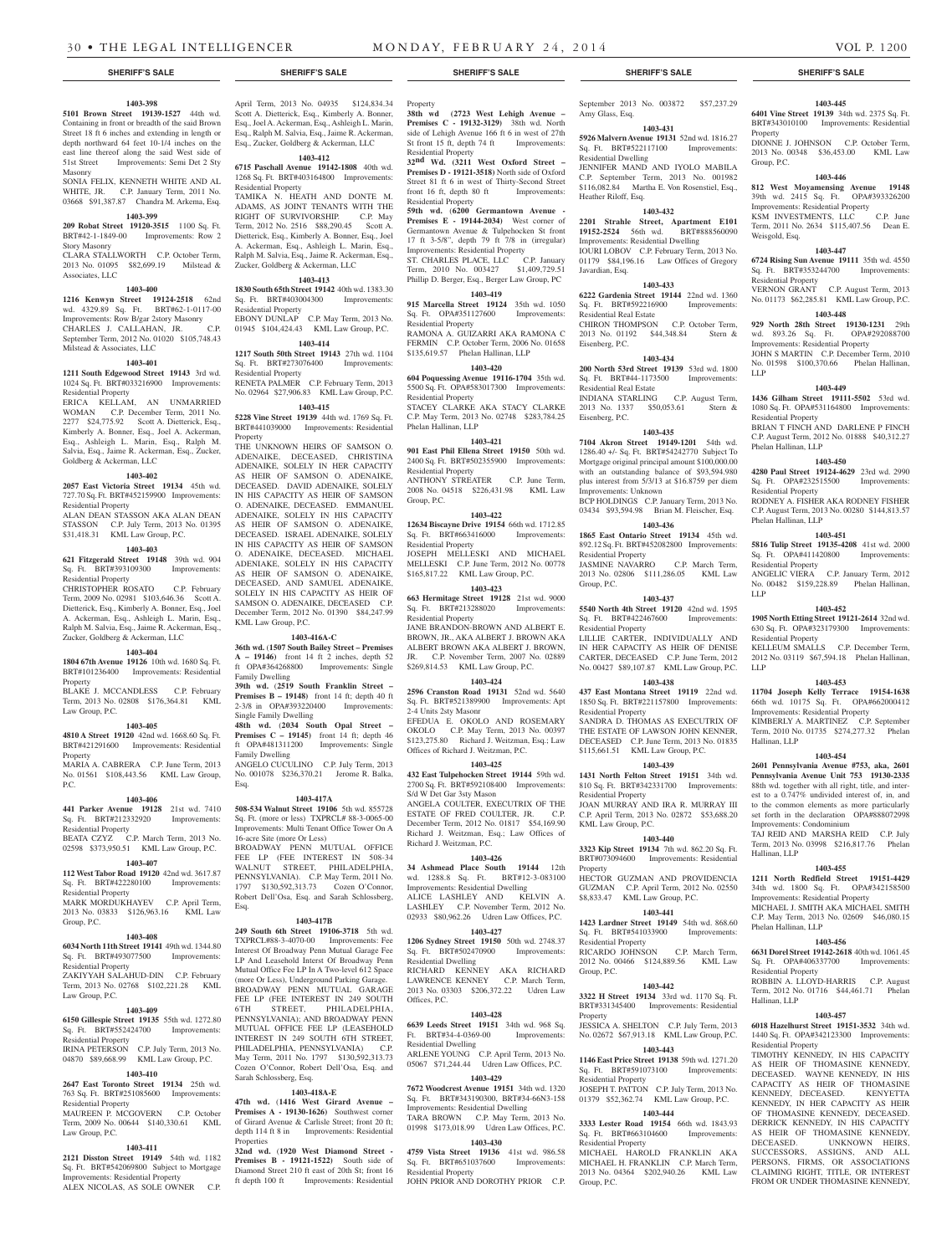### **1403-398**

**5101 Brown Street 19139-1527** 44th wd. Containing in front or breadth of the said Brown Street 18 ft 6 inches and extending in length or depth northward 64 feet 10-1/4 inches on the east line thereof along the said West side of 51st Street Improvements: Semi Det 2 Sty Masonry SONIA FELIX, KENNETH WHITE AND AL

WHITE, JR. C.P. January Term, 2011 No. 03668 \$91,387.87 Chandra M. Arkema, Esq.

## **1403-399**

**209 Robat Street 19120-3515** 1100 Sq. Ft. BRT#42-1-1849-00 Improvements: Row 2 Story Masonry

CLARA STALLWORTH C.P. October Term, 2013 No. 01095 \$82,699.19 Milstead & Associates, LLC

### **1403-400**

**1216 Kenwyn Street 19124-2518** 62nd wd. 4329.89 Sq. Ft. BRT#62-1-0117-00 Improvements: Row B/gar 2story Masonry CHARLES J. CALLAHAN, JR. C.P. September Term, 2012 No. 01020 \$105,748.43 Milstead & Associates, LLC

### **1403-401**

**1211 South Edgewood Street 19143** 3rd wd. 1024 Sq. Ft. BRT#033216900 Improvements: Residential Property

ERICA KELLAM, AN UNMARRIED WOMAN C.P. December Term, 2011 No. 2277 \$24,775.92 Scott A. Dietterick, Esq., Kimberly A. Bonner, Esq., Joel A. Ackerman, Esq., Ashleigh L. Marin, Esq., Ralph M. Salvia, Esq., Jaime R. Ackerman, Esq., Zucker, Goldberg & Ackerman, LLC

### **1403-402**

**2057 East Victoria Street 19134** 45th wd. 727.70 Sq. Ft. BRT#452159900 Improvements: Residential Property

ALAN DEAN STASSON AKA ALAN DEAN STASSON C.P. July Term, 2013 No. 01395 \$31,418.31 KML Law Group, P.C.

### **1403-403**

**621 Fitzgerald Street 19148** 39th wd. 904 Sq. Ft. BRT#393109300 Improvements: Residential Property

CHRISTOPHER ROSATO C.P. February Term, 2009 No. 02981 \$103,646.36 Scott A. Dietterick, Esq., Kimberly A. Bonner, Esq., Joel A. Ackerman, Esq., Ashleigh L. Marin, Esq., Ralph M. Salvia, Esq., Jaime R. Ackerman, Esq., Zucker, Goldberg & Ackerman, LLC

### **1403-404**

**1804 67th Avenue 19126** 10th wd. 1680 Sq. Ft. BRT#101236400 Improvements: Residential Property

BLAKE J. MCCANDLESS C.P. February Term, 2013 No. 02808 \$176,364.81 KML Law Group, P.C.

### **1403-405**

**4810 A Street 19120** 42nd wd. 1668.60 Sq. Ft. BRT#421291600 Improvements: Residential

Property MARIA A. CABRERA C.P. June Term, 2013 No. 01561 \$108,443.56 KML Law Group,

P.C.

### **1403-406**

**441 Parker Avenue 19128** 21st wd. 7410 Sq. Ft. BRT#212332920 Improvements: Residential Property

BEATA CZYZ C.P. March Term, 2013 No. 02598 \$373,950.51 KML Law Group, P.C.

### **1403-407**

**112 West Tabor Road 19120** 42nd wd. 3617.87 Sq. Ft. BRT#422280100 Improvements:

Residential Property MARK MORDUKHAYEV C.P. April Term,

2013 No. 03833 \$126,963.16 KML Law Group, P.C.

#### **1403-408 6034 North 11th Street 19141** 49th wd. 1344.80

Sq. Ft. BRT#493077500 Improvements: Residential Property ZAKIYYAH SALAHUD-DIN C.P. February

Term, 2013 No. 02768 \$102,221.28 KML Law Group, P.C.

### **1403-409**

**6150 Gillespie Street 19135** 55th wd. 1272.80 Sq. Ft. BRT#552424700 Improvements: Residential Property IRINA PETERSON C.P. July Term, 2013 No. 04870 \$89,668.99 KML Law Group, P.C.

### **1403-410**

**2647 East Toronto Street 19134** 25th wd. 763 Sq. Ft. BRT#251085600 Improvements:

Residential Property MAUREEN P. MCGOVERN C.P. October Term, 2009 No. 00644 \$140,330.61 KML

### **1403-411**

Law Group, P.C.

**2121 Disston Street 19149** 54th wd. 1182 Sq. Ft. BRT#542069800 Subject to Mortgage Improvements: Residential Property ALEX NICOLAS, AS SOLE OWNER C.P.

April Term, 2013 No. 04935 \$124,834.34 Scott A. Dietterick, Esq., Kimberly A. Bonner, Esq., Joel A. Ackerman, Esq., Ashleigh L. Marin, Esq., Ralph M. Salvia, Esq., Jaime R. Ackerman, Esq., Zucker, Goldberg & Ackerman, LLC

### **1403-412**

**6715 Paschall Avenue 19142-1808** 40th wd. 1268 Sq. Ft. BRT#403164800 Improvements: Residential Property TAMIKA N. HEATH AND DONTE M.

ADAMS, AS JOINT TENANTS WITH THE RIGHT OF SURVIVORSHIP. C.P. May Term, 2012 No. 2516 \$88,290.45 Scott A. Dietterick, Esq., Kimberly A. Bonner, Esq., Joel A. Ackerman, Esq., Ashleigh L. Marin, Esq., Ralph M. Salvia, Esq., Jaime R. Ackerman, Esq., Zucker, Goldberg & Ackerman, LLC

### **1403-413**

**1830 South 65th Street 19142** 40th wd. 1383.30 Sq. Ft. BRT#403004300 Improvements: Residential Property EBONY DUNLAP C.P. May Term, 2013 No. 01945 \$104,424.43 KML Law Group, P.C.

### **1403-414**

**1217 South 50th Street 19143** 27th wd. 1104<br>Sq. Ft. BRT#273076400 Improvements: Sq. Ft. BRT#273076400 Residential Property RENETA PALMER C.P. February Term, 2013 No. 02964 \$27,906.83 KML Law Group, P.C.

### **1403-415**

**5228 Vine Street 19139** 44th wd. 1769 Sq. Ft. BRT#441039000 Improvements: Residential Property

THE UNKNOWN HEIRS OF SAMSON O. ADENAIKE, DECEASED, CHRISTINA ADENAIKE, SOLELY IN HER CAPACITY AS HEIR OF SAMSON O. ADENAIKE, DECEASED. DAVID ADENAIKE, SOLELY IN HIS CAPACITY AS HEIR OF SAMSON O. ADENAIKE, DECEASED. EMMANUEL ADENAIKE, SOLELY IN HIS CAPACITY AS HEIR OF SAMSON O. ADENAIKE, DECEASED. ISRAEL ADENAIKE, SOLELY IN HIS CAPACITY AS HEIR OF SAMSON O. ADENAIKE, DECEASED. MICHAEL ADENIAKE, SOLELY IN HIS CAPACITY AS HEIR OF SAMSON O. ADENAIKE, DECEASED, AND SAMUEL ADENAIKE, SOLELY IN HIS CAPACITY AS HEIR OF SAMSON O. ADENAIKE, DECEASED C.P. December Term, 2012 No. 01390 \$84,247.99 KML Law Group, P.C.

### **1403-416A-C**

**36th wd.** (**1507 South Bailey Street – Premises A – 19146)** front 14 ft 2 inches, depth 52 ft OPA#364268800 Improvements: Single Family Dwelling

**39th wd.** (**2519 South Franklin Street – Premises B – 19148)** front 14 ft; depth 40 ft 2-3/8 in OPA#393220400 Improvements: Single Family Dwelling

**48th wd.** (**2034 South Opal Street – Premises C – 19145)** front 14 ft; depth 46 ft OPA#481311200 Improvements: Single Family Dwelling ANGELO CUCULINO C.P. July Term, 2013 No. 001078 \$236,370.21 Jerome R. Balka,

Esq. **1403-417A**

**508-534 Walnut Street 19106** 5th wd. 855728 Sq. Ft. (more or less) TXPRCL# 88-3-0065-00 Improvements: Multi Tenant Office Tower On A 16-acre Site (more Or Less) BROADWAY PENN MUTUAL OFFICE FEE LP (FEE INTEREST IN 508-34 WALNUT STREET, PHILADELPHIA, PENNSYLVANIA). C.P. May Term, 2011 No. 1797 \$130,592,313.73 Cozen O'Connor, Robert Dell'Osa, Esq. and Sarah Schlossberg, Esq.

### **1403-417B**

**249 South 6th Street 19106-3718** 5th wd. TXPRCL#88-3-4070-00 Improvements: Fee Interest Of Broadway Penn Mutual Garage Fee LP And Leasehold Interst Of Broadway Penn Mutual Office Fee LP In A Two-level 612 Space (more Or Less), Underground Parking Garage. BROADWAY PENN MUTUAL GARAGE FEE LP (FEE INTEREST IN 249 SOUTH 6TH STREET, PHILADELPHIA, PENNSYLVANIA); AND BROADWAY PENN MUTUAL OFFICE FEE LP (LEASEHOLD INTEREST IN 249 SOUTH 6TH STREET, PHILADELPHIA, PENNSYLVANIA) C.P. May Term, 2011 No. 1797 \$130,592,313.73 Cozen O'Connor, Robert Dell'Osa, Esq. and Sarah Schlossberg, Esq.

### **1403-418A-E**

**47th wd.** (**1416 West Girard Avenue –**  Premises A - 19130-1626) Southwest corner of Girard Avenue & Carlisle Street; front 20 ft; depth 114 ft 8 in Improvements: Residential **Properties** 

**32nd wd.** (**1920 West Diamond Street - Premises B - 19121-1522)** South side of Diamond Street 210 ft east of 20th St; front 16 ft depth 100 ft Improvements: Residential Property **38th wd (2723 West Lehigh Avenue – Premises C - 19132-3129)** 38th wd. North side of Lehigh Avenue 166 ft 6 in west of 27th St front 15 ft, depth 74 ft Improvements: Residential Property

September 2013 No. 003872 \$57,237.29

**1403-445 6401 Vine Street 19139** 34th wd. 2375 Sq. Ft. BRT#343010100 Improvements: Residential

DIONNE J. JOHNSON C.P. October Term, 2013 No. 00348 \$36,453.00 KML Law

**1403-446 812 West Moyamensing Avenue 19148**  39th wd. 2415 Sq. Ft. OPA#393326200 Improvements: Residential Property<br>
KSM INVESTMENTS, LLC C.P. June

Term, 2011 No. 2634 \$115,407.56 Dean E.

**1403-447 6724 Rising Sun Avenue 19111** 35th wd. 4550 Sq. Ft. BRT#353244700 Improvements:

VERNON GRANT C.P. August Term, 2013 No. 01173 \$62,285.81 KML Law Group, P.C. **1403-448 929 North 28th Street 19130-1231** 29th

**1403-449 1436 Gilham Street 19111-5502** 53rd wd. 1080 Sq. Ft. OPA#531164800 Improvements:

BRIAN T FINCH AND DARLENE P FINCH C.P. August Term, 2012 No. 01888 \$40,312.27

**1403-450 4280 Paul Street 19124-4629** 23rd wd. 2990 Sq. Ft. OPA#232515500 Improvements:

RODNEY A. FISHER AKA RODNEY FISHER C.P. August Term, 2013 No. 00280 \$144,813.57

**1403-451 5816 Tulip Street 19135-4208** 41st wd. 2000

ANGELIC VIERA C.P. January Term, 2012 No. 00482 \$159,228.89 Phelan Hallinan,

**1403-452 1905 North Etting Street 19121-2614** 32nd wd. 630 Sq. Ft. OPA#323179300 Improvements:

KELLEUM SMALLS C.P. December Term, 2012 No. 03119 \$67,594.18 Phelan Hallinan,

**1403-453 11704 Joseph Kelly Terrace 19154-1638**  66th wd. 10175 Sq. Ft. OPA#662000412 Improvements: Residential Property KIMBERLY A. MARTINEZ C.P. September Term, 2010 No. 01735 \$274,277.32 Phelan

**1403-454 2601 Pennsylvania Avenue #753, aka, 2601 Pennsylvania Avenue Unit 753 19130-2335**  88th wd. together with all right, title, and interest to a 0.747% undivided interest of, in, and to the common elements as more particularly set forth in the declaration OPA#888072998

TAJ REID AND MARSHA REID C.P. July Term, 2013 No. 03998 \$216,817.76 Phelan

**1403-455 1211 North Redfield Street 19151-4429**  34th wd. 1800 Sq. Ft. OPA#342158500 Improvements: Residential Property MICHAEL J. SMITH AKA MICHAEL SMITH C.P. May Term, 2013 No. 02609 \$46,080.15

**1403-456 6631 Dorel Street 19142-2618** 40th wd. 1061.45 Sq. Ft. OPA#406337700 Improvements:

ROBBIN A. LLOYD-HARRIS C.P. August Term, 2012 No. 01716 \$44,461.71 Phelan

**1403-457 6018 Hazelhurst Street 19151-3532** 34th wd. 1440 Sq. Ft. OPA#342123300 Improvements:

TIMOTHY KENNEDY, IN HIS CAPACITY AS HEIR OF THOMASINE KENNEDY, DECEASED. WAYNE KENNEDY, IN HIS CAPACITY AS HEIR OF THOMASINE KENNEDY, DECEASED. KENYETTA KENNEDY, IN HER CAPACITY AS HEIR OF THOMASINE KENNEDY, DECEASED. DERRICK KENNEDY, IN HIS CAPACITY AS HEIR OF THOMASINE KENNEDY, DECEASED UNKNOWN HEIRS.

SUCCESSORS, ASSIGNS, AND ALL PERSONS, FIRMS, OR ASSOCIATIONS CLAIMING RIGHT, TITLE, OR INTEREST FROM OR UNDER THOMASINE KENNEDY,

**UNKNOWN HEIRS.** 

Improvements: Condominium

KSM INVESTMENTS, LLC

Property

Group, P.C.

Weisgold, Esq.

Residential Property

wd. 893.26 Sq. Ft. Improvements: Residential Property JOHN S MARTIN C.P. December Term, 2010 No. 01598 \$100,370.66 Phelan Hallinan,

Residential Property

Phelan Hallinan, LLP

Residential Property

Phelan Hallinan, LLP

Residential Property

LLP

LLP

Hallinan, LLP

Hallinan, LLP

Phelan Hallinan, LLP

Residential Property

Hallinan, LLP

Pecidential Pr

Sq. Ft. OPA#411420800 Residential Property

LLP

JENNIFER MAND AND IYOLO MABILA C.P. September Term, 2013 No. 001982 \$116,082.84 Martha E. Von Rosenstiel, Esq.,

**1403-432 2201 Strahle Street, Apartment E101 19152-2524** 56th wd. BRT#888560090 Improvements: Residential Dwelling IOURI LOBOV C.P. February Term, 2013 No. 01179 \$84,196.16 Law Offices of Gregory

**1403-433 6222 Gardenia Street 19144** 22nd wd. 1360 Sq. Ft. BRT#592216900 Improvements:

CHIRON THOMPSON C.P. October Term, 2013 No. 01192 \$44,348.84 Stern &

**1403-434 200 North 53rd Street 19139** 53rd wd. 1800

INDIANA STARLING C.P. August Term, 2013 No. 1337 \$50,053.61 Stern &

**1403-435 7104 Akron Street 19149-1201** 54th wd. 1286.40 +/- Sq. Ft. BRT#54242770 Subject To Mortgage original principal amount \$100,000.00 with an outstanding balance of \$93,594.980 plus interest from 5/3/13 at \$16.8759 per diem

BCP HOLDINGS C.P. January Term, 2013 No. 03434 \$93,594.98 Brian M. Fleischer, Esq. **1403-436 1865 East Ontario Street 19134** 45th wd. 892.12 Sq. Ft. BRT#452082800 Improvements:

JASMINE NAVARRO C.P. March Term, 2013 No. 02806 \$111,286.05 KML Law

**1403-437 5540 North 4th Street 19120** 42nd wd. 1595 Sq. Ft. BRT#422467600 Improvements:

LILLIE CARTER, INDIVIDUALLY AND IN HER CAPACITY AS HEIR OF DENISE CARTER, DECEASED C.P. June Term, 2012 No. 00427 \$89,107.87 KML Law Group, P.C. **1403-438 437 East Montana Street 19119** 22nd wd. 1850 Sq. Ft. BRT#221157800 Improvements:

SANDRA D. THOMAS AS EXECUTRIX OF THE ESTATE OF LAWSON JOHN KENNER, DECEASED C.P. June Term, 2013 No. 01835 \$115,661.51 KML Law Group, P.C. **1403-439 1431 North Felton Street 19151** 34th wd. 810 Sq. Ft. BRT#342331700 Improvements:

JOAN MURRAY AND IRA R. MURRAY III C.P. April Term, 2013 No. 02872 \$53,688.20

**1403-440 3323 Kip Street 19134** 7th wd. 862.20 Sq. Ft. BRT#073094600 Improvements: Residential

HECTOR GUZMAN AND PROVIDENCIA GUZMAN C.P. April Term, 2012 No. 02550 \$8,833.47 KML Law Group, P.C.

**1403-441 1423 Lardner Street 19149** 54th wd. 868.60 Sq. Ft. BRT#541033900 Improvements:

RICARDO JOHNSON C.P. March Term, 2012 No. 00466 \$124,889.56 KML Law

**1403-442 3322 H Street 19134** 33rd wd. 1170 Sq. Ft. BRT#331345400 Improvements: Residential

JESSICA A. SHELTON C.P. July Term, 2013 No. 02672 \$67,913.18 KML Law Group, P.C. **1403-443 1146 East Price Street 19138** 59th wd. 1271.20 Sq. Ft. BRT#591073100 Improvements:

JOSEPH T. PATTON C.P. July Term, 2013 No. 01379 \$52,362.74 KML Law Group, P.C. **1403-444 3333 Lester Road 19154** 66th wd. 1843.93 Sq. Ft. BRT#663104600 Improvements:

MICHAEL HAROLD FRANKLIN AKA MICHAEL H. FRANKLIN C.P. March Term, 2013 No. 04364 \$202,940.26 KML Law

**1403-431 5926 Malvern Avenue 19131** 52nd wd. 1816.27 Sq. Ft. BRT#522117100 Improvements:

Amy Glass, Esq.

Residential Dwelling

Heather Riloff, Esq.

Javardian, Esq.

Eisenberg, P.C.

Eisenberg, P.C.

Residential Real Estate

Sq. Ft. BRT#44-1173500 Residential Real Estate

Improvements: Unknown

Residential Property

Residential Property

Residential Property

Residential Property

KML Law Group, P.C.

Residential Property

Residential Property

Residential Property

Group, P.C.

Group, P.C.

Property

Property

Group, P.C.

**32nd Wd. (3211 West Oxford Street – Premises D - 19121-3518)** North side of Oxford Street 81 ft 6 in west of Thirty-Second Street front 16 ft, depth 80 ft Improvements: Residential Property

**59th wd.** (**6200 Germantown Avenue - Premises E - 19144-2034)** West corner of Germantown Avenue & Tulpehocken St front 17 ft 3-5/8", depth 79 ft 7/8 in (irregular) Improvements: Residential Property

ST. CHARLES PLACE, LLC C.P. January Term, 2010 No. 003427 \$1,409,729.51 Phillip D. Berger, Esq., Berger Law Group, PC **1403-419**

**915 Marcella Street 19124** 35th wd. 1050

Sq. Ft. OPA#351127600 Improvements: Residential Property RAMONA A. GUIZARRI AKA RAMONA C FERMIN C.P. October Term, 2006 No. 01658 \$135,619.57 Phelan Hallinan, LLP

#### **1403-420**

**604 Poquessing Avenue 19116-1704** 35th wd. 5500 Sq. Ft. OPA#583017300 Improvements: Residential Property STACEY CLARKE AKA STACY CLARKE C.P. May Term, 2013 No. 02748 \$283,784.25 Phelan Hallinan, LLP

### **1403-421**

**901 East Phil Ellena Street 19150** 50th wd. 2400 Sq. Ft. BRT#502355900 Improvements: Residential Property ANTHONY STREATER C.P. June Term,

2008 No. 04518 \$226,431.98 KML Law Group, P.C. **1403-422**

**12634 Biscayne Drive 19154** 66th wd. 1712.85 Sq. Ft. BRT#663416000 Improvements: Residential Property JOSEPH MELLESKI AND MICHAEL MELLESKI C.P. June Term, 2012 No. 00778 \$165,817.22 KML Law Group, P.C.

### **1403-423**

**663 Hermitage Street 19128** 21st wd. 9000 Sq. Ft. BRT#213288020 Improvements: Residential Property

JANE BRANDON-BROWN AND ALBERT E. BROWN, JR., AKA ALBERT J. BROWN AKA ALBERT BROWN AKA ALBERT J. BROWN, JR. C.P. November Term, 2007 No. 02889 \$269,814.53 KML Law Group, P.C.

### **1403-424**

**2596 Cranston Road 19131** 52nd wd. 5640 Sq. Ft. BRT#521389900 Improvements: Apt 2-4 Units 2sty Masonr EFEDUA E. OKOLO AND ROSEMARY

OKOLO C.P. May Term, 2013 No. 00397 \$123,275.80 Richard J. Weitzman, Esq.; Law Offices of Richard J. Weitzman, P.C. **1403-425**

**432 East Tulpehocken Street 19144** 59th wd. 2700 Sq. Ft. BRT#592108400 Improvements: S/d W Det Gar 3sty Mason

ANGELA COULTER, EXECUTRIX OF THE ESTATE OF FRED COULTER, JR. C.P. December Term, 2012 No. 01817 \$54,169.90 Richard J. Weitzman, Esq.; Law Offices of Richard J. Weitzman, P.C.

### **1403-426**

**34 Ashmead Place South 19144** 12th wd. 1288.8 Sq. Ft. BRT#12-3-083100 Improvements: Residential Dwelling ALICE LASHLEY AND KELVIN A. LASHLEY C.P. November Term, 2012 No. 02933 \$80,962.26 Udren Law Offices, P.C.

### **1403-427**

**1206 Sydney Street 19150** 50th wd. 2748.37 Sq. Ft. BRT#502470900 Improvements: Residential Dwelling RICHARD KENNEY AKA RICHARD LAWRENCE KENNEY C.P. March Term,

2013 No. 03303 \$206,372.22 Udren Law Offices, P.C.

## **1403-428**

**6639 Leeds Street 19151** 34th wd. 968 Sq.<br>Ft. BRT#34-4-0369-00 Improvements:  $Ft.$  BRT#34-4-0369-00 Residential Dwelling ARLENE YOUNG C.P. April Term, 2013 No.

### 05067 \$71,244.44 Udren Law Offices, P.C. **1403-429**

**7672 Woodcrest Avenue 19151** 34th wd. 1320 Sq. Ft. BRT#343190300, BRT#34-66N3-158 Improvements: Residential Dwelling TARA BROWN C.P. May Term, 2013 No. 01998 \$173,018.99 Udren Law Offices, P.C.

### **1403-430**

**4759 Vista Street 19136** 41st wd. 986.58 Sq. Ft. BRT#651037600 Improvements:

Residential Property JOHN PRIOR AND DOROTHY PRIOR C.P.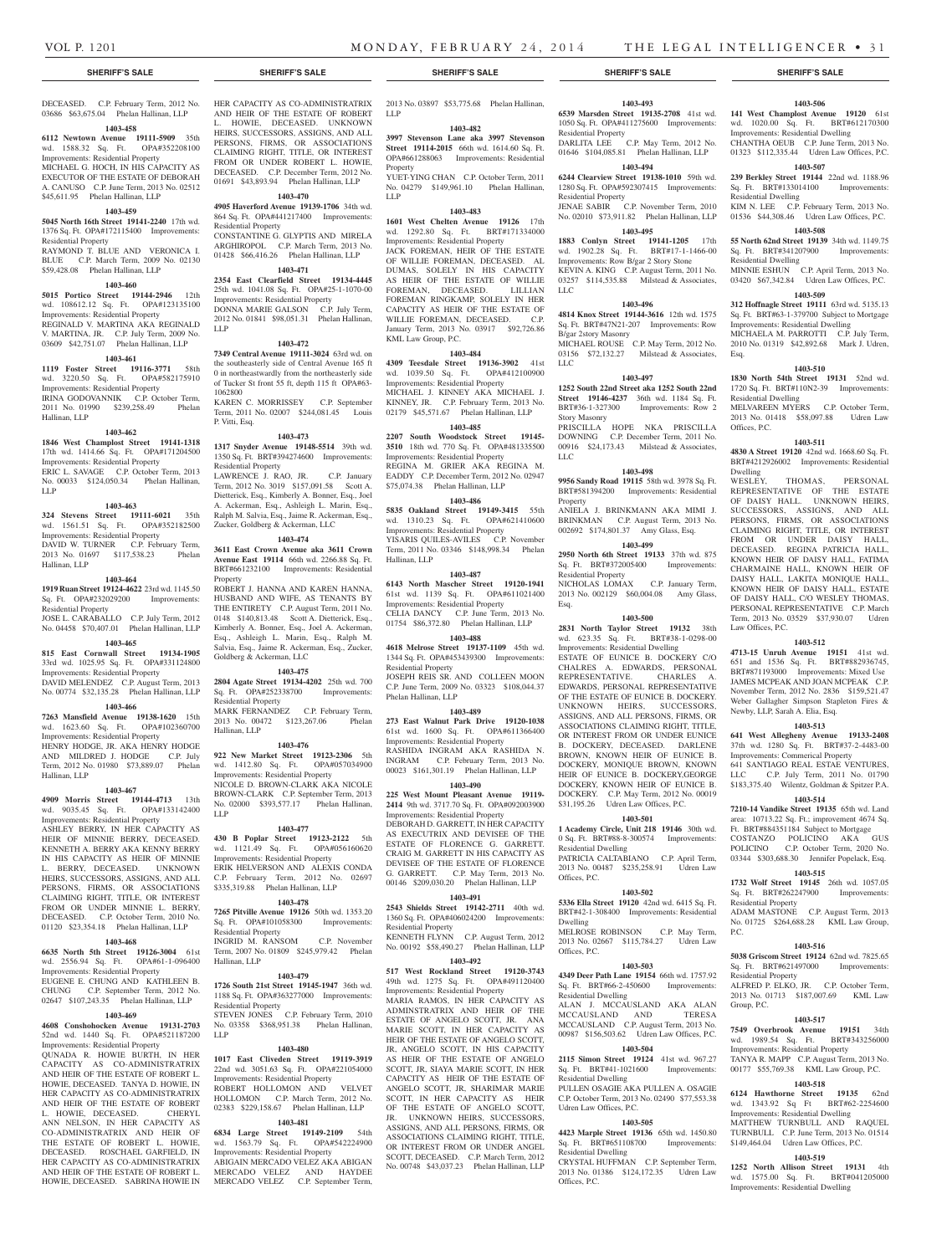03686 \$63,675.04 Phelan Hallinan, LLP

### **1403-458**

**6112 Newtown Avenue 19111-5909** 35th wd. 1588.32 Sq. Ft. OPA#352208100 Improvements: Residential Property MICHAEL G. HOCH, IN HIS CAPACITY AS EXECUTOR OF THE ESTATE OF DEBORAH A. CANUSO C.P. June Term, 2013 No. 02512 \$45,611.95 Phelan Hallinan, LLP

### **1403-459**

**5045 North 16th Street 19141-2240** 17th wd. 1376 Sq. Ft. OPA#172115400 Improvements: Residential Property

RAYMOND T. BLUE AND VERONICA I. BLUE C.P. March Term, 2009 No. 02130 \$59,428.08 Phelan Hallinan, LLP

### **1403-460**

**5015 Portico Street 19144-2946** 12th wd. 108612.12 Sq. Ft. OPA#123135100 Improvements: Residential Property REGINALD V. MARTINA AKA REGINALD V. MARTINA, JR. C.P. July Term, 2009 No. 03609 \$42,751.07 Phelan Hallinan, LLP

#### **1403-461**

**1119 Foster Street 19116-3771** 58th wd. 3220.50 Sq. Ft. OPA#582175910 Improvements: Residential Property IRINA GODOVANNIK C.P. October Term, 2011 No. 01990 \$239,258.49 Phelan Hallinan, LLP

#### **1403-462**

**1846 West Champlost Street 19141-1318**  17th wd. 1414.66 Sq. Ft. OPA#171204500 Improvements: Residential Property ERIC L. SAVAGE C.P. October Term, 2013 No. 00033 \$124,050.34 Phelan Hallinan,

### **1403-463**

**324 Stevens Street 19111-6021** 35th wd. 1561.51 Sq. Ft. OPA#352182500 Improvements: Residential Property DAVID W. TURNER C.P. February Term, 2013 No. 01697 \$117,538.23 Phelan Hallinan, LLP

#### **1403-464**

LLP

**1919 Ruan Street 19124-4622** 23rd wd. 1145.50 Sq. Ft. OPA#232029200 Improvements: Residential Property

JOSE L. CARABALLO C.P. July Term, 2012 No. 04458 \$70,407.01 Phelan Hallinan, LLP

### **1403-465**

**815 East Cornwall Street 19134-1905**  33rd wd. 1025.95 Sq. Ft. OPA#331124800 Improvements: Residential Property DAVID MELENDEZ C.P. August Term, 2013

### No. 00774 \$32,135.28 Phelan Hallinan, LLP **1403-466**

**7263 Mansfield Avenue 19138-1620** 15th wd. 1623.60 Sq. Ft. OPA#102360700 Improvements: Residential Property HENRY HODGE, JR. AKA HENRY HODGE AND MILDRED J. HODGE C.P. July

Term, 2012 No. 01980 \$73,889.07 Phelan Hallinan, LLP

### **1403-467**

**4909 Morris Street 19144-4713** 13th wd. 9035.45 Sq. Ft. OPA#133142400 Improvements: Residential Property ASHLEY BERRY, IN HER CAPACITY AS HEIR OF MINNIE BERRY, DECEASED. KENNETH A. BERRY AKA KENNY BERRY IN HIS CAPACITY AS HEIR OF MINNIE L. BERRY, DECEASED. UNKNOWN HEIRS, SUCCESSORS, ASSIGNS, AND ALL PERSONS, FIRMS, OR ASSOCIATIONS CLAIMING RIGHT, TITLE, OR INTEREST FROM OR UNDER MINNIE L. BERRY, DECEASED. C.P. October Term, 2010 No. 01120 \$23,354.18 Phelan Hallinan, LLP

### **1403-468**

**6635 North 5th Street 19126-3004** 61st wd. 2556.94 Sq. Ft. OPA#61-1-096400 Improvements: Residential Property EUGENE E. CHUNG AND KATHLEEN B. CHUNG C.P. September Term, 2012 No.

### 02647 \$107,243.35 Phelan Hallinan, LLP **1403-469**

**4608 Conshohocken Avenue 19131-2703**  52nd wd. 1440 Sq. Ft. OPA#521187200

Improvements: Residential I QUNADA R. HOWIE BURTH, IN HER CAPACITY AS CO-ADMINISTRATRIX AND HEIR OF THE ESTATE OF ROBERT L. HOWIE, DECEASED. TANYA D. HOWIE, IN HER CAPACITY AS CO-ADMINISTRATRIX AND HEIR OF THE ESTATE OF ROBERT L. HOWIE, DECEASED. CHERYL ANN NELSON, IN HER CAPACITY AS CO-ADMINISTRATRIX AND HEIR OF THE ESTATE OF ROBERT L. HOWIE, DECEASED. ROSCHAEL GARFIELD, IN HER CAPACITY AS CO-ADMINISTRATRIX AND HEIR OF THE ESTATE OF ROBERT L. HOWIE, DECEASED. SABRINA HOWIE IN

AND HEIR OF THE ESTATE OF ROBERT LLP L. HOWIE, DECEASED. UNKNOWN HEIRS, SUCCESSORS, ASSIGNS, AND ALL PERSONS, FIRMS, OR ASSOCIATIONS CLAIMING RIGHT, TITLE, OR INTEREST FROM OR UNDER ROBERT L. HOWIE, DECEASED. C.P. December Term, 2012 No. 01691 \$43,893.94 Phelan Hallinan, LLP

## **1403-470**

**4905 Haverford Avenue 19139-1706** 34th wd. 864 Sq. Ft. OPA#441217400 Improvements: Residential Property CONSTANTINE G. GLYPTIS AND MIRELA ARGHIROPOL C.P. March Term, 2013 No. 01428 \$66,416.26 Phelan Hallinan, LLP

### **1403-471**

**2354 East Clearfield Street 19134-4445**  25th wd. 1041.08 Sq. Ft. OPA#25-1-1070-00 Improvements: Residential Property DONNA MARIE GALSON C.P. July Term, 2012 No. 01841 \$98,051.31 Phelan Hallinan, LLP

### **1403-472**

**7349 Central Avenue 19111-3024** 63rd wd. on the southeasterly side of Central Avenue 165 ft 0 in northeastwardly from the northeasterly side of Tucker St front 55 ft, depth 115 ft OPA#63- 1062800

KAREN C. MORRISSEY C.P. September Term, 2011 No. 02007 \$244,081.45 Louis P. Vitti, Esq.

#### **1403-473**

**1317 Snyder Avenue 19148-5514** 39th wd. 1350 Sq. Ft. BRT#394274600 Improvements: Residential Property LAWRENCE J. RAO, JR. C.P. January

Term, 2012 No. 3019 \$157,091.58 Scott A. Dietterick, Esq., Kimberly A. Bonner, Esq., Joel A. Ackerman, Esq., Ashleigh L. Marin, Esq., Ralph M. Salvia, Esq., Jaime R. Ackerman, Esq., Zucker, Goldberg & Ackerman, LLC

### **1403-474**

**3611 East Crown Avenue aka 3611 Crown Avenue East 19114** 66th wd. 2266.88 Sq. Ft. BRT#661232100 Improvements: Residential Property ROBERT J. HANNA AND KAREN HANNA, HUSBAND AND WIFE, AS TENANTS BY THE ENTIRETY C.P. August Term, 2011 No. 0148 \$140,813.48 Scott A. Dietterick, Esq., Kimberly A. Bonner, Esq., Joel A. Ackerman, Esq., Ashleigh L. Marin, Esq., Ralph M. Salvia, Esq., Jaime R. Ackerman, Esq., Zucker, Goldberg & Ackerman, LLC

### **1403-475**

**2804 Agate Street 19134-4202** 25th wd. 700 Sq. Ft. OPA#252338700 Improvements: Residential Property MARK FERNANDEZ C.P. February Term, 2013 No. 00472 \$123,267.06 Phelan

Hallinan, LLP **1403-476**

**922 New Market Street 19123-2306** 5th wd. 1412.80 Sq. Ft. OPA#057034900 Improvements: Residential Property NICOLE D. BROWN-CLARK AKA NICOLE BROWN-CLARK C.P. September Term, 2013 No. 02000 \$393,577.17 Phelan Hallinan, LLP

### **1403-477**

**430 B Poplar Street 19123-2122** 5th wd. 1121.49 Sq. Ft. OPA#056160620 Improvements: Residential Property ERIK HELVERSON AND ALEXIS CONDA C.P. February Term, 2012 No. 02697 \$335,319.88 Phelan Hallinan, LLP

#### **1403-478**

**7265 Pitville Avenue 19126** 50th wd. 1353.20 Sq. Ft. OPA#101058300 Improvements:

Residential Property INGRID M. RANSOM C.P. November Term, 2007 No. 01809 \$245,979.42 Phelan Hallinan, LLP

### **1403-479**

**1726 South 21st Street 19145-1947** 36th wd. 1188 Sq. Ft. OPA#363277000 Improvements: Residential Property STEVEN JONES C.P. February Term, 2010

No. 03358 \$368,951.38 Phelan Hallinan, LLP

### **1403-480**

**1017 East Cliveden Street 19119-3919**  22nd wd. 3051.63 Sq. Ft. OPA#221054000 Improvements: Residential Property ROBERT HOLLOMON AND VELVET HOLLOMON C.P. March Term, 2012 No. 02383 \$229,158.67 Phelan Hallinan, LLP

### **1403-481**

**6834 Large Street 19149-2109** 54th wd. 1563.79 Sq. Ft. OPA#542224900 Improvements: Residential Property ABIGAIN MERCADO VELEZ AKA ABIGAN MERCADO VELEZ AND HAYDEE

MERCADO VELEZ C.P. September Term,

DECEASED. C.P. February Term, 2012 No. HER CAPACITY AS CO-ADMINISTRATRIX 2013 No. 03897 \$53,775.68 Phelan Hallinan,

### **1403-482**

**3997 Stevenson Lane aka 3997 Stevenson Street 19114-2015** 66th wd. 1614.60 Sq. Ft. OPA#661288063 Improvements: Residential Property YUET-YING CHAN C.P. October Term, 2011

No. 04279 \$149,961.10 Phelan Hallinan, LLP

### **1403-483**

**1601 West Chelten Avenue 19126** 17th wd. 1292.80 Sq. Ft. BRT#171334000 Improvements: Residential Property

JACK FOREMAN, HEIR OF THE ESTATE OF WILLIE FOREMAN, DECEASED. AL DUMAS, SOLELY IN HIS CAPACITY AS HEIR OF THE ESTATE OF WILLIE FOREMAN, DECEASED. LILLIAN FOREMAN RINGKAMP, SOLELY IN HER CAPACITY AS HEIR OF THE ESTATE OF WILLIE FOREMAN, DECEASED. C.P. January Term, 2013 No. 03917 \$92,726.86 KML Law Group, P.C.

#### **1403-484**

**4309 Teesdale Street 19136-3902** 41st wd. 1039.50 Sq. Ft. OPA#412100900 Improvements: Residential Property MICHAEL J. KINNEY AKA MICHAEL J. KINNEY, JR. C.P. February Term, 2013 No. 02179 \$45,571.67 Phelan Hallinan, LLP

### **1403-485**

**2207 South Woodstock Street 19145- 3510** 18th wd. 770 Sq. Ft. OPA#481335500 Improvements: Residential Property REGINA M. GRIER AKA REGINA M. EADDY C.P. December Term, 2012 No. 02947 \$75,074.38 Phelan Hallinan, LLP

### **1403-486**

**5835 Oakland Street 19149-3415** 55th wd. 1310.23 Sq. Ft. OPA#621410600 Improvements: Residential Property YISARIS QUILES-AVILES C.P. November Term, 2011 No. 03346 \$148,998.34 Phelan Hallinan, LLP

### **1403-487**

**6143 North Mascher Street 19120-1941**  61st wd. 1139 Sq. Ft. OPA#611021400 Improvements: Residential Property CELIA DANCY C.P. June Term, 2013 No. 01754 \$86,372.80 Phelan Hallinan, LLP

### **1403-488**

**4618 Melrose Street 19137-1109** 45th wd. 1344 Sq. Ft. OPA#453439300 Improvements: Residential Property JOSEPH REIS SR. AND COLLEEN MOON C.P. June Term, 2009 No. 03323 \$108,044.37 Phelan Hallinan, LLP

### **1403-489**

**273 East Walnut Park Drive 19120-1038**  61st wd. 1600 Sq. Ft. OPA#611366400 Improvements: Residential Property RASHIDA INGRAM AKA RASHIDA N. INGRAM C.P. February Term, 2013 No. 00023 \$161,301.19 Phelan Hallinan, LLP

### **1403-490**

**225 West Mount Pleasant Avenue 19119- 2414** 9th wd. 3717.70 Sq. Ft. OPA#092003900 Improvements: Residential Property DEBORAH D. GARRETT, IN HER CAPACITY AS EXECUTRIX AND DEVISEE OF THE ESTATE OF FLORENCE G. GARRETT. CRAIG M. GARRETT IN HIS CAPACITY AS DEVISEE OF THE ESTATE OF FLORENCE G. GARRETT. C.P. May Term, 2013 No. 00146 \$209,030.20 Phelan Hallinan, LLP

### **1403-491**

**2543 Shields Street 19142-2711** 40th wd. 1360 Sq. Ft. OPA#406024200 Improvements: Residential Property KENNETH FLYNN C.P. August Term, 2012

No. 00192 \$58,490.27 Phelan Hallinan, LLP **1403-492**

**517 West Rockland Street 19120-3743**  49th wd. 1275 Sq. Ft. OPA#491120400 Improvements: Residential Property MARIA RAMOS, IN HER CAPACITY AS ADMINSTRATRIX AND HEIR OF THE ESTATE OF ANGELO SCOTT, JR. ANA MARIE SCOTT, IN HER CAPACITY AS HEIR OF THE ESTATE OF ANGELO SCOTT, JR, ANGELO SCOTT, IN HIS CAPACITY AS HEIR OF THE ESTATE OF ANGELO SCOTT, JR, SIAYA MARIE SCOTT, IN HER CAPACITY AS HEIR OF THE ESTATE OF ANGELO SCOTT, JR, SHARIMAR MARIE SCOTT, IN HER CAPACITY AS HEIR OF THE ESTATE OF ANGELO SCOTT, JR. UNKNOWN HEIRS, SUCCESSORS,

### ASSIGNS, AND ALL PERSONS, FIRMS, OR ASSOCIATIONS CLAIMING RIGHT, TITLE, OR INTEREST FROM OR UNDER ANGEL SCOTT, DECEASED. C.P. March Term, 2012 No. 00748 \$43,037.23 Phelan Hallinan, LLP

### **1403-493**

**6539 Marsden Street 19135-2708** 41st wd. **141 West Champlost Avenue 19120** 61st 1050 Sq. Ft. OPA#411275600 Improvements: Residential Property DARLITA LEE C.P. May Term, 2012 No. 01646 \$104,085.81 Phelan Hallinan, LLP

**1403-506** wd. 1020.00 Sq. Ft. BRT#612170300 Improvements: Residential Dwelling CHANTHA OEUB C.P. June Term, 2013 No. 01323 \$112,335.44 Udren Law Offices, P.C. **1403-507 239 Berkley Street 19144** 22nd wd. 1188.96 Sq. Ft. BRT#133014100 Improvements:

KIM N. LEE C.P. February Term, 2013 No. 01536 \$44,308.46 Udren Law Offices, P.C. **1403-508 55 North 62nd Street 19139** 34th wd. 1149.75 Sq. Ft. BRT#341207900 Improvements:

MINNIE ESHUN C.P. April Term, 2013 No. 03420 \$67,342.84 Udren Law Offices, P.C. **1403-509 312 Hoffnagle Street 19111** 63rd wd. 5135.13 Sq. Ft. BRT#63-1-379700 Subject to Mortgage Improvements: Residential Dwelling MICHAELA M. PARROTTI C.P. July Term, 2010 No. 01319 \$42,892.68 Mark J. Udren,

**1403-510 1830 North 54th Street 19131** 52nd wd. 1720 Sq. Ft. BRT#110N2-39 Improvements:

MELVAREEN MYERS C.P. October Term, 2013 No. 01418 \$58,097.88 Udren Law

**1403-511 4830 A Street 19120** 42nd wd. 1668.60 Sq. Ft. BRT#4212926002 Improvements: Residential

WESLEY, THOMAS, PERSONAL REPRESENTATIVE OF THE ESTATE OF DAISY HALL. UNKNOWN HEIRS, SUCCESSORS, ASSIGNS, AND ALL PERSONS, FIRMS, OR ASSOCIATIONS CLAIMING RIGHT, TITLE, OR INTEREST FROM OR UNDER DAISY HALL, DECEASED. REGINA PATRICIA HALL, KNOWN HEIR OF DAISY HALL, FATIMA CHARMAINE HALL, KNOWN HEIR OF DAISY HALL, LAKITA MONIQUE HALL, KNOWN HEIR OF DAISY HALL, ESTATE OF DAISY HALL, C/O WESLEY THOMAS, PERSONAL REPRESENTATIVE C.P. March Term, 2013 No. 03529 \$37,930.07 Udren

**1403-512 4713-15 Unruh Avenue 19151** 41st wd. 651 and 1536 Sq. Ft. BRT#882936745, BRT#871193000 Improvements: Mixed Use JAMES MCPEAK AND JOAN MCPEAK C.P. November Term, 2012 No. 2836 \$159,521.47 Weber Gallagher Simpson Stapleton Fires &

**1403-513 641 West Allegheny Avenue 19133-2408**  37th wd. 1280 Sq. Ft. BRT#37-2-4483-00 Improvements: Commerical Property 641 SANTIAGO REAL ESTAE VENTURES, LLC C.P. July Term, 2011 No. 01790 \$183,375.40 Wilentz, Goldman & Spitzer P.A. **1403-514 7210-14 Vandike Street 19135** 65th wd. Land area: 10713.22 Sq. Ft.; improvement 4674 Sq. Ft. BRT#884351184 Subject to Mortgage COSTANZO POLICINO AKA GUS POLICINO C.P. October Term, 2020 No. 03344 \$303,688.30 Jennifer Popelack, Esq. **1403-515 1732 Wolf Street 19145** 26th wd. 1057.05 Sq. Ft. BRT#262247900 Improvements:

ADAM MASTONE C.P. August Term, 2013 No. 01725 \$264,688.28 KML Law Group,

**1403-516 5038 Griscom Street 19124** 62nd wd. 7825.65 Sq. Ft. BRT#621497000 Improvements:

ALFRED P. ELKO, JR. C.P. October Term, 2013 No. 01713 \$187,007.69 KML Law

**1403-517 7549 Overbrook Avenue 19151** 34th wd. 1989.54 Sq. Ft. BRT#343256000 Improvements: Residential Property TANYA R. MAPP C.P. August Term, 2013 No. 00177 \$55,769.38 KML Law Group, P.C. **1403-518 6124 Hawthorne Street 19135** 62nd wd. 1343.92 Sq Ft BRT#62-2254600 Improvements: Residential Dwelling MATTHEW TURNBULL AND RAQUEL TURNBULL C.P. June Term, 2013 No. 01514 \$149,464.04 Udren Law Offices, P.C. **1403-519 1252 North Allison Street 19131** 4th wd. 1575.00 Sq. Ft. BRT#041205000 Improvements: Residential Dwelling

Newby, LLP, Sarah A. Elia, Esq.

Residential Property

Residential Property

Group, P.C.

P.C.

Residential Dwelling

Residential Dwelling

Residential Dwelling

Offices, P.C.

Dwelling

Law Offices, P.C.

Esq.

## **1403-494**

**6244 Clearview Street 19138-1010** 59th wd. 1280 Sq. Ft. OPA#592307415 Improvements: Residential Property JENAE SABIR C.P. November Term, 2010 No. 02010 \$73,911.82 Phelan Hallinan, LLP

## **1403-495**

**1883 Conlyn Street 19141-1205** 17th wd. 1902.28 Sq. Ft. BRT#17-1-1466-00 Improvements: Row B/gar 2 Story Stone KEVIN A. KING C.P. August Term, 2011 No. 03257 \$114,535.88 Milstead & Associates, LLC

### **1403-496**

**4814 Knox Street 19144-3616** 12th wd. 1575 Sq. Ft. BRT#47N21-207 Improvements: Row B/gar 2story Masonry MICHAEL ROUSE C.P. May Term, 2012 No. 03156 \$72,132.27 Milstead & Associates, LLC

### **1403-497**

**1252 South 22nd Street aka 1252 South 22nd Street 19146-4237** 36th wd. 1184 Sq. Ft. BRT#36-1-327300 Improvements: Row 2 Story Masonry PRISCILLA HOPE NKA PRISCILLA DOWNING C.P. December Term, 2011 No. 00916 \$24,173.43 Milstead & Associates,

### **1403-498**

LLC

Esq.

**9956 Sandy Road 19115** 58th wd. 3978 Sq. Ft. BRT#581394200 Improvements: Residential Property ANIELA J. BRINKMANN AKA MIMI J. BRINKMAN C.P. August Term, 2013 No. 002692 \$174,801.37 Amy Glass, Esq.

**1403-499 2950 North 6th Street 19133** 37th wd. 875 Sq. Ft. BRT#372005400 Improvements:

NICHOLAS LOMAX C.P. January Term, 2013 No. 002129 \$60,004.08 Amy Glass,

**1403-500 2831 North Taylor Street 19132** 38th wd. 623.35 Sq. Ft. BRT#38-1-0298-00 Improvements: Residential Dwelling ESTATE OF EUNICE B. DOCKERY C/O CHALRES A. EDWARDS, PERSONAL REPRESENTATIVE. CHARLES A. EDWARDS, PERSONAL REPRESENTATIVE OF THE ESTATE OF EUNICE B. DOCKERY. UNKNOWN HEIRS, SUCCESSORS, ASSIGNS, AND ALL PERSONS, FIRMS, OR ASSOCIATIONS CLAIMING RIGHT, TITLE, OR INTEREST FROM OR UNDER EUNICE B. DOCKERY, DECEASED. DARLENE BROWN, KNOWN HEIR OF EUNICE B. DOCKERY, MONIQUE BROWN, KNOWN HEIR OF EUNICE B. DOCKERY,GEORGE DOCKERY, KNOWN HEIR OF EUNICE B. DOCKERY. C.P. May Term, 2012 No. 00019 \$31,195.26 Udren Law Offices, P.C. **1403-501 1 Academy Circle, Unit 218 19146** 30th wd. 0 Sq. Ft. BRT#88-8-300574 Improvements:

Residential Property

Residential Dwelling

Offices, P.C.

Dwelling

Offices, P.C.

Residential Dwelling

Residential Dwelling

Udren Law Offices, P.C.

Residential Dwelling

Offices, P.C.

PATRICIA CALTABIANO C.P. April Term, 2013 No. 00487 \$235,258.91 Udren Law

**1403-502 5336 Ella Street 19120** 42nd wd. 6415 Sq. Ft. BRT#42-1-308400 Improvements: Residential

MELROSE ROBINSON C.P. May Term, 2013 No. 02667 \$115,784.27 Udren Law

**1403-503 4349 Deer Path Lane 19154** 66th wd. 1757.92 Sq. Ft. BRT#66-2-450600 Improvements:

ALAN J. MCCAUSLAND AKA ALAN MCCAUSLAND AND TERESA MCCAUSLAND C.P. August Term, 2013 No. 00987 \$156,503.62 Udren Law Offices, P.C. **1403-504 2115 Simon Street 19124** 41st wd. 967.27 Sq. Ft. BRT#41-1021600 Improvements:

PULLEN OSAGIE AKA PULLEN A. OSAGIE C.P. October Term, 2013 No. 02490 \$77,553.38

**1403-505 4423 Marple Street 19136** 65th wd. 1450.80 Sq. Ft. BRT#651108700 Improvements:

CRYSTAL HUFFMAN C.P. September Term, 2013 No. 01386 \$124,172.35 Udren Law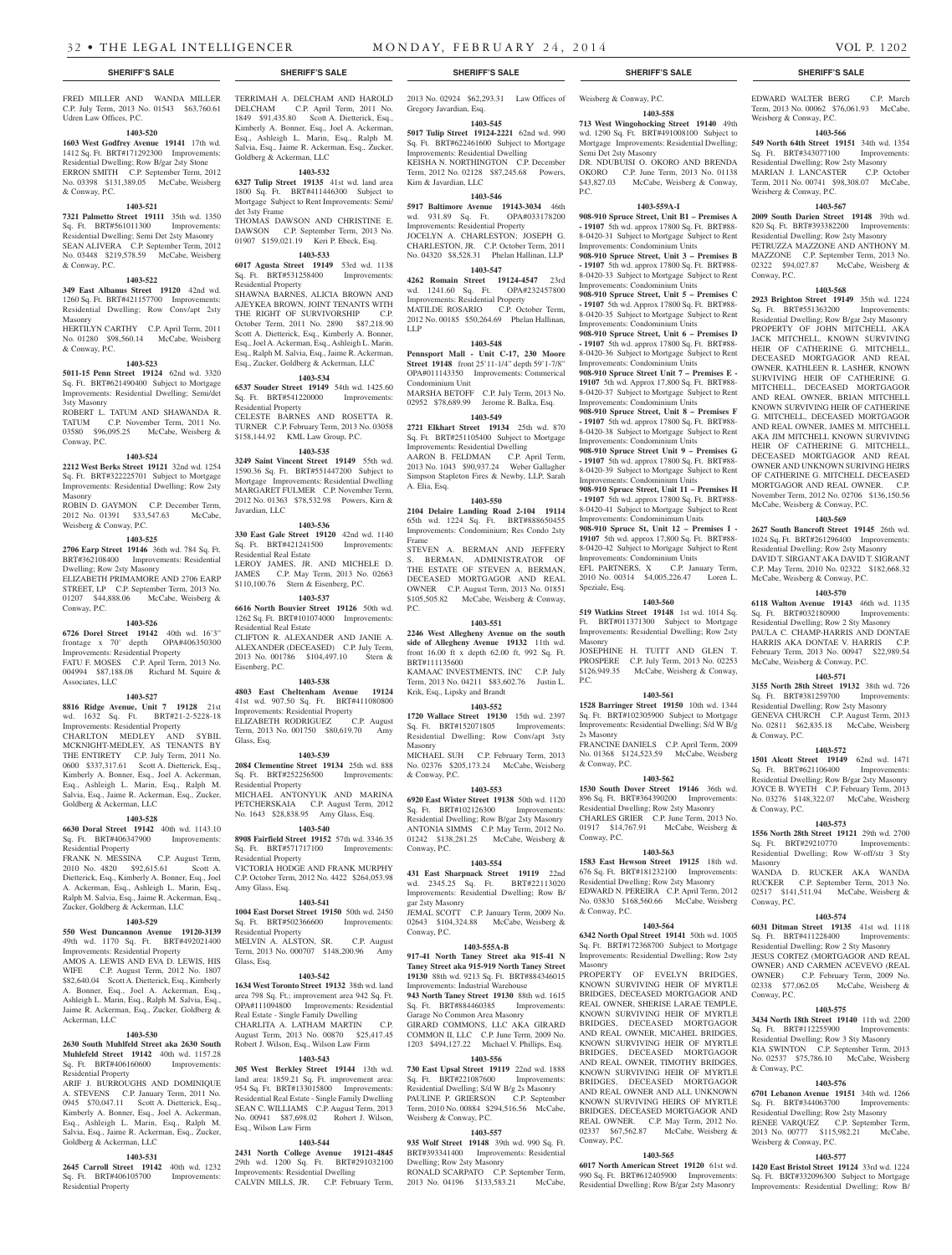FRED MILLER AND WANDA MILLER C.P. July Term, 2013 No. 01543 \$63,760.61 Udren Law Offices, P.C.

### **1403-520**

**1603 West Godfrey Avenue 19141** 17th wd. 1412 Sq. Ft. BRT#171292300 Improvements: Residential Dwelling; Row B/gar 2sty Stone ERRON SMITH C.P. September Term, 2012 No. 03398 \$131,389.05 McCabe, Weisberg & Conway, P.C.

### **1403-521**

**7321 Palmetto Street 19111** 35th wd. 1350 Sq. Ft. BRT#561011300 Improvements: Residential Dwelling; Semi Det 2sty Masonry SEAN ALIVERA C.P. September Term, 2012 No. 03448 \$219,578.59 McCabe, Weisberg & Conway, P.C.

#### **1403-522**

**349 East Albanus Street 19120** 42nd wd. 1260 Sq. Ft. BRT#421157700 Improvements: Residential Dwelling; Row Conv/apt 2sty Masonry HERTILYN CARTHY C.P. April Term, 2011 No. 01280 \$98,560.14 McCabe, Weisberg & Conway, P.C.

#### **1403-523**

**5011-15 Penn Street 19124** 62nd wd. 3320 Sq. Ft. BRT#621490400 Subject to Mortgage Improvements: Residential Dwelling; Semi/det 3sty Masonry

ROBERT L. TATUM AND SHAWANDA R. TATUM C.P. November Term, 2011 No. 03580 \$96,095.25 McCabe, Weisberg & Conway, P.C.

### **1403-524**

**2212 West Berks Street 19121** 32nd wd. 1254 Sq. Ft. BRT#322225701 Subject to Mortgage Improvements: Residential Dwelling; Row 2sty Masonry ROBIN D. GAYMON C.P. December Term,

2012 No. 01391 \$33,547.63 McCabe, Weisberg & Conway, P.C.

### **1403-525**

**2706 Earp Street 19146** 36th wd. 784 Sq. Ft. BRT#362108400 Improvements: Residential Dwelling; Row 2sty Masonry ELIZABETH PRIMAMORE AND 2706 EARP STREET, LP C.P. September Term, 2013 No. 01207 \$44,888.06 McCabe, Weisberg & Conway, P.C.

### **1403-526**

**6726 Dorel Street 19142** 40th wd. 16'3" frontage x 70' depth OPA#406350300 Improvements: Residential Property FATU F. MOSES C.P. April Term, 2013 No. 004994 \$87,188.08 Richard M. Squire & Associates, LLC

### **1403-527**

**8816 Ridge Avenue, Unit 7 19128** 21st wd. 1632 Sq. Ft. BRT#21-2-5228-18 Improvements: Residential Property CHARLTON MEDLEY AND SYBIL MCKNIGHT-MEDLEY, AS TENANTS BY THE ENTIRETY C.P. July Term, 2011 No. 0600 \$337,317.61 Scott A. Dietterick, Esq., Kimberly A. Bonner, Esq., Joel A. Ackerman, Esq., Ashleigh L. Marin, Esq., Ralph M. Salvia, Esq., Jaime R. Ackerman, Esq., Zucker, Goldberg & Ackerman, LLC

### **1403-528**

**6630 Doral Street 19142** 40th wd. 1143.10 Sq. Ft. BRT#406347900 Improvements: Residential Property

FRANK N. MESSINA C.P. August Term,<br>2010 No. 4820 \$92,615.61 Scott A. 2010 No. 4820 \$92,615.61 Dietterick, Esq., Kimberly A. Bonner, Esq., Joel A. Ackerman, Esq., Ashleigh L. Marin, Esq., Ralph M. Salvia, Esq., Jaime R. Ackerman, Esq., Zucker, Goldberg & Ackerman, LLC

### **1403-529**

**550 West Duncannon Avenue 19120-3139**  49th wd. 1170 Sq. Ft. BRT#492021400 Improvements: Residential Property AMOS A. LEWIS AND EVA D. LEWIS, HIS

WIFE C.P. August Term, 2012 No. 1807 \$82,640.04 Scott A. Dietterick, Esq., Kimberly A. Bonner, Esq., Joel A. Ackerman, Esq., Ashleigh L. Marin, Esq., Ralph M. Salvia, Esq., Jaime R. Ackerman, Esq., Zucker, Goldberg & Ackerman, LLC

### **1403-530**

**2630 South Muhlfeld Street aka 2630 South Muhlefeld Street 19142** 40th wd. 1157.28 Sq. Ft. BRT#406160600 Improvements: Residential Property

ARIF J. BURROUGHS AND DOMINIQUE A. STEVENS C.P. January Term, 2011 No. 0945 \$70,047.11 Scott A. Dietterick, Esq., Kimberly A. Bonner, Esq., Joel A. Ackerman, Esq., Ashleigh L. Marin, Esq., Ralph M. Salvia, Esq., Jaime R. Ackerman, Esq., Zucker, Goldberg & Ackerman, LLC

### **1403-531**

**2645 Carroll Street 19142** 40th wd. 1232 Sq. Ft. BRT#406105700 Improvements: Residential Property

TERRIMAH A. DELCHAM AND HAROLD DELCHAM C.P. April Term, 2011 No. 1849 \$91,435.80 Scott A. Dietterick, Esq., Kimberly A. Bonner, Esq., Joel A. Ackerman, Esq., Ashleigh L. Marin, Esq., Ralph M. Salvia, Esq., Jaime R. Ackerman, Esq., Zucker, Goldberg & Ackerman, LLC

### **1403-532**

**6327 Tulip Street 19135** 41st wd. land area 1800 Sq. Ft. BRT#411446300 Subject to Mortgage Subject to Rent Improvements: Semi/ det 3sty Frame THOMAS DAWSON AND CHRISTINE E. DAWSON C.P. September Term, 2013 No.

### 01907 \$159,021.19 Keri P. Ebeck, Esq. **1403-533**

**6017 Agusta Street 19149** 53rd wd. 1138 Sq. Ft. BRT#531258400 Improvements: Residential Property SHAWNA BARNES, ALICIA BROWN AND AJEYKEA BROWN, JOINT TENANTS WITH THE RIGHT OF SURVIVORSHIP C.P. October Term, 2011 No. 2890 \$87,218.90 Scott A. Dietterick, Esq., Kimberly A. Bonner, Esq., Joel A. Ackerman, Esq., Ashleigh L. Marin, Esq., Ralph M. Salvia, Esq., Jaime R. Ackerman,

## Esq., Zucker, Goldberg & Ackerman, LLC

**1403-534 6537 Souder Street 19149 54th wd. 1425.60**<br> **Sq. Ft. BRT#541220000** Improvements: Sq. Ft. BRT#541220000 Residential Property CELESTE BARNES AND ROSETTA R. TURNER C.P. February Term, 2013 No. 03058 \$158,144.92 KML Law Group, P.C.

### **1403-535**

**3249 Saint Vincent Street 19149** 55th wd. 1590.36 Sq. Ft. BRT#551447200 Subject to Mortgage Improvements: Residential Dwelling MARGARET FULMER C.P. November Term, 2012 No. 01363 \$78,532.98 Powers, Kirn & Javardian, LLC

#### **1403-536**

**330 East Gale Street 19120** 42nd wd. 1140 Sq. Ft. BRT#421241500 Improvements: Residential Real Estate LEROY JAMES, JR. AND MICHELE D. JAMES C.P. May Term, 2013 No. 02663 \$110,100.76 Stern & Eisenberg, P.C.

#### **1403-537**

**6616 North Bouvier Street 19126** 50th wd. 1262 Sq. Ft. BRT#101074000 Improvements: Residential Real Estate

CLIFTON R. ALEXANDER AND JANIE A. ALEXANDER (DECEASED) C.P. July Term, 2013 No. 001786 \$104,497.10 Stern & Eisenberg, P.C.

### **1403-538**

**4803 East Cheltenham Avenue 19124**  41st wd. 907.50 Sq. Ft. BRT#411080800 Improvements: Residential Property<br>ELIZABETH RODRIGUEZ C.P. August

#### ELIZABETH RODRIGUEZ Term, 2013 No. 001750 \$80,619.70 Amy Glass, Esq.

**1403-539**

**2084 Clementine Street 19134** 25th wd. 888 Sq. Ft. BRT#252256500 Improvements: Residential Property MICHAEL ANTONYUK AND MARINA

PETCHERSKAIA C.P. August Term, 2012 No. 1643 \$28,838.95 Amy Glass, Esq. **1403-540**

**8908 Fairfield Street 19152** 57th wd. 3346.35 Sq. Ft. BRT#571717100 Improvements: Residential Property

VICTORIA HODGE AND FRANK MURPHY C.P. October Term, 2012 No. 4422 \$264,053.98 Amy Glass, Esq.

### **1403-541**

**1004 East Dorset Street 19150** 50th wd. 2450 Sq. Ft. BRT#502366600 Improvements: Residential Property

MELVIN A. ALSTON, SR. C.P. August Term, 2013 No. 000707 \$148,200.96 Amy Glass, Esq.

### **1403-542**

**1634 West Toronto Street 19132** 38th wd. land area 798 Sq. Ft.; improvement area 942 Sq. Ft. OPA#111094800 Improvements: Residential Real Estate - Single Family Dwelling CHARLITA A. LATHAM MARTIN C.P. August Term, 2013 No. 00870 \$25,417.45 Robert J. Wilson, Esq., Wilson Lav

### **1403-543**

**305 West Berkley Street 19144** 13th wd. land area: 1859.21 Sq. Ft. improvement area: 954 Sq. Ft. BRT#133015800 Improvements: Residential Real Estate - Single Family Dwelling SEAN C. WILLIAMS C.P. August Term, 2013 No. 00941 \$87,698.02 Robert J. Wilson, Esq., Wilson Law Firm

### **1403-544**

**2431 North College Avenue 19121-4845**  29th wd. 1200 Sq. Ft. BRT#291032100 Improvements: Residential Dwelling CALVIN MILLS, JR. C.P. February Term,

2013 No. 02924 \$62,293.31 Law Offices of Gregory Javardian, Esq.

**1403-545 5017 Tulip Street 19124-2221** 62nd wd. 990

Sq. Ft. BRT#622461600 Subject to Mortgage Improvements: Residential Dwelling KEISHA N. NORTHINGTON C.P. December

Term, 2012 No. 02128 \$87,245.68 Powers, Kirn & Javardian, LLC **1403-546**

**5917 Baltimore Avenue 19143-3034** 46th wd. 931.89 Sq. Ft. Improvements: Residential Property JOCELYN A. CHARLESTON; JOSEPH G. CHARLESTON, JR. C.P. October Term, 2011

### No. 04320 \$8,528.31 Phelan Hallinan, LLP **1403-547**

**4262 Romain Street 19124-4547** 23rd wd. 1241.60 Sq. Ft. OPA#232457800 Improvements: Residential Property MATILDE ROSARIO C.P. October Term,

2012 No. 00185 \$50,264.69 Phelan Hallinan, LLP

### **1403-548**

**Pennsport Mall - Unit C-17, 230 Moore Street 19148** front 25'11-1/4" depth 59'1-7/8" OPA#011143350 Improvements: Commerical Condominium Unit MARSHA BETOFF C.P. July Term, 2013 No. 02952 \$78,689.99 Jerome R. Balka, Esq.

**1403-549 2721 Elkhart Street 19134** 25th wd. 870 Sq. Ft. BRT#251105400 Subject to Mortgage Improvements: Residential Dwelling AARON B. FELDMAN C.P. April Term, 2013 No. 1043 \$90,937.24 Weber Gallagher Simpson Stapleton Fires & Newby, LLP, Sarah A. Elia, Esq.

#### **1403-550**

**2104 Delaire Landing Road 2-104 19114**  65th wd. 1224 Sq. Ft. BRT#888650455 Improvements: Condominium; Res Condo 2sty Frame STEVEN A. BERMAN AND JEFFERY

S. BERMAN, ADMINISTRATOR OF THE ESTATE OF STEVEN A. BERMAN, DECEASED MORTGAGOR AND REAL OWNER C.P. August Term, 2013 No. 01851 \$105,505.82 McCabe, Weisberg & Conway, P.C.

### **1403-551**

**2246 West Allegheny Avenue on the south side of Allegheny Avenue 19132** 11th wd. front 16.00 ft x depth 62.00 ft, 992 Sq. Ft. BRT#111135600

KAMAAC INVESTMENTS, INC C.P. July Term, 2013 No. 04211 \$83,602.76 Justin L. Krik, Esq., Lipsky and Brandt

### **1403-552**

**1720 Wallace Street 19130** 15th wd. 2397 Sq. Ft. BRT#152071805 Improvements: Residential Dwelling; Row Conv/apt 3sty Masonry MICHAEL SUH C.P. February Term, 2013

No. 02376 \$205,173.24 McCabe, Weisberg & Conway, P.C. **1403-553**

**6920 East Wister Street 19138** 50th wd. 1120 Sq. Ft. BRT#102126300 Improvements: Residential Dwelling; Row B/gar 2sty Masonry ANTONIA SIMMS C.P. May Term, 2012 No. 01242 \$138,281.25 McCabe, Weisberg & Conway, P.C.

#### **1403-554**

**431 East Sharpnack Street 19119** 22nd wd. 2345.25 Sq. Ft. BRT#22113020 Improvements: Residential Dwelling; Row B/ gar 2sty Masonry

JEMAL SCOTT C.P. January Term, 2009 No. 02643 \$104,324.88 McCabe, Weisberg & Conway, P.C.

### **1403-555A-B**

**917-41 North Taney Street aka 915-41 N Taney Street aka 915-919 North Taney Street 19130** 88th wd. 9213 Sq. Ft. BRT#884346015 Improvements: Industrial Warehouse

**943 North Taney Street 19130** 88th wd. 1615 Sq. Ft. BRT#884460385 Improvements: Garage No Common Area Masonry

GIRARD COMMONS, LLC AKA GIRARD COMMON II, LLC C.P. June Term, 2009 No. 203 \$494,127.22 Michael V. Phillips, Esq.

### **1403-556**

**730 East Upsal Street 19119** 22nd wd. 1888 Sq. Ft. BRT#221087600 Improvements: Residential Dwelling; S/d W B/g 2s Masonry PAULINE P. GRIERSON C.P. September Term, 2010 No. 00884 \$294,516.56 McCabe, Weisberg & Conway, P.C.

### **1403-557**

**935 Wolf Street 19148** 39th wd. 990 Sq. Ft. BRT#393341400 Improvements: Residential Dwelling; Row 2sty Masonry RONALD SCARPATO C.P. September Term, 2013 No. 04196 \$133,583.21 McCabe,

### **SHERIFF'S SALE SHERIFF'S SALE SHERIFF'S SALE SHERIFF'S SALE SHERIFF'S SALE**

Weisberg & Conway, P.C.

Semi Det 2sty Masonry

P.C.

Speziale, Esq.

Masonry

P.C.

2s Masonry

& Conway, P.C.

Conway, P.C.

& Conway, P.C.

Masonry

Conway, P.C.

**1403-560 519 Watkins Street 19148** 1st wd. 1014 Sq. Ft. BRT#011371300 Subject to Mortgage Improvements: Residential Dwelling; Row 2sty

JOSEPHINE H. TUITT AND GLEN T. PROSPERE C.P. July Term, 2013 No. 02253 \$126,949.35 McCabe, Weisberg & Conway,

**1403-561 1528 Barringer Street 19150** 10th wd. 1344 Sq. Ft. BRT#102305900 Subject to Mortgage Improvements: Residential Dwelling; S/d W B/g

FRANCINE DANIELS C.P. April Term, 2009 No. 01368 \$124,523.59 McCabe, Weisberg

**1403-562 1530 South Dover Street 19146** 36th wd. 896 Sq. Ft. BRT#364390200 Improvements: Residential Dwelling; Row 2sty Masonry CHARLES GRIER C.P. June Term, 2013 No. 01917 \$14,767.91 McCabe, Weisberg &

**1403-563 1583 East Hewson Street 19125** 18th wd. 676 Sq. Ft. BRT#181232100 Improvements: Residential Dwelling; Row 2sty Masonry EDWARD N. PEREIRA C.P. April Term, 2012 No. 03830 \$168,560.66 McCabe, Weisberg

**1403-564 6342 North Opal Street 19141** 50th wd. 1005 Sq. Ft. BRT#172368700 Subject to Mortgage Improvements: Residential Dwelling; Row 2sty

PROPERTY OF EVELYN BRIDGES. KNOWN SURVIVING HEIR OF MYRTLE BRIDGES, DECEASED MORTGAGOR AND REAL OWNER, SHERISE LARAE TEMPLE, KNOWN SURVIVING HEIR OF MYRTLE BRIDGES, DECEASED MORTGAGOR AND REAL OWNER, MICAHEL BRIDGES, KNOWN SURVIVING HEIR OF MYRTLE BRIDGES, DECEASED MORTGAGOR AND REAL OWNER, TIMOTHY BRIDGES, KNOWN SURVIVING HEIR OF MYRTLE BRIDGES, DECEASED MORTGAGOR AND REAL OWNER AND ALL UNKNOWN KNOWN SURVIVING HEIRS OF MYRTLE BRIDGES, DECEASED MORTGAGOR AND REAL OWNER. C.P. May Term, 2012 No. 02337 \$67,562.87 McCabe, Weisberg &

**1403-565 6017 North American Street 19120** 61st wd. 990 Sq. Ft. BRT#612405900 Improvements: Residential Dwelling; Row B/gar 2sty Masonry

**1403-558 713 West Wingohocking Street 19140** 49th wd. 1290 Sq. Ft. BRT#491008100 Subject to Mortgage Improvements: Residential Dwelling; EDWARD WALTER BERG C.P. March Term, 2013 No. 00062 \$76,061.93 McCabe,

**1403-566 549 North 64th Street 19151** 34th wd. 1354 Sq. Ft. BRT#343077100 Improvements: Residential Dwelling; Row 2sty Masonry MARIAN J. LANCASTER C.P. October Term, 2011 No. 00741 \$98,308.07 McCabe,

**1403-567 2009 South Darien Street 19148** 39th wd. 820 Sq. Ft. BRT#393382200 Improvements: Residential Dwelling; Row 2sty Masonry PETRUZZA MAZZONE AND ANTHONY M. MAZZONE C.P. September Term, 2013 No.<br>02322 \$94,027.87 McCabe, Weisberg &

**1403-568 2923 Brighton Street 19149** 35th wd. 1224 Sq. Ft. BRT#551363200 Improvements: Residential Dwelling; Row B/gar 2sty Masonry PROPERTY OF JOHN MITCHELL AKA JACK MITCHELL, KNOWN SURVIVING HEIR OF CATHERINE G. MITCHELL, DECEASED MORTGAGOR AND REAL OWNER, KATHLEEN R. LASHER, KNOWN SURVIVING HEIR OF CATHERINE G. MITCHELL, DECEASED MORTGAGOR AND REAL OWNER, BRIAN MITCHELL KNOWN SURVIVING HEIR OF CATHERINE G. MITCHELL, DECEASED MORTGAGOR AND REAL OWNER, JAMES M. MITCHELL AKA JIM MITCHELL KNOWN SURVIVING HEIR OF CATHERINE G. MITCHELL, DECEASED MORTGAGOR AND REAL OWNER AND UNKNOWN SURIVING HEIRS OF CATHERINE G. MITCHELL DECEASED MORTGAGOR AND REAL OWNER. C.P. November Term, 2012 No. 02706 \$136,150.56 McCabe, Weisberg & Conway, P.C. **1403-569 2627 South Bancroft Street 19145** 26th wd. 1024 Sq. Ft. BRT#261296400 Improvements: Residential Dwelling; Row 2sty Masonry DAVID T. SIRGANT AKA DAVID T. SIGRANT C.P. May Term, 2010 No. 02322 \$182,668.32

McCabe, Weisberg & Conway, P.C.

McCabe, Weisberg & Conway, P.C.

& Conway, P.C.

& Conway, P.C.

Masonry

Conway, P.C.

Conway, P.C.

& Conway, P.C.

Weisberg & Conway, P.C.

**1403-570 6118 Walton Avenue 19143** 46th wd. 1135 Sq. Ft. BRT#032180900 Improvements: Residential Dwelling; Row 2 Sty Masonry PAULA C. CHAMP-HARRIS AND DONTAE HARRIS AKA DONTAE V. HARRIS C.P. February Term, 2013 No. 00947 \$22,989.54

**1403-571 3155 North 28th Street 19132** 38th wd. 726 Sq. Ft. BRT#381259700 Improvements: Residential Dwelling; Row 2sty Masonry GENEVA CHURCH C.P. August Term, 2013 No. 02811 \$62,835.18 McCabe, Weisberg

**1403-572 1501 Alcott Street 19149** 62nd wd. 1471 Sq. Ft. BRT#621106400 Improvements: Residential Dwelling; Row B/gar 2sty Masonry JOYCE B. WYETH C.P. February Term, 2013 No. 03276 \$148,322.07 McCabe, Weisberg

**1403-573 1556 North 28th Street 19121** 29th wd. 2700 Sq. Ft. BRT#29210770 Improvements: Residential Dwelling; Row W-off/str 3 Sty

WANDA D. RUCKER AKA WANDA RUCKER C.P. September Term, 2013 No. 02517 \$141,511.94 McCabe, Weisberg &

**1403-574 6031 Ditman Street 19135** 41st wd. 1118 Sq. Ft. BRT#411228400 Improvements: Residential Dwelling; Row 2 Sty Masonry JESUS CORTEZ (MORTGAGOR AND REAL OWNER) AND CARMEN ACEVEVO (REAL OWNER) C.P. February Term, 2009 No. 02338 \$77,062.05 McCabe, Weisberg &

**1403-575 3434 North 18th Street 19140** 11th wd. 2200 Sq. Ft. BRT#112255900 Improvements: Residential Dwelling; Row 3 Sty Masonry KIA SWINTON C.P. September Term, 2013 No. 02537 \$75,786.10 McCabe, Weisberg

**1403-576 6701 Lebanon Avenue 19151** 34th wd. 1266 Sq. Ft. BRT#344063700 Improvements: Residential Dwelling; Row 2sty Masonry RENEE VARQUEZ C.P. September Term, 2013 No. 00777 \$115,982.21 McCabe,

**1403-577 1420 East Bristol Street 19124** 33rd wd. 1224 Sq. Ft. BRT#332096300 Subject to Mortgage Improvements: Residential Dwelling; Row B/

McCabe, Weisberg &

Weisberg & Conway, P.C.

Weisberg & Conway, P.C.

Conway, P.C.

DR. NDUBUISI O. OKORO AND BRENDA OKORO C.P. June Term, 2013 No. 01138 \$43,827.03 McCabe, Weisberg & Conway,

**1403-559A-I 908-910 Spruce Street, Unit B1 – Premises A - 19107** 5th wd. approx 17800 Sq. Ft. BRT#88- 8-0420-31 Subject to Mortgage Subject to Rent Improvements: Condominium Units **908-910 Spruce Street, Unit 3 – Premises B - 19107** 5th wd. approx 17800 Sq. Ft. BRT#88- 8-0420-33 Subject to Mortgage Subject to Rent Improvements: Condominium Units **908-910 Spruce Street, Unit 5 – Premises C - 19107** 5th wd. Approx 17800 Sq. Ft. BRT#88- 8-0420-35 Subject to Mortgage Subject to Rent Improvements: Condominium Units **908-910 Spruce Street, Unit 6 – Premises D - 19107** 5th wd. approx 17800 Sq. Ft. BRT#88- 8-0420-36 Subject to Mortgage Subject to Rent Improvements: Condominium Units **908-910 Spruce Street Unit 7 – Premises E - 19107** 5th wd. Approx 17,800 Sq. Ft. BRT#88- 8-0420-37 Subject to Mortgage Subject to Rent Improvements: Condominium Units **908-910 Spruce Street, Unit 8 – Premises F - 19107** 5th wd. approx 17800 Sq. Ft. BRT#88- 8-0420-38 Subject to Mortgage Subject to Rent Improvements: Condominium Units **908-910 Spruce Street Unit 9 – Premises G - 19107** 5th wd. approx 17800 Sq. Ft. BRT#88- 8-0420-39 Subject to Mortgage Subject to Rent Improvements: Condominium Units **908-910 Spruce Street, Unit 11 – Premises H - 19107** 5th wd. approx 17800 Sq. Ft. BRT#88- 8-0420-41 Subject to Mortgage Subject to Rent Improvements: Condominimum Units **908-910 Spruce St, Unit 12 – Premises I - 19107** 5th wd. approx 17,800 Sq. Ft. BRT#88- 8-0420-42 Subject to Mortgage Subject to Rent Improvements: Condominium Units EFL PARTNERS, X C.P. January Term, 2010 No. 00314 \$4,005,226.47 Loren L.